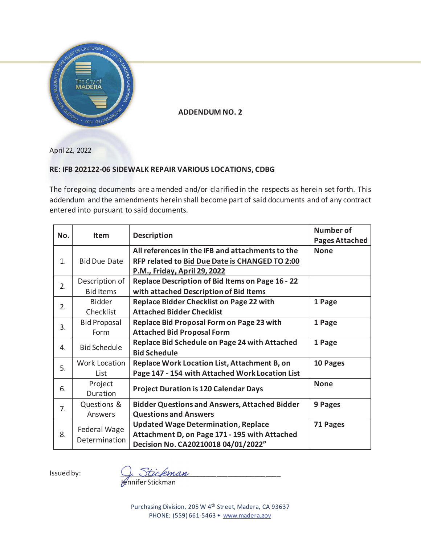

**ADDENDUM NO. 2** 

April 22, 2022

### **RE: IFB 202122-06 SIDEWALK REPAIR VARIOUS LOCATIONS, CDBG**

The foregoing documents are amended and/or clarified in the respects as herein set forth. This addendum and the amendments herein shall become part of said documents and of any contract entered into pursuant to said documents.

| No. | <b>Item</b>          |                                                      | <b>Number of</b>      |
|-----|----------------------|------------------------------------------------------|-----------------------|
|     |                      | <b>Description</b>                                   | <b>Pages Attached</b> |
|     |                      | All references in the IFB and attachments to the     | <b>None</b>           |
| 1.  | <b>Bid Due Date</b>  | RFP related to Bid Due Date is CHANGED TO 2:00       |                       |
|     |                      | P.M., Friday, April 29, 2022                         |                       |
| 2.  | Description of       | Replace Description of Bid Items on Page 16 - 22     |                       |
|     | <b>Bid Items</b>     | with attached Description of Bid Items               |                       |
|     | <b>Bidder</b>        | <b>Replace Bidder Checklist on Page 22 with</b>      | 1 Page                |
| 2.  | Checklist            | <b>Attached Bidder Checklist</b>                     |                       |
| 3.  | <b>Bid Proposal</b>  | Replace Bid Proposal Form on Page 23 with            | 1 Page                |
|     | Form                 | <b>Attached Bid Proposal Form</b>                    |                       |
| 4.  | <b>Bid Schedule</b>  | Replace Bid Schedule on Page 24 with Attached        | 1 Page                |
|     |                      | <b>Bid Schedule</b>                                  |                       |
| 5.  | <b>Work Location</b> | Replace Work Location List, Attachment B, on         | 10 Pages              |
|     | List                 | Page 147 - 154 with Attached Work Location List      |                       |
| 6.  | Project              |                                                      | <b>None</b>           |
|     | Duration             | <b>Project Duration is 120 Calendar Days</b>         |                       |
| 7.  | Questions &          | <b>Bidder Questions and Answers, Attached Bidder</b> | 9 Pages               |
|     | Answers              | <b>Questions and Answers</b>                         |                       |
| 8.  |                      | <b>Updated Wage Determination, Replace</b>           | 71 Pages              |
|     | Federal Wage         | Attachment D, on Page 171 - 195 with Attached        |                       |
|     | Determination        | Decision No. CA20210018 04/01/2022"                  |                       |

Issued by:

<u>L. Stickman</u>

Jennifer Stickman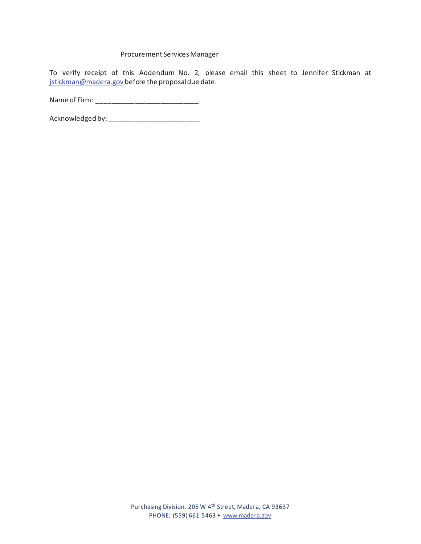#### Procurement Services Manager

To verify receipt of this Addendum No. 2, please email this sheet to Jennifer Stickman at istickman@madera.gov before the proposal due date.

Name of Firm: \_\_\_\_\_\_\_\_\_\_\_\_\_\_\_\_\_\_\_\_\_\_\_\_\_\_\_

Acknowledged by: \_\_\_\_\_\_\_\_\_\_\_\_\_\_\_\_\_\_\_\_\_\_\_\_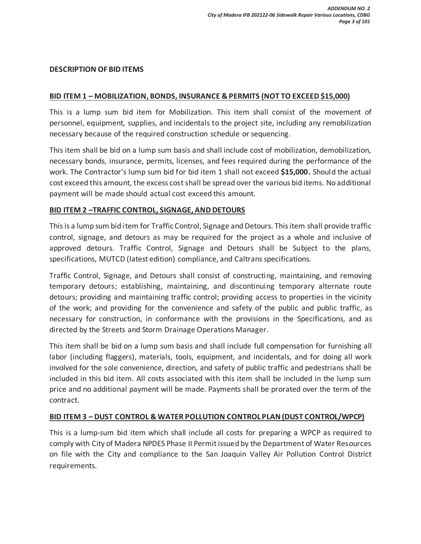#### **DESCRIPTION OF BID ITEMS**

### **BID ITEM 1 – MOBILIZATION, BONDS, INSURANCE & PERMITS (NOT TO EXCEED \$15,000)**

This is a lump sum bid item for Mobilization. This item shall consist of the movement of personnel, equipment, supplies, and incidentals to the project site, including any remobilization necessary because of the required construction schedule or sequencing.

This item shall be bid on a lump sum basis and shall include cost of mobilization, demobilization, necessary bonds, insurance, permits, licenses, and fees required during the performance of the work. The Contractor's lump sum bid for bid item 1 shall not exceed **\$15,000.** Should the actual cost exceed this amount, the excess cost shall be spread over the various bid items. No additional payment will be made should actual cost exceed this amount.

### **BID ITEM 2 –TRAFFIC CONTROL, SIGNAGE, AND DETOURS**

This is a lump sum bid item for Traffic Control, Signage and Detours. This item shall provide traffic control, signage, and detours as may be required for the project as a whole and inclusive of approved detours. Traffic Control, Signage and Detours shall be Subject to the plans, specifications, MUTCD (latest edition) compliance, and Caltrans specifications.

Traffic Control, Signage, and Detours shall consist of constructing, maintaining, and removing temporary detours; establishing, maintaining, and discontinuing temporary alternate route detours; providing and maintaining traffic control; providing access to properties in the vicinity of the work; and providing for the convenience and safety of the public and public traffic, as necessary for construction, in conformance with the provisions in the Specifications, and as directed by the Streets and Storm Drainage Operations Manager.

This item shall be bid on a lump sum basis and shall include full compensation for furnishing all labor (including flaggers), materials, tools, equipment, and incidentals, and for doing all work involved for the sole convenience, direction, and safety of public traffic and pedestrians shall be included in this bid item. All costs associated with this item shall be included in the lump sum price and no additional payment will be made. Payments shall be prorated over the term of the contract.

### **BID ITEM 3 – DUST CONTROL & WATER POLLUTION CONTROL PLAN (DUST CONTROL/WPCP)**

This is a lump-sum bid item which shall include all costs for preparing a WPCP as required to comply with City of Madera NPDES Phase II Permit issued by the Department of Water Resources on file with the City and compliance to the San Joaquin Valley Air Pollution Control District requirements.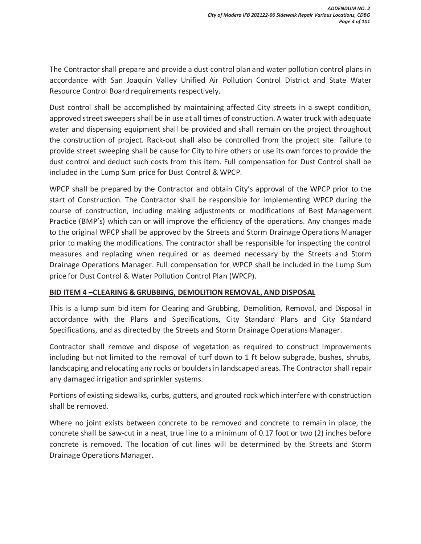The Contractor shall prepare and provide a dust control plan and water pollution control plans in accordance with San Joaquin Valley Unified Air Pollution Control District and State Water Resource Control Board requirements respectively.

Dust control shall be accomplished by maintaining affected City streets in a swept condition, approved street sweepers shall be in use at all times of construction. A water truck with adequate water and dispensing equipment shall be provided and shall remain on the project throughout the construction of project. Rack-out shall also be controlled from the project site. Failure to provide street sweeping shall be cause for City to hire others or use its own forces to provide the dust control and deduct such costs from this item. Full compensation for Dust Control shall be included in the Lump Sum price for Dust Control & WPCP.

WPCP shall be prepared by the Contractor and obtain City's approval of the WPCP prior to the start of Construction. The Contractor shall be responsible for implementing WPCP during the course of construction, including making adjustments or modifications of Best Management Practice (BMP's) which can or will improve the efficiency of the operations. Any changes made to the original WPCP shall be approved by the Streets and Storm Drainage Operations Manager prior to making the modifications. The contractor shall be responsible for inspecting the control measures and replacing when required or as deemed necessary by the Streets and Storm Drainage Operations Manager. Full compensation for WPCP shall be included in the Lump Sum price for Dust Control & Water Pollution Control Plan (WPCP).

### **BID ITEM 4 –CLEARING & GRUBBING, DEMOLITION REMOVAL, AND DISPOSAL**

This is a lump sum bid item for Clearing and Grubbing, Demolition, Removal, and Disposal in accordance with the Plans and Specifications, City Standard Plans and City Standard Specifications, and as directed by the Streets and Storm Drainage Operations Manager.

Contractor shall remove and dispose of vegetation as required to construct improvements including but not limited to the removal of turf down to 1 ft below subgrade, bushes, shrubs, landscaping and relocating any rocks or boulders in landscaped areas. The Contractor shall repair any damaged irrigation and sprinkler systems.

Portions of existing sidewalks, curbs, gutters, and grouted rock which interfere with construction shall be removed.

Where no joint exists between concrete to be removed and concrete to remain in place, the concrete shall be saw-cut in a neat, true line to a minimum of 0.17 foot or two (2) inches before concrete is removed. The location of cut lines will be determined by the Streets and Storm Drainage Operations Manager.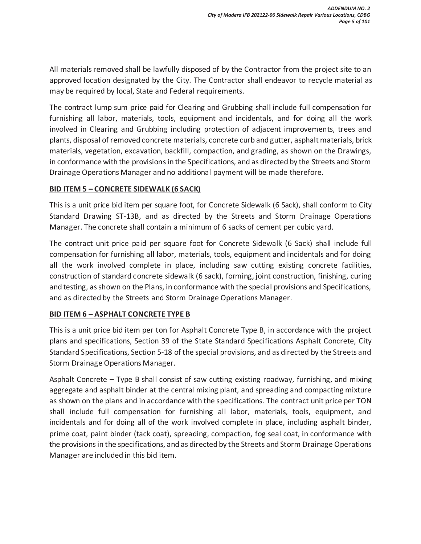All materials removed shall be lawfully disposed of by the Contractor from the project site to an approved location designated by the City. The Contractor shall endeavor to recycle material as may be required by local, State and Federal requirements.

The contract lump sum price paid for Clearing and Grubbing shall include full compensation for furnishing all labor, materials, tools, equipment and incidentals, and for doing all the work involved in Clearing and Grubbing including protection of adjacent improvements, trees and plants, disposal of removed concrete materials, concrete curb and gutter, asphalt materials, brick materials, vegetation, excavation, backfill, compaction, and grading, as shown on the Drawings, in conformance with the provisions in the Specifications, and as directed by the Streets and Storm Drainage Operations Manager and no additional payment will be made therefore.

### **BID ITEM 5 – CONCRETE SIDEWALK (6 SACK)**

This is a unit price bid item per square foot, for Concrete Sidewalk (6 Sack), shall conform to City Standard Drawing ST-13B, and as directed by the Streets and Storm Drainage Operations Manager. The concrete shall contain a minimum of 6 sacks of cement per cubic yard.

The contract unit price paid per square foot for Concrete Sidewalk (6 Sack) shall include full compensation for furnishing all labor, materials, tools, equipment and incidentals and for doing all the work involved complete in place, including saw cutting existing concrete facilities, construction of standard concrete sidewalk (6 sack), forming, joint construction, finishing, curing and testing, as shown on the Plans, in conformance with the special provisions and Specifications, and as directed by the Streets and Storm Drainage Operations Manager.

### **BID ITEM 6 – ASPHALT CONCRETE TYPE B**

This is a unit price bid item per ton for Asphalt Concrete Type B, in accordance with the project plans and specifications, Section 39 of the State Standard Specifications Asphalt Concrete, City Standard Specifications, Section 5-18 of the special provisions, and as directed by the Streets and Storm Drainage Operations Manager.

Asphalt Concrete – Type B shall consist of saw cutting existing roadway, furnishing, and mixing aggregate and asphalt binder at the central mixing plant, and spreading and compacting mixture as shown on the plans and in accordance with the specifications. The contract unit price per TON shall include full compensation for furnishing all labor, materials, tools, equipment, and incidentals and for doing all of the work involved complete in place, including asphalt binder, prime coat, paint binder (tack coat), spreading, compaction, fog seal coat, in conformance with the provisions in the specifications, and as directed by the Streets and Storm Drainage Operations Manager are included in this bid item.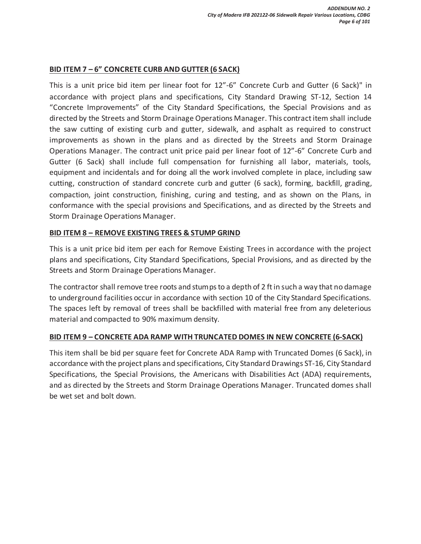### **BID ITEM 7 – 6" CONCRETE CURB AND GUTTER (6 SACK)**

This is a unit price bid item per linear foot for 12"-6" Concrete Curb and Gutter (6 Sack)" in accordance with project plans and specifications, City Standard Drawing ST-12, Section 14 "Concrete Improvements" of the City Standard Specifications, the Special Provisions and as directed by the Streets and Storm Drainage Operations Manager. This contract item shall include the saw cutting of existing curb and gutter, sidewalk, and asphalt as required to construct improvements as shown in the plans and as directed by the Streets and Storm Drainage Operations Manager. The contract unit price paid per linear foot of 12"-6" Concrete Curb and Gutter (6 Sack) shall include full compensation for furnishing all labor, materials, tools, equipment and incidentals and for doing all the work involved complete in place, including saw cutting, construction of standard concrete curb and gutter (6 sack), forming, backfill, grading, compaction, joint construction, finishing, curing and testing, and as shown on the Plans, in conformance with the special provisions and Specifications, and as directed by the Streets and Storm Drainage Operations Manager.

### **BID ITEM 8 – REMOVE EXISTING TREES & STUMP GRIND**

This is a unit price bid item per each for Remove Existing Trees in accordance with the project plans and specifications, City Standard Specifications, Special Provisions, and as directed by the Streets and Storm Drainage Operations Manager.

The contractor shall remove tree roots and stumps to a depth of 2 ft in such a way that no damage to underground facilities occur in accordance with section 10 of the City Standard Specifications. The spaces left by removal of trees shall be backfilled with material free from any deleterious material and compacted to 90% maximum density.

### **BID ITEM 9 – CONCRETE ADA RAMP WITH TRUNCATED DOMES IN NEW CONCRETE (6-SACK)**

This item shall be bid per square feet for Concrete ADA Ramp with Truncated Domes (6 Sack), in accordance with the project plans and specifications, City Standard Drawings ST-16, City Standard Specifications, the Special Provisions, the Americans with Disabilities Act (ADA) requirements, and as directed by the Streets and Storm Drainage Operations Manager. Truncated domes shall be wet set and bolt down.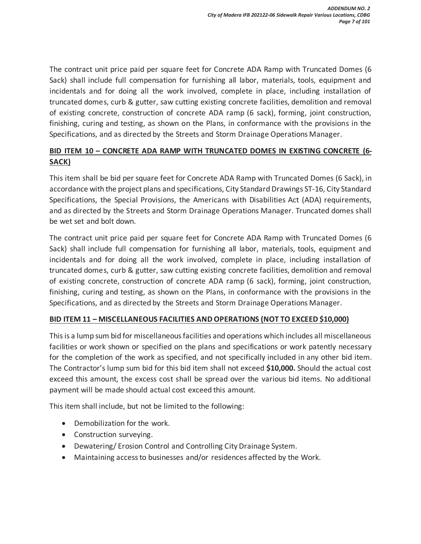The contract unit price paid per square feet for Concrete ADA Ramp with Truncated Domes (6 Sack) shall include full compensation for furnishing all labor, materials, tools, equipment and incidentals and for doing all the work involved, complete in place, including installation of truncated domes, curb & gutter, saw cutting existing concrete facilities, demolition and removal of existing concrete, construction of concrete ADA ramp (6 sack), forming, joint construction, finishing, curing and testing, as shown on the Plans, in conformance with the provisions in the Specifications, and as directed by the Streets and Storm Drainage Operations Manager.

### **BID ITEM 10 – CONCRETE ADA RAMP WITH TRUNCATED DOMES IN EXISTING CONCRETE (6- SACK)**

This item shall be bid per square feet for Concrete ADA Ramp with Truncated Domes (6 Sack), in accordance with the project plans and specifications, City Standard Drawings ST-16, City Standard Specifications, the Special Provisions, the Americans with Disabilities Act (ADA) requirements, and as directed by the Streets and Storm Drainage Operations Manager. Truncated domes shall be wet set and bolt down.

The contract unit price paid per square feet for Concrete ADA Ramp with Truncated Domes (6 Sack) shall include full compensation for furnishing all labor, materials, tools, equipment and incidentals and for doing all the work involved, complete in place, including installation of truncated domes, curb & gutter, saw cutting existing concrete facilities, demolition and removal of existing concrete, construction of concrete ADA ramp (6 sack), forming, joint construction, finishing, curing and testing, as shown on the Plans, in conformance with the provisions in the Specifications, and as directed by the Streets and Storm Drainage Operations Manager.

### **BID ITEM 11 – MISCELLANEOUS FACILITIES AND OPERATIONS (NOT TO EXCEED \$10,000)**

This is a lump sum bid for miscellaneous facilities and operations which includes all miscellaneous facilities or work shown or specified on the plans and specifications or work patently necessary for the completion of the work as specified, and not specifically included in any other bid item. The Contractor's lump sum bid for this bid item shall not exceed **\$10,000.** Should the actual cost exceed this amount, the excess cost shall be spread over the various bid items. No additional payment will be made should actual cost exceed this amount.

This item shall include, but not be limited to the following:

- Demobilization for the work.
- Construction surveying.
- Dewatering/ Erosion Control and Controlling City Drainage System.
- Maintaining access to businesses and/or residences affected by the Work.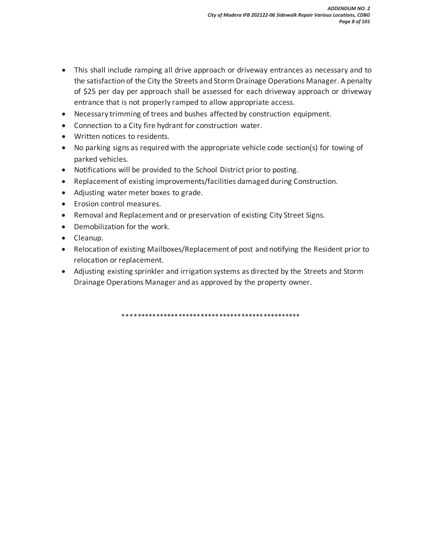- This shall include ramping all drive approach or driveway entrances as necessary and to the satisfaction of the City the Streets and Storm Drainage Operations Manager. A penalty of \$25 per day per approach shall be assessed for each driveway approach or driveway entrance that is not properly ramped to allow appropriate access.
- Necessary trimming of trees and bushes affected by construction equipment.
- Connection to a City fire hydrant for construction water.
- Written notices to residents.
- $\bullet$  No parking signs as required with the appropriate vehicle code section(s) for towing of parked vehicles.
- Notifications will be provided to the School District prior to posting.
- Replacement of existing improvements/facilities damaged during Construction.
- Adjusting water meter boxes to grade.
- **•** Erosion control measures.
- Removal and Replacement and or preservation of existing City Street Signs.
- Demobilization for the work.
- Cleanup.
- Relocation of existing Mailboxes/Replacement of post and notifying the Resident prior to relocation or replacement.
- Adjusting existing sprinkler and irrigation systems as directed by the Streets and Storm Drainage Operations Manager and as approved by the property owner.

\*\*\*\*\*\*\*\*\*\*\*\*\*\*\*\*\*\*\*\*\*\*\*\*\*\*\*\*\*\*\*\*\*\*\*\*\*\*\*\*\*\*\*\*\*\*\*\*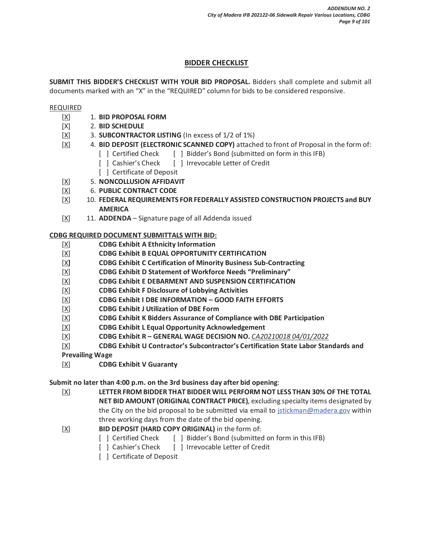### **BIDDER CHECKLIST**

**SUBMIT THIS BIDDER'S CHECKLIST WITH YOUR BID PROPOSAL.** Bidders shall complete and submit all documents marked with an "X" in the "REQUIRED" column for bids to be considered responsive.

#### REQUIRED

- [X] 1. **BID PROPOSAL FORM**
- [X] 2. **BID SCHEDULE**
- [X] 3. **SUBCONTRACTOR LISTING** (In excess of 1/2 of 1%)
- [X] 4. **BID DEPOSIT (ELECTRONIC SCANNED COPY)** attached to front of Proposal in the form of:
	- [ ] Certified Check [ ] Bidder's Bond (submitted on form in this IFB)
	- [ ] Cashier's Check [ ] Irrevocable Letter of Credit
	- [ ] Certificate of Deposit
- [X] 5. **NONCOLLUSION AFFIDAVIT**
- [X] 6. **PUBLIC CONTRACT CODE**
- [X] 10. **FEDERAL REQUIREMENTS FOR FEDERALLY ASSISTED CONSTRUCTION PROJECTS and BUY AMERICA**
- [X] 11. **ADDENDA** Signature page of all Addenda issued

#### **CDBG REQUIRED DOCUMENT SUBMITTALS WITH BID:**

- [X] **CDBG Exhibit A Ethnicity Information**
- [X] **CDBG Exhibit B EQUAL OPPORTUNITY CERTIFICATION**
- [X**] CDBG Exhibit C Certification of Minority Business Sub-Contracting**
- [X] **CDBG Exhibit D Statement of Workforce Needs "Preliminary"**
- [X] **CDBG Exhibit E DEBARMENT AND SUSPENSION CERTIFICATION**
- [X] **CDBG Exhibit F Disclosure of Lobbying Activities**
- [X] **CDBG Exhibit I DBE INFORMATION GOOD FAITH EFFORTS**
- [X] **CDBG Exhibit J Utilization of DBE Form**
- [X] **CDBG Exhibit K Bidders Assurance of Compliance with DBE Participation**
- [X] **CDBG Exhibit L Equal Opportunity Acknowledgement**
- [X] **CDBG Exhibit R GENERAL WAGE DECISION NO.** *CA20210018 04/01/2022*
- [X] **CDBG Exhibit U Contractor's Subcontractor's Certification State Labor Standards and**

**Prevailing Wage**

[X] **CDBG Exhibit V Guaranty** 

#### **Submit no later than 4:00 p.m. on the 3rd business day after bid opening**:

[X] **LETTER FROM BIDDER THAT BIDDER WILL PERFORM NOT LESS THAN 30% OF THE TOTAL NET BID AMOUNT (ORIGINAL CONTRACT PRICE)**, excluding specialty items designated by the City on the bid proposal to be submitted via email to jstickman@madera.gov within three working days from the date of the bid opening.

- [X] **BID DEPOSIT (HARD COPY ORIGINAL)** in the form of:
	- [ ] Certified Check [ ] Bidder's Bond (submitted on form in this IFB)
	- [ ] Cashier's Check [ ] Irrevocable Letter of Credit
	- [ ] Certificate of Deposit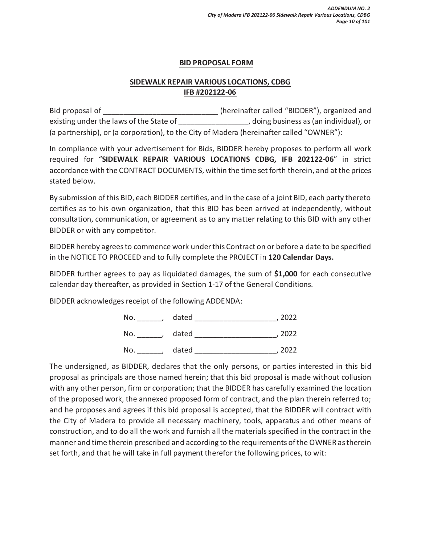### **BID PROPOSAL FORM**

### **SIDEWALK REPAIR VARIOUS LOCATIONS, CDBG IFB #202122-06**

Bid proposal of  $\Box$  (hereinafter called "BIDDER"), organized and existing under the laws of the State of  $\qquad \qquad$ , doing business as (an individual), or (a partnership), or (a corporation), to the City of Madera (hereinafter called "OWNER"):

In compliance with your advertisement for Bids, BIDDER hereby proposes to perform all work required for "**SIDEWALK REPAIR VARIOUS LOCATIONS CDBG, IFB 202122-06**" in strict accordance with the CONTRACT DOCUMENTS, within the time set forth therein, and at the prices stated below.

By submission of this BID, each BIDDER certifies, and in the case of a joint BID, each party thereto certifies as to his own organization, that this BID has been arrived at independently, without consultation, communication, or agreement as to any matter relating to this BID with any other BIDDER or with any competitor.

BIDDER hereby agrees to commence work under this Contract on or before a date to be specified in the NOTICE TO PROCEED and to fully complete the PROJECT in **120 Calendar Days.** 

BIDDER further agrees to pay as liquidated damages, the sum of **\$1,000** for each consecutive calendar day thereafter, as provided in Section 1-17 of the General Conditions.

BIDDER acknowledges receipt of the following ADDENDA:

| No. | dated | 2022 |
|-----|-------|------|
| No. | dated | 2022 |
| No. | dated | 2022 |

The undersigned, as BIDDER, declares that the only persons, or parties interested in this bid proposal as principals are those named herein; that this bid proposal is made without collusion with any other person, firm or corporation; that the BIDDER has carefully examined the location of the proposed work, the annexed proposed form of contract, and the plan therein referred to; and he proposes and agrees if this bid proposal is accepted, that the BIDDER will contract with the City of Madera to provide all necessary machinery, tools, apparatus and other means of construction, and to do all the work and furnish all the materials specified in the contract in the manner and time therein prescribed and according to the requirements of the OWNER as therein set forth, and that he will take in full payment therefor the following prices, to wit: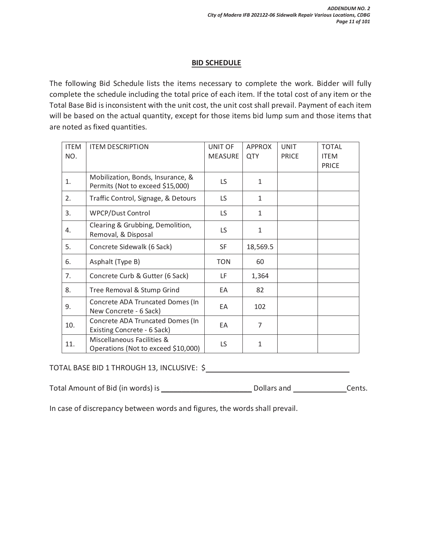#### **BID SCHEDULE**

The following Bid Schedule lists the items necessary to complete the work. Bidder will fully complete the schedule including the total price of each item. If the total cost of any item or the Total Base Bid is inconsistent with the unit cost, the unit cost shall prevail. Payment of each item will be based on the actual quantity, except for those items bid lump sum and those items that are noted as fixed quantities.

| <b>ITEM</b><br>NO. | <b>ITEM DESCRIPTION</b>                                               | <b>UNIT OF</b><br><b>MEASURE</b> | <b>APPROX</b><br>QTY | <b>UNIT</b><br><b>PRICE</b> | <b>TOTAL</b><br><b>ITEM</b><br><b>PRICE</b> |
|--------------------|-----------------------------------------------------------------------|----------------------------------|----------------------|-----------------------------|---------------------------------------------|
| 1.                 | Mobilization, Bonds, Insurance, &<br>Permits (Not to exceed \$15,000) | LS.                              | 1                    |                             |                                             |
| 2.                 | Traffic Control, Signage, & Detours                                   | LS.                              | $\mathbf{1}$         |                             |                                             |
| 3.                 | <b>WPCP/Dust Control</b>                                              | <b>LS</b>                        | $\mathbf{1}$         |                             |                                             |
| 4.                 | Clearing & Grubbing, Demolition,<br>Removal, & Disposal               | LS.                              | 1                    |                             |                                             |
| 5.                 | Concrete Sidewalk (6 Sack)                                            | <b>SF</b>                        | 18,569.5             |                             |                                             |
| 6.                 | Asphalt (Type B)                                                      | <b>TON</b>                       | 60                   |                             |                                             |
| 7.                 | Concrete Curb & Gutter (6 Sack)                                       | LF                               | 1,364                |                             |                                             |
| 8.                 | Tree Removal & Stump Grind                                            | EA                               | 82                   |                             |                                             |
| 9.                 | Concrete ADA Truncated Domes (In<br>New Concrete - 6 Sack)            | EA                               | 102                  |                             |                                             |
| 10.                | Concrete ADA Truncated Domes (In<br>Existing Concrete - 6 Sack)       | EA                               | 7                    |                             |                                             |
| 11.                | Miscellaneous Facilities &<br>Operations (Not to exceed \$10,000)     | LS                               | 1                    |                             |                                             |

### TOTAL BASE BID 1 THROUGH 13, INCLUSIVE: \$

| Total Amount of Bid (in words) is | Dollars and | Cents. |
|-----------------------------------|-------------|--------|
|-----------------------------------|-------------|--------|

In case of discrepancy between words and figures, the words shall prevail.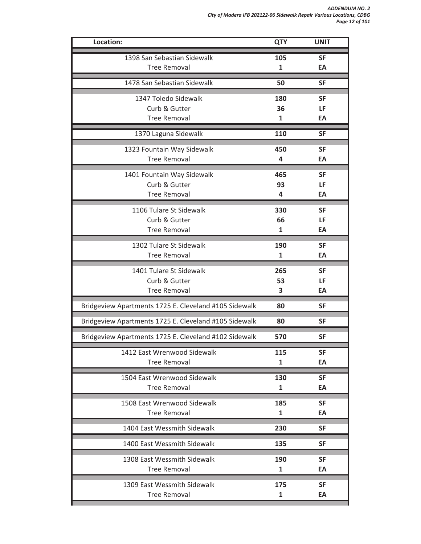| Location:                                             | <b>QTY</b> | <b>UNIT</b> |
|-------------------------------------------------------|------------|-------------|
| 1398 San Sebastian Sidewalk                           | 105        | <b>SF</b>   |
| <b>Tree Removal</b>                                   | 1          | EA          |
| 1478 San Sebastian Sidewalk                           | 50         | <b>SF</b>   |
| 1347 Toledo Sidewalk                                  | 180        | <b>SF</b>   |
| Curb & Gutter                                         | 36         | LF          |
| <b>Tree Removal</b>                                   | 1          | EA          |
| 1370 Laguna Sidewalk                                  | 110        | <b>SF</b>   |
| 1323 Fountain Way Sidewalk                            | 450        | <b>SF</b>   |
| <b>Tree Removal</b>                                   | 4          | EA          |
| 1401 Fountain Way Sidewalk                            | 465        | <b>SF</b>   |
| Curb & Gutter                                         | 93         | LF          |
| <b>Tree Removal</b>                                   | 4          | EA          |
| 1106 Tulare St Sidewalk                               | 330        | <b>SF</b>   |
| Curb & Gutter                                         | 66         | LF          |
| <b>Tree Removal</b>                                   | 1          | EA          |
| 1302 Tulare St Sidewalk                               | 190        | <b>SF</b>   |
| <b>Tree Removal</b>                                   | 1          | EA          |
| 1401 Tulare St Sidewalk                               | 265        | <b>SF</b>   |
| Curb & Gutter                                         | 53         | LF          |
| <b>Tree Removal</b>                                   | 3          | EA          |
| Bridgeview Apartments 1725 E. Cleveland #105 Sidewalk | 80         | <b>SF</b>   |
| Bridgeview Apartments 1725 E. Cleveland #105 Sidewalk | 80         | <b>SF</b>   |
| Bridgeview Apartments 1725 E. Cleveland #102 Sidewalk | 570        | <b>SF</b>   |
| 1412 East Wrenwood Sidewalk                           | 115        | <b>SF</b>   |
| <b>Tree Removal</b>                                   | 1          | EA          |
| 1504 East Wrenwood Sidewalk                           | 130        | <b>SF</b>   |
| <b>Tree Removal</b>                                   | 1          | EA          |
| 1508 East Wrenwood Sidewalk                           | 185        | <b>SF</b>   |
| <b>Tree Removal</b>                                   | 1          | EA          |
| 1404 East Wessmith Sidewalk                           | 230        | <b>SF</b>   |
| 1400 East Wessmith Sidewalk                           | 135        | SF          |
| 1308 East Wessmith Sidewalk                           | 190        | <b>SF</b>   |
| <b>Tree Removal</b>                                   | 1          | EA          |
| 1309 East Wessmith Sidewalk                           | 175        | <b>SF</b>   |
| <b>Tree Removal</b>                                   | 1          | EA          |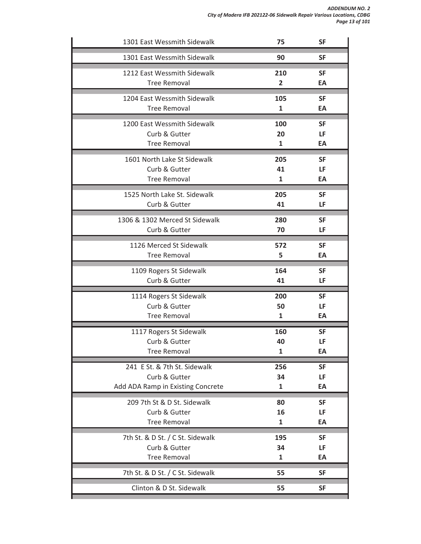| 1301 East Wessmith Sidewalk       | 75                      | <b>SF</b> |
|-----------------------------------|-------------------------|-----------|
| 1301 East Wessmith Sidewalk       | 90                      | <b>SF</b> |
| 1212 East Wessmith Sidewalk       | 210                     | <b>SF</b> |
| <b>Tree Removal</b>               | $\overline{\mathbf{2}}$ | EA        |
| 1204 East Wessmith Sidewalk       | 105                     | <b>SF</b> |
| <b>Tree Removal</b>               | $\mathbf{1}$            | EA        |
| 1200 East Wessmith Sidewalk       | 100                     | <b>SF</b> |
| Curb & Gutter                     | 20                      | LF        |
| <b>Tree Removal</b>               | $\mathbf{1}$            | EA        |
| 1601 North Lake St Sidewalk       | 205                     | <b>SF</b> |
| Curb & Gutter                     | 41                      | LF        |
| <b>Tree Removal</b>               | 1                       | EA        |
| 1525 North Lake St. Sidewalk      | 205                     | <b>SF</b> |
| Curb & Gutter                     | 41                      | LF        |
| 1306 & 1302 Merced St Sidewalk    | 280                     | <b>SF</b> |
| Curb & Gutter                     | 70                      | LF        |
| 1126 Merced St Sidewalk           | 572                     | <b>SF</b> |
| <b>Tree Removal</b>               | 5                       | EA        |
| 1109 Rogers St Sidewalk           | 164                     | <b>SF</b> |
| Curb & Gutter                     | 41                      | LF        |
| 1114 Rogers St Sidewalk           | 200                     | <b>SF</b> |
| Curb & Gutter                     | 50                      | LF        |
| <b>Tree Removal</b>               | 1                       | EA        |
| 1117 Rogers St Sidewalk           | 160                     | <b>SF</b> |
| Curb & Gutter                     | 40                      | LF        |
| <b>Tree Removal</b>               | 1                       | EA        |
| 241 E St. & 7th St. Sidewalk      | 256                     | <b>SF</b> |
| Curb & Gutter                     | 34                      | LF        |
| Add ADA Ramp in Existing Concrete | 1                       | EA        |
| 209 7th St & D St. Sidewalk       | 80                      | <b>SF</b> |
| Curb & Gutter                     | 16                      | LF        |
| <b>Tree Removal</b>               | $\mathbf{1}$            | EA        |
| 7th St. & D St. / C St. Sidewalk  | 195                     | <b>SF</b> |
| Curb & Gutter                     | 34                      | LF        |
| <b>Tree Removal</b>               | 1                       | EA        |
| 7th St. & D St. / C St. Sidewalk  | 55                      | <b>SF</b> |
| Clinton & D St. Sidewalk          | 55                      | <b>SF</b> |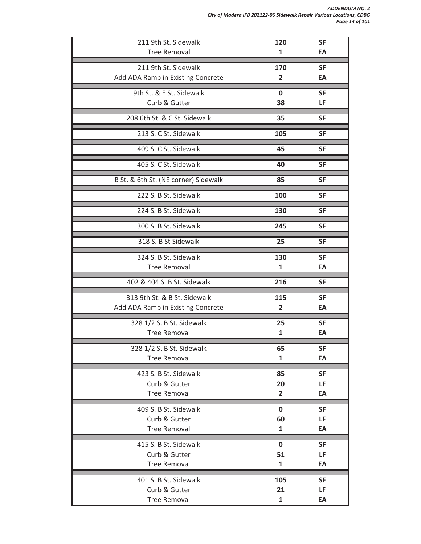| 211 9th St. Sidewalk                 | 120                     | <b>SF</b> |
|--------------------------------------|-------------------------|-----------|
| <b>Tree Removal</b>                  | 1                       | EA        |
| 211 9th St. Sidewalk                 | 170                     | <b>SF</b> |
| Add ADA Ramp in Existing Concrete    | 2                       | EA        |
| 9th St. & E St. Sidewalk             | $\mathbf 0$             | <b>SF</b> |
| Curb & Gutter                        | 38                      | LF        |
| 208 6th St. & C St. Sidewalk         | 35                      | <b>SF</b> |
| 213 S. C St. Sidewalk                | 105                     | <b>SF</b> |
| 409 S. C St. Sidewalk                | 45                      | <b>SF</b> |
| 405 S. C St. Sidewalk                | 40                      | <b>SF</b> |
| B St. & 6th St. (NE corner) Sidewalk | 85                      | <b>SF</b> |
| 222 S. B St. Sidewalk                | 100                     | <b>SF</b> |
| 224 S. B St. Sidewalk                | 130                     | <b>SF</b> |
| 300 S. B St. Sidewalk                | 245                     | <b>SF</b> |
| 318 S. B St Sidewalk                 | 25                      | <b>SF</b> |
| 324 S. B St. Sidewalk                | 130                     | <b>SF</b> |
| <b>Tree Removal</b>                  | 1                       | EA        |
| 402 & 404 S. B St. Sidewalk          | 216                     | <b>SF</b> |
| 313 9th St. & B St. Sidewalk         | 115                     | <b>SF</b> |
| Add ADA Ramp in Existing Concrete    | 2                       | EA        |
| 328 1/2 S. B St. Sidewalk            | 25                      | <b>SF</b> |
| <b>Tree Removal</b>                  | 1                       | EA        |
| 328 1/2 S. B St. Sidewalk            | 65                      | <b>SF</b> |
| <b>Tree Removal</b>                  | 1                       | EA        |
| 423 S. B St. Sidewalk                | 85                      | <b>SF</b> |
| Curb & Gutter                        | 20                      | LF        |
| <b>Tree Removal</b>                  | $\overline{\mathbf{2}}$ | EA        |
| 409 S. B St. Sidewalk                | $\bf{0}$                | <b>SF</b> |
| Curb & Gutter                        | 60                      | LF        |
| <b>Tree Removal</b>                  | 1                       | EA        |
| 415 S. B St. Sidewalk                | 0                       | <b>SF</b> |
| Curb & Gutter                        | 51                      | LF        |
| <b>Tree Removal</b>                  | 1                       | EA        |
| 401 S. B St. Sidewalk                | 105                     | <b>SF</b> |
| Curb & Gutter                        | 21                      | LF        |
| <b>Tree Removal</b>                  | 1                       | EA        |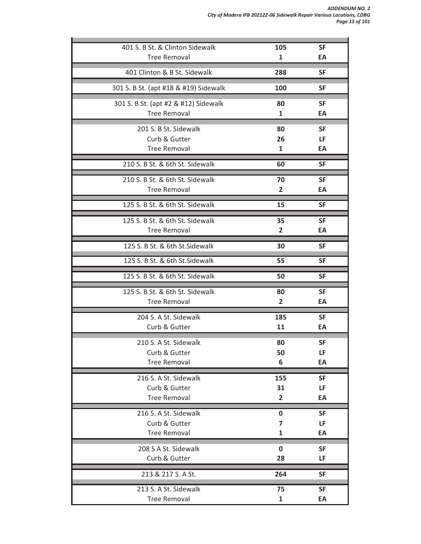*ADDENDUM NO. 2 City of Madera IFB 202122-06 Sidewalk Repair Various Locations, CDBG Page 15 of 101*

| 401 S. B St. & Clinton Sidewalk       | 105          | <b>SF</b> |
|---------------------------------------|--------------|-----------|
| <b>Tree Removal</b>                   | 1            | EA        |
| 401 Clinton & B St. Sidewalk          | 288          | <b>SF</b> |
| 301 S. B St. (apt #18 & #19) Sidewalk | <b>100</b>   | <b>SF</b> |
| 301 S. B St. (apt #2 & #12) Sidewalk  | 80           | <b>SF</b> |
| <b>Tree Removal</b>                   | 1            | EA        |
| 201 S. B St. Sidewalk                 | 80           | <b>SF</b> |
| Curb & Gutter                         | 26           | LF        |
| <b>Tree Removal</b>                   | 1            | EA        |
| 210 S. B St. & 6th St. Sidewalk       | 60           | <b>SF</b> |
| 210 S. B St. & 6th St. Sidewalk       | 70           | <b>SF</b> |
| <b>Tree Removal</b>                   | 2            | EA        |
| 125 S. B St. & 6th St. Sidewalk       | 15           | <b>SF</b> |
| 125 S. B St. & 6th St. Sidewalk       | 35           | <b>SF</b> |
| <b>Tree Removal</b>                   | 2            | EA        |
| 125 S. B St. & 6th St. Sidewalk       | 30           | <b>SF</b> |
| 125 S. B St. & 6th St. Sidewalk       | 55           | <b>SF</b> |
| 125 S. B St. & 6th St. Sidewalk       | 50           | <b>SF</b> |
| 125 S. B St. & 6th St. Sidewalk       | 80           | <b>SF</b> |
| <b>Tree Removal</b>                   | 2            | EA        |
| 204 S. A St. Sidewalk                 | 185          | <b>SF</b> |
| Curb & Gutter                         | 11           | EA        |
| 210 S. A St. Sidewalk                 | 80           | <b>SF</b> |
| Curb & Gutter                         | 50           | LF        |
| <b>Tree Removal</b>                   | 6            | EA        |
| 216 S. A St. Sidewalk                 | 155          | <b>SF</b> |
| Curb & Gutter                         | 31           | LF        |
| <b>Tree Removal</b>                   | 2            | EA        |
| 216 S. A St. Sidewalk                 | 0            | <b>SF</b> |
| Curb & Gutter                         | 7            | LF        |
| <b>Tree Removal</b>                   | 1            | EA        |
| 208 S A St. Sidewalk                  | $\mathbf 0$  | <b>SF</b> |
| Curb & Gutter                         | 28           | LF        |
| 213 & 217 S. A St.                    | 264          | <b>SF</b> |
| 213 S. A St. Sidewalk                 | 75           | <b>SF</b> |
| <b>Tree Removal</b>                   | $\mathbf{1}$ | EA        |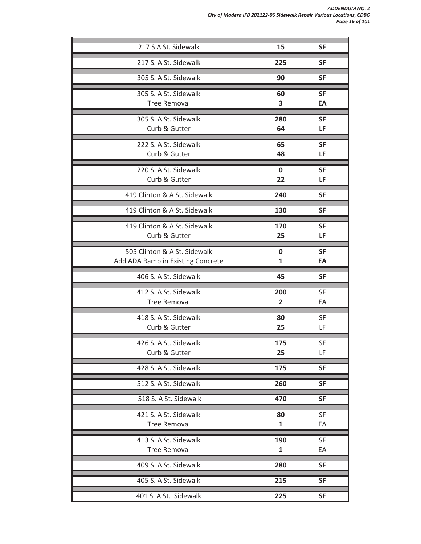| 217 S A St. Sidewalk                                              | 15             | <b>SF</b>       |
|-------------------------------------------------------------------|----------------|-----------------|
| 217 S. A St. Sidewalk                                             | 225            | <b>SF</b>       |
| 305 S. A St. Sidewalk                                             | 90             | <b>SF</b>       |
| 305 S. A St. Sidewalk                                             | 60             | <b>SF</b>       |
| <b>Tree Removal</b>                                               | 3              | EA              |
| 305 S. A St. Sidewalk                                             | 280            | <b>SF</b>       |
| Curb & Gutter                                                     | 64             | LF              |
| 222 S. A St. Sidewalk<br>Curb & Gutter                            | 65             | <b>SF</b>       |
|                                                                   | 48             | LF              |
| 220 S. A St. Sidewalk<br>Curb & Gutter                            | $\bf{0}$<br>22 | <b>SF</b><br>LF |
| 419 Clinton & A St. Sidewalk                                      | 240            | <b>SF</b>       |
|                                                                   |                |                 |
| 419 Clinton & A St. Sidewalk                                      | 130            | <b>SF</b>       |
| 419 Clinton & A St. Sidewalk<br>Curb & Gutter                     | 170<br>25      | <b>SF</b><br>LF |
|                                                                   |                |                 |
| 505 Clinton & A St. Sidewalk<br>Add ADA Ramp in Existing Concrete | $\bf{0}$<br>1  | <b>SF</b><br>EA |
| 406 S. A St. Sidewalk                                             | 45             | <b>SF</b>       |
| 412 S. A St. Sidewalk                                             | 200            | <b>SF</b>       |
| <b>Tree Removal</b>                                               | $\overline{2}$ | EA              |
| 418 S. A St. Sidewalk                                             | 80             | <b>SF</b>       |
| Curb & Gutter                                                     | 25             | LF              |
| 426 S. A St. Sidewalk                                             | 175            | SF              |
| Curb & Gutter                                                     | 25             | LF              |
| 428 S. A St. Sidewalk                                             | 175            | <b>SF</b>       |
| 512 S. A St. Sidewalk                                             | 260            | <b>SF</b>       |
| 518 S. A St. Sidewalk                                             | 470            | <b>SF</b>       |
| 421 S. A St. Sidewalk                                             | 80             | <b>SF</b>       |
| <b>Tree Removal</b>                                               | $\mathbf{1}$   | EA              |
| 413 S. A St. Sidewalk                                             | 190            | SF              |
| <b>Tree Removal</b>                                               | $\mathbf{1}$   | EA              |
| 409 S. A St. Sidewalk                                             | 280            | <b>SF</b>       |
| 405 S. A St. Sidewalk                                             | 215            | <b>SF</b>       |
| 401 S. A St. Sidewalk                                             | 225            | <b>SF</b>       |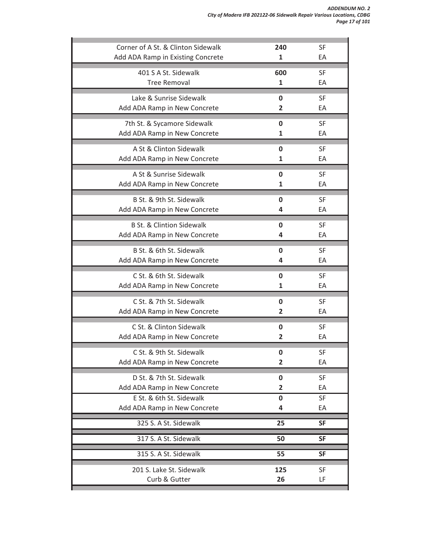| Corner of A St. & Clinton Sidewalk   | 240            | <b>SF</b> |
|--------------------------------------|----------------|-----------|
| Add ADA Ramp in Existing Concrete    | 1              | EA        |
| 401 S A St. Sidewalk                 | 600            | <b>SF</b> |
| <b>Tree Removal</b>                  | 1              | EA        |
| Lake & Sunrise Sidewalk              | $\mathbf 0$    | <b>SF</b> |
| Add ADA Ramp in New Concrete         | 2              | EA        |
| 7th St. & Sycamore Sidewalk          | 0              | <b>SF</b> |
| Add ADA Ramp in New Concrete         | 1              | EA        |
| A St & Clinton Sidewalk              | 0              | <b>SF</b> |
| Add ADA Ramp in New Concrete         | 1              | EA        |
| A St & Sunrise Sidewalk              | 0              | <b>SF</b> |
| Add ADA Ramp in New Concrete         | 1              | EA        |
| B St. & 9th St. Sidewalk             | 0              | <b>SF</b> |
| Add ADA Ramp in New Concrete         | 4              | EA        |
| <b>B St. &amp; Clintion Sidewalk</b> | 0              | <b>SF</b> |
| Add ADA Ramp in New Concrete         | 4              | EA        |
| B St. & 6th St. Sidewalk             | 0              | <b>SF</b> |
| Add ADA Ramp in New Concrete         | 4              | EA        |
| C St. & 6th St. Sidewalk             | 0              | <b>SF</b> |
| Add ADA Ramp in New Concrete         | 1              | EA        |
| C St. & 7th St. Sidewalk             | 0              | <b>SF</b> |
| Add ADA Ramp in New Concrete         | $\overline{2}$ | EA        |
| C St. & Clinton Sidewalk             | 0              | <b>SF</b> |
| Add ADA Ramp in New Concrete         | $\overline{2}$ | EA        |
| C St. & 9th St. Sidewalk             | 0              | <b>SF</b> |
| Add ADA Ramp in New Concrete         | $\overline{2}$ | EA        |
| D St. & 7th St. Sidewalk             | $\bf{0}$       | <b>SF</b> |
| Add ADA Ramp in New Concrete         | $\overline{2}$ | EA        |
| E St. & 6th St. Sidewalk             | 0              | SF        |
| Add ADA Ramp in New Concrete         | 4              | EA        |
| 325 S. A St. Sidewalk                | 25             | <b>SF</b> |
| 317 S. A St. Sidewalk                | 50             | <b>SF</b> |
| 315 S. A St. Sidewalk                | 55             | <b>SF</b> |
| 201 S. Lake St. Sidewalk             | 125            | <b>SF</b> |
| Curb & Gutter                        | 26             | LF        |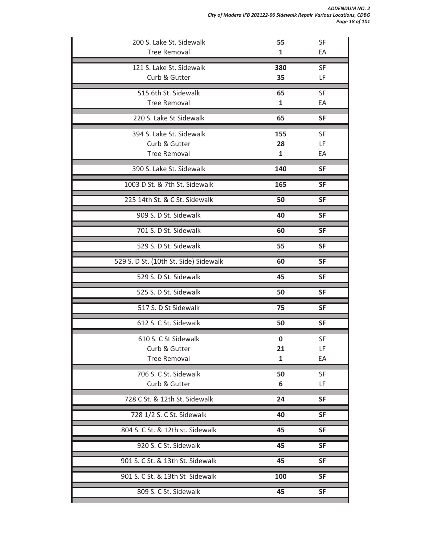| 200 S. Lake St. Sidewalk<br><b>Tree Removal</b> | 55<br>1      | <b>SF</b><br>EA |
|-------------------------------------------------|--------------|-----------------|
|                                                 |              |                 |
| 121 S. Lake St. Sidewalk<br>Curb & Gutter       | 380<br>35    | <b>SF</b><br>LF |
| 515 6th St. Sidewalk                            | 65           | SF              |
| <b>Tree Removal</b>                             | $\mathbf{1}$ | EA              |
| 220 S. Lake St Sidewalk                         | 65           | <b>SF</b>       |
| 394 S. Lake St. Sidewalk                        | 155          | <b>SF</b>       |
| Curb & Gutter                                   | 28           | LF              |
| <b>Tree Removal</b>                             | 1            | EA              |
| 390 S. Lake St. Sidewalk                        | 140          | <b>SF</b>       |
| 1003 D St. & 7th St. Sidewalk                   | 165          | <b>SF</b>       |
| 225 14th St. & C St. Sidewalk                   | 50           | <b>SF</b>       |
| 909 S. D St. Sidewalk                           | 40           | <b>SF</b>       |
| 701 S. D St. Sidewalk                           | 60           | <b>SF</b>       |
| 529 S. D St. Sidewalk                           | 55           | <b>SF</b>       |
| 529 S. D St. (10th St. Side) Sidewalk           | 60           | <b>SF</b>       |
| 529 S. D St. Sidewalk                           | 45           | <b>SF</b>       |
| 525 S. D St. Sidewalk                           | 50           | <b>SF</b>       |
| 517 S. D St Sidewalk                            | 75           | <b>SF</b>       |
| 612 S. C St. Sidewalk                           | 50           | <b>SF</b>       |
| 610 S. C St Sidewalk                            | 0            | SF              |
| Curb & Gutter                                   | 21           | LF              |
| <b>Tree Removal</b>                             | $\mathbf{1}$ | EA              |
| 706 S. C St. Sidewalk                           | 50           | SF              |
| Curb & Gutter                                   | 6            | LF              |
| 728 C St. & 12th St. Sidewalk                   | 24           | <b>SF</b>       |
| 728 1/2 S. C St. Sidewalk                       | 40           | <b>SF</b>       |
| 804 S. C St. & 12th st. Sidewalk                | 45           | <b>SF</b>       |
| 920 S. C St. Sidewalk                           | 45           | <b>SF</b>       |
| 901 S. C St. & 13th St. Sidewalk                | 45           | <b>SF</b>       |
| 901 S. C St. & 13th St Sidewalk                 | 100          | <b>SF</b>       |
| 809 S. C St. Sidewalk                           | 45           | <b>SF</b>       |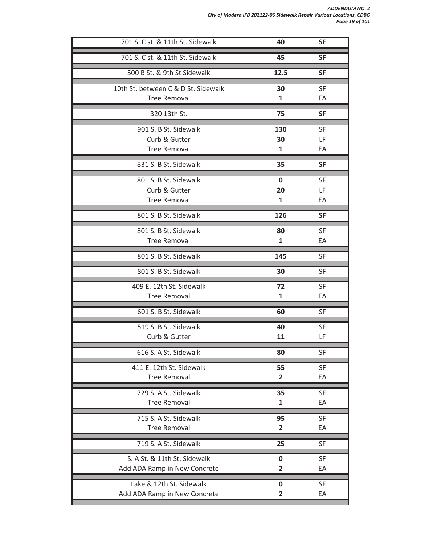*ADDENDUM NO. 2 City of Madera IFB 202122-06 Sidewalk Repair Various Locations, CDBG Page 19 of 101*

| 701 S. C st. & 11th St. Sidewalk    | 40             | <b>SF</b> |
|-------------------------------------|----------------|-----------|
| 701 S. C st. & 11th St. Sidewalk    | 45             | <b>SF</b> |
| 500 B St. & 9th St Sidewalk         | 12.5           | <b>SF</b> |
| 10th St. between C & D St. Sidewalk | 30             | <b>SF</b> |
| <b>Tree Removal</b>                 | 1              | EA        |
| 320 13th St.                        | 75             | <b>SF</b> |
| 901 S. B St. Sidewalk               | 130            | <b>SF</b> |
| Curb & Gutter                       | 30             | LF        |
| <b>Tree Removal</b>                 | 1              | EA        |
| 831 S. B St. Sidewalk               | 35             | <b>SF</b> |
| 801 S. B St. Sidewalk               | $\mathbf 0$    | <b>SF</b> |
| Curb & Gutter                       | 20             | LF        |
| <b>Tree Removal</b>                 | $\mathbf{1}$   | EA        |
| 801 S. B St. Sidewalk               | 126            | <b>SF</b> |
| 801 S. B St. Sidewalk               | 80             | SF        |
| <b>Tree Removal</b>                 | 1              | EA        |
| 801 S. B St. Sidewalk               | 145            | <b>SF</b> |
| 801 S. B St. Sidewalk               | 30             | <b>SF</b> |
| 409 E. 12th St. Sidewalk            | 72             | SF        |
| <b>Tree Removal</b>                 | 1              | EA        |
| 601 S. B St. Sidewalk               | 60             | <b>SF</b> |
| 519 S. B St. Sidewalk               | 40             | SF        |
| Curb & Gutter                       | 11             | LF        |
| 616 S. A St. Sidewalk               | 80             | SF        |
| 411 E. 12th St. Sidewalk            | 55             | <b>SF</b> |
| <b>Tree Removal</b>                 | $\overline{2}$ | EA        |
| 729 S. A St. Sidewalk               | 35             | SF        |
| <b>Tree Removal</b>                 | 1              | EA        |
| 715 S. A St. Sidewalk               | 95             | SF        |
| <b>Tree Removal</b>                 | 2              | EA        |
| 719 S. A St. Sidewalk               | 25             | SF        |
| S. A St. & 11th St. Sidewalk        | 0              | SF        |
| Add ADA Ramp in New Concrete        | 2              | EA        |
| Lake & 12th St. Sidewalk            | 0              | <b>SF</b> |
| Add ADA Ramp in New Concrete        | 2              | EA        |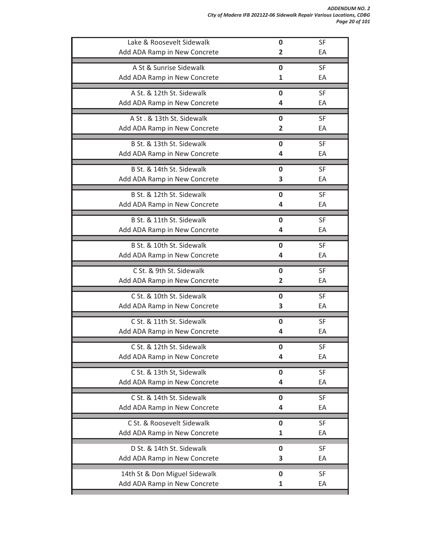| Lake & Roosevelt Sidewalk     | 0           | SF        |
|-------------------------------|-------------|-----------|
| Add ADA Ramp in New Concrete  | 2           | EA        |
| A St & Sunrise Sidewalk       | 0           | <b>SF</b> |
| Add ADA Ramp in New Concrete  | 1           | EA        |
| A St. & 12th St. Sidewalk     | 0           | <b>SF</b> |
| Add ADA Ramp in New Concrete  | 4           | EA        |
| A St. & 13th St. Sidewalk     | 0           | <b>SF</b> |
| Add ADA Ramp in New Concrete  | 2           | EA        |
| B St. & 13th St. Sidewalk     | 0           | <b>SF</b> |
| Add ADA Ramp in New Concrete  | 4           | EA        |
| B St. & 14th St. Sidewalk     | 0           | <b>SF</b> |
| Add ADA Ramp in New Concrete  | 3           | EA        |
| B St. & 12th St. Sidewalk     | 0           | SF        |
| Add ADA Ramp in New Concrete  | 4           | EA        |
| B St. & 11th St. Sidewalk     | 0           | SF        |
| Add ADA Ramp in New Concrete  | 4           | EA        |
| B St. & 10th St. Sidewalk     | 0           | <b>SF</b> |
| Add ADA Ramp in New Concrete  | 4           | EA        |
| C St. & 9th St. Sidewalk      | 0           | <b>SF</b> |
| Add ADA Ramp in New Concrete  | 2           | EA        |
| C St. & 10th St. Sidewalk     | 0           | <b>SF</b> |
| Add ADA Ramp in New Concrete  | 3           | EA        |
| C St. & 11th St. Sidewalk     | 0           | <b>SF</b> |
| Add ADA Ramp in New Concrete  | 4           | EA        |
| C St. & 12th St. Sidewalk     | 0           | SF        |
| Add ADA Ramp in New Concrete  | 4           | EA        |
| C St. & 13th St, Sidewalk     | 0           | SF        |
| Add ADA Ramp in New Concrete  | 4           | EA        |
| C St. & 14th St. Sidewalk     | 0           | <b>SF</b> |
| Add ADA Ramp in New Concrete  | 4           | EA        |
| C St. & Roosevelt Sidewalk    | $\mathbf 0$ | SF        |
| Add ADA Ramp in New Concrete  | 1           | EA        |
| D St. & 14th St. Sidewalk     | 0           | <b>SF</b> |
| Add ADA Ramp in New Concrete  | 3           | EA        |
| 14th St & Don Miguel Sidewalk | 0           | SF        |
| Add ADA Ramp in New Concrete  | 1           | EA        |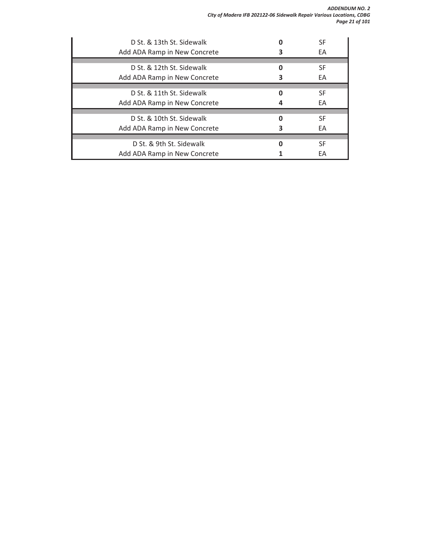*ADDENDUM NO. 2 City of Madera IFB 202122-06 Sidewalk Repair Various Locations, CDBG Page 21 of 101*

| D St. & 13th St. Sidewalk    |   | SF        |
|------------------------------|---|-----------|
| Add ADA Ramp in New Concrete |   | EA        |
|                              |   |           |
| D St. & 12th St. Sidewalk    | O | SF        |
| Add ADA Ramp in New Concrete |   | <b>FA</b> |
|                              |   |           |
| D St. & 11th St. Sidewalk    |   | SF        |
| Add ADA Ramp in New Concrete |   | EA        |
|                              |   |           |
| D. St. & 10th St. Sidewalk   | O | SF        |
| Add ADA Ramp in New Concrete |   | EA        |
|                              |   |           |
| D St. & 9th St. Sidewalk     | 0 | SF        |
| Add ADA Ramp in New Concrete |   | FA        |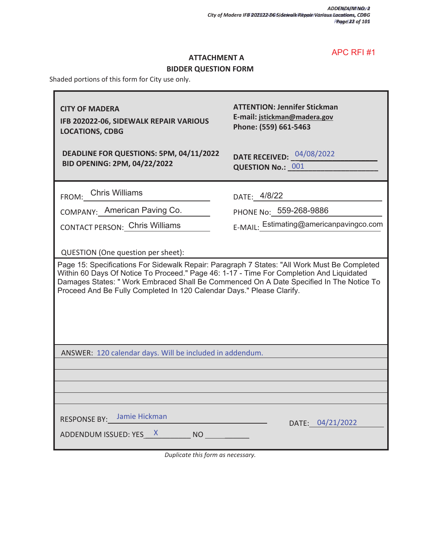ī

#### **ATTACHMENT A**

# **BIDDER QUESTION FORM**

Shaded portions of this form for City use only.

 $\blacksquare$ 

| <b>CITY OF MADERA</b><br>IFB 202022-06, SIDEWALK REPAIR VARIOUS<br><b>LOCATIONS, CDBG</b>                                                                                                                                                                                                                                                                                                         | <b>ATTENTION: Jennifer Stickman</b><br>E-mail: jstickman@madera.gov<br>Phone: (559) 661-5463 |  |
|---------------------------------------------------------------------------------------------------------------------------------------------------------------------------------------------------------------------------------------------------------------------------------------------------------------------------------------------------------------------------------------------------|----------------------------------------------------------------------------------------------|--|
| DEADLINE FOR QUESTIONS: 5PM, 04/11/2022<br><b>BID OPENING: 2PM, 04/22/2022</b>                                                                                                                                                                                                                                                                                                                    | <b>DATE RECEIVED:</b> 04/08/2022<br><b>QUESTION No.: 001</b>                                 |  |
| FROM: Chris Williams                                                                                                                                                                                                                                                                                                                                                                              | DATE: 4/8/22                                                                                 |  |
| COMPANY: American Paving Co.                                                                                                                                                                                                                                                                                                                                                                      | PHONE No: 559-268-9886                                                                       |  |
| CONTACT PERSON: Chris Williams                                                                                                                                                                                                                                                                                                                                                                    | E-MAIL: Estimating@americanpavingco.com                                                      |  |
| QUESTION (One question per sheet):<br>Page 15: Specifications For Sidewalk Repair: Paragraph 7 States: "All Work Must Be Completed<br>Within 60 Days Of Notice To Proceed." Page 46: 1-17 - Time For Completion And Liquidated<br>Damages States: "Work Embraced Shall Be Commenced On A Date Specified In The Notice To<br>Proceed And Be Fully Completed In 120 Calendar Days." Please Clarify. |                                                                                              |  |
| ANSWER: 120 calendar days. Will be included in addendum.                                                                                                                                                                                                                                                                                                                                          |                                                                                              |  |
|                                                                                                                                                                                                                                                                                                                                                                                                   |                                                                                              |  |
|                                                                                                                                                                                                                                                                                                                                                                                                   |                                                                                              |  |
| RESPONSE BY: Jamie Hickman<br>ADDENDUM ISSUED: YES X NO                                                                                                                                                                                                                                                                                                                                           | DATE: 04/21/2022                                                                             |  |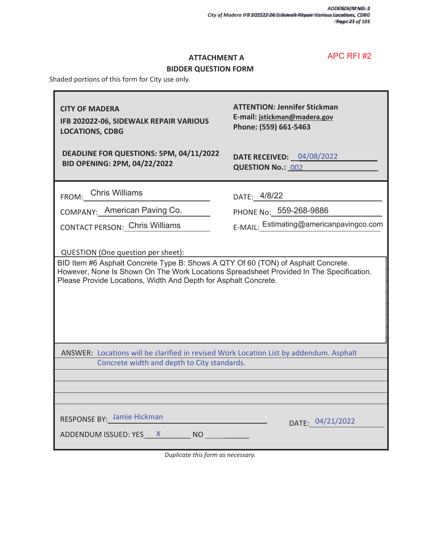### **ATTACHMENT A**

# **BIDDER QUESTION FORM**

Shaded portions of this form for City use only.

| <b>CITY OF MADERA</b><br>IFB 202022-06, SIDEWALK REPAIR VARIOUS<br><b>LOCATIONS, CDBG</b>                                                                                                                                                                                             | <b>ATTENTION: Jennifer Stickman</b><br>E-mail: jstickman@madera.gov<br>Phone: (559) 661-5463 |  |
|---------------------------------------------------------------------------------------------------------------------------------------------------------------------------------------------------------------------------------------------------------------------------------------|----------------------------------------------------------------------------------------------|--|
| DEADLINE FOR QUESTIONS: 5PM, 04/11/2022<br>BID OPENING: 2PM, 04/22/2022                                                                                                                                                                                                               | <b>DATE RECEIVED: 04/08/2022</b><br><b>QUESTION No.: 002</b>                                 |  |
| FROM:_Chris Williams                                                                                                                                                                                                                                                                  | DATE: 4/8/22                                                                                 |  |
| COMPANY: American Paving Co.                                                                                                                                                                                                                                                          | PHONE No: 559-268-9886                                                                       |  |
| <b>CONTACT PERSON: Chris Williams</b>                                                                                                                                                                                                                                                 | E-MAIL: Estimating@americanpavingco.com                                                      |  |
| QUESTION (One question per sheet):<br>BID Item #6 Asphalt Concrete Type B: Shows A QTY Of 60 (TON) of Asphalt Concrete.<br>However, None Is Shown On The Work Locations Spreadsheet Provided In The Specification.<br>Please Provide Locations, Width And Depth for Asphalt Concrete. |                                                                                              |  |
| ANSWER: Locations will be clarified in revised Work Location List by addendum. Asphalt<br>Concrete width and depth to City standards.                                                                                                                                                 |                                                                                              |  |
|                                                                                                                                                                                                                                                                                       |                                                                                              |  |
| <b>RESPONSE BY: Jamie Hickman</b><br>ADDENDUM ISSUED: YES___X_________ NO __________                                                                                                                                                                                                  | DATE: 04/21/2022                                                                             |  |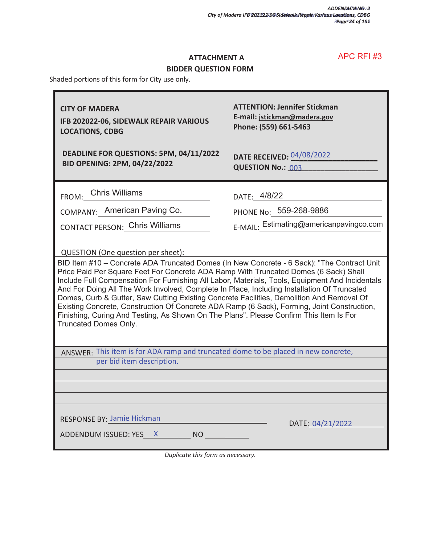#### **ATTACHMENT A**

### **BIDDER QUESTION FORM**

Shaded portions of this form for City use only.

| <b>CITY OF MADERA</b><br>IFB 202022-06, SIDEWALK REPAIR VARIOUS<br><b>LOCATIONS, CDBG</b>                                                                                                                                                                                                                                                                                                                                                                                                                                                                                                                                                                                                                                                        | <b>ATTENTION: Jennifer Stickman</b><br>E-mail: jstickman@madera.gov<br>Phone: (559) 661-5463 |  |
|--------------------------------------------------------------------------------------------------------------------------------------------------------------------------------------------------------------------------------------------------------------------------------------------------------------------------------------------------------------------------------------------------------------------------------------------------------------------------------------------------------------------------------------------------------------------------------------------------------------------------------------------------------------------------------------------------------------------------------------------------|----------------------------------------------------------------------------------------------|--|
| DEADLINE FOR QUESTIONS: 5PM, 04/11/2022<br><b>BID OPENING: 2PM, 04/22/2022</b>                                                                                                                                                                                                                                                                                                                                                                                                                                                                                                                                                                                                                                                                   | <b>DATE RECEIVED: 04/08/2022</b><br>QUESTION No.: 003                                        |  |
| FROM: Chris Williams                                                                                                                                                                                                                                                                                                                                                                                                                                                                                                                                                                                                                                                                                                                             | DATE: 4/8/22                                                                                 |  |
| COMPANY: American Paving Co.                                                                                                                                                                                                                                                                                                                                                                                                                                                                                                                                                                                                                                                                                                                     | PHONE No: 559-268-9886                                                                       |  |
| <b>CONTACT PERSON: Chris Williams</b>                                                                                                                                                                                                                                                                                                                                                                                                                                                                                                                                                                                                                                                                                                            | E-MAIL: Estimating@americanpavingco.com                                                      |  |
| QUESTION (One question per sheet):<br>BID Item #10 - Concrete ADA Truncated Domes (In New Concrete - 6 Sack): "The Contract Unit<br>Price Paid Per Square Feet For Concrete ADA Ramp With Truncated Domes (6 Sack) Shall<br>Include Full Compensation For Furnishing All Labor, Materials, Tools, Equipment And Incidentals<br>And For Doing All The Work Involved, Complete In Place, Including Installation Of Truncated<br>Domes, Curb & Gutter, Saw Cutting Existing Concrete Facilities, Demolition And Removal Of<br>Existing Concrete, Construction Of Concrete ADA Ramp (6 Sack), Forming, Joint Construction,<br>Finishing, Curing And Testing, As Shown On The Plans". Please Confirm This Item Is For<br><b>Truncated Domes Only.</b> |                                                                                              |  |
| ANSWER: This item is for ADA ramp and truncated dome to be placed in new concrete,<br>per bid item description.                                                                                                                                                                                                                                                                                                                                                                                                                                                                                                                                                                                                                                  |                                                                                              |  |
|                                                                                                                                                                                                                                                                                                                                                                                                                                                                                                                                                                                                                                                                                                                                                  |                                                                                              |  |
|                                                                                                                                                                                                                                                                                                                                                                                                                                                                                                                                                                                                                                                                                                                                                  |                                                                                              |  |
| RESPONSE BY: Jamie Hickman<br>ADDENDUM ISSUED: YES X NO                                                                                                                                                                                                                                                                                                                                                                                                                                                                                                                                                                                                                                                                                          | DATE: 04/21/2022                                                                             |  |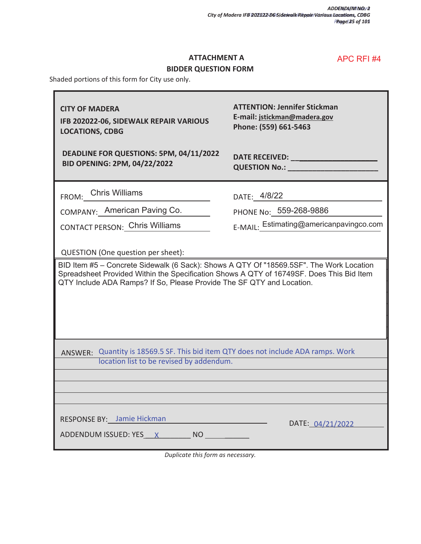#### **ATTACHMENT A**

# **BIDDER QUESTION FORM**

Shaded portions of this form for City use only.

| <b>CITY OF MADERA</b><br>IFB 202022-06, SIDEWALK REPAIR VARIOUS<br><b>LOCATIONS, CDBG</b><br>DEADLINE FOR QUESTIONS: 5PM, 04/11/2022<br>BID OPENING: 2PM, 04/22/2022                                                                                                                               | <b>ATTENTION: Jennifer Stickman</b><br>E-mail: jstickman@madera.gov<br>Phone: (559) 661-5463<br>DATE RECEIVED: And the contract of the contract of the contract of the contract of the contract of the contract of the contract of the contract of the contract of the contract of the contract of the contract of the contrac<br><b>QUESTION No.: CONSTRUCTER SERVICES</b> |  |
|----------------------------------------------------------------------------------------------------------------------------------------------------------------------------------------------------------------------------------------------------------------------------------------------------|-----------------------------------------------------------------------------------------------------------------------------------------------------------------------------------------------------------------------------------------------------------------------------------------------------------------------------------------------------------------------------|--|
|                                                                                                                                                                                                                                                                                                    |                                                                                                                                                                                                                                                                                                                                                                             |  |
| FROM: Chris Williams                                                                                                                                                                                                                                                                               | DATE: 4/8/22                                                                                                                                                                                                                                                                                                                                                                |  |
| COMPANY: American Paving Co.                                                                                                                                                                                                                                                                       | PHONE No: 559-268-9886                                                                                                                                                                                                                                                                                                                                                      |  |
| <b>CONTACT PERSON: Chris Williams</b>                                                                                                                                                                                                                                                              | E-MAIL: Estimating@americanpavingco.com                                                                                                                                                                                                                                                                                                                                     |  |
| QUESTION (One question per sheet):<br>BID Item #5 - Concrete Sidewalk (6 Sack): Shows A QTY Of "18569.5SF". The Work Location<br>Spreadsheet Provided Within the Specification Shows A QTY of 16749SF. Does This Bid Item<br>QTY Include ADA Ramps? If So, Please Provide The SF QTY and Location. |                                                                                                                                                                                                                                                                                                                                                                             |  |
| ANSWER: Quantity is 18569.5 SF. This bid item QTY does not include ADA ramps. Work<br>location list to be revised by addendum.                                                                                                                                                                     |                                                                                                                                                                                                                                                                                                                                                                             |  |
| RESPONSE BY: Jamie Hickman<br>ADDENDUM ISSUED: YES X NO                                                                                                                                                                                                                                            | DATE: 04/21/2022                                                                                                                                                                                                                                                                                                                                                            |  |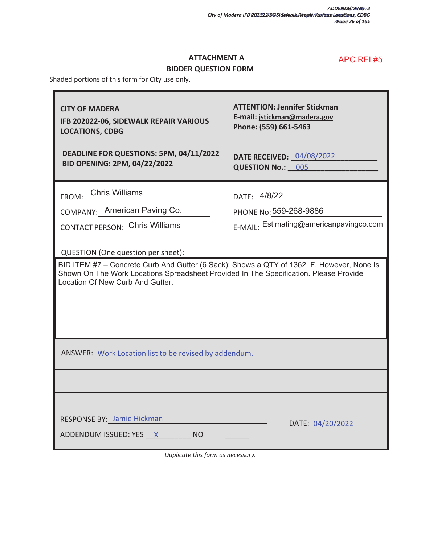٦

### **ATTACHMENT A**

# **BIDDER QUESTION FORM**

Shaded portions of this form for City use only.

 $\blacksquare$ 

| <b>CITY OF MADERA</b><br>IFB 202022-06, SIDEWALK REPAIR VARIOUS<br><b>LOCATIONS, CDBG</b>                                                                                                                                                                   | <b>ATTENTION: Jennifer Stickman</b><br>E-mail: jstickman@madera.gov<br>Phone: (559) 661-5463 |  |
|-------------------------------------------------------------------------------------------------------------------------------------------------------------------------------------------------------------------------------------------------------------|----------------------------------------------------------------------------------------------|--|
| DEADLINE FOR QUESTIONS: 5PM, 04/11/2022<br>BID OPENING: 2PM, 04/22/2022                                                                                                                                                                                     | <b>DATE RECEIVED: 04/08/2022</b><br>QUESTION No.: 005                                        |  |
| FROM:_DChris Williams                                                                                                                                                                                                                                       | DATE: 4/8/22                                                                                 |  |
| COMPANY: American Paving Co.                                                                                                                                                                                                                                | PHONE No: 559-268-9886                                                                       |  |
| CONTACT PERSON: Chris Williams                                                                                                                                                                                                                              | E-MAIL: Estimating@americanpavingco.com                                                      |  |
| QUESTION (One question per sheet):<br>BID ITEM #7 - Concrete Curb And Gutter (6 Sack): Shows a QTY of 1362LF. However, None Is<br>Shown On The Work Locations Spreadsheet Provided In The Specification. Please Provide<br>Location Of New Curb And Gutter. |                                                                                              |  |
| ANSWER: Work Location list to be revised by addendum.                                                                                                                                                                                                       |                                                                                              |  |
|                                                                                                                                                                                                                                                             |                                                                                              |  |
| RESPONSE BY: Jamie Hickman<br>ADDENDUM ISSUED: YES X NO                                                                                                                                                                                                     | DATE: 04/20/2022                                                                             |  |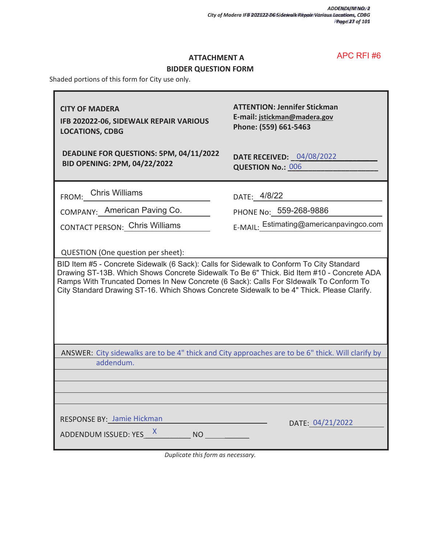### **ATTACHMENT A**

# **BIDDER QUESTION FORM**

Shaded portions of this form for City use only.

| <b>CITY OF MADERA</b><br>IFB 202022-06, SIDEWALK REPAIR VARIOUS<br><b>LOCATIONS, CDBG</b><br>DEADLINE FOR QUESTIONS: 5PM, 04/11/2022<br><b>BID OPENING: 2PM, 04/22/2022</b>                                                                                                                                                                                                                                        | <b>ATTENTION: Jennifer Stickman</b><br>E-mail: jstickman@madera.gov<br>Phone: (559) 661-5463<br><b>DATE RECEIVED: 04/08/2022</b><br><b>QUESTION No.: 006</b> |  |
|--------------------------------------------------------------------------------------------------------------------------------------------------------------------------------------------------------------------------------------------------------------------------------------------------------------------------------------------------------------------------------------------------------------------|--------------------------------------------------------------------------------------------------------------------------------------------------------------|--|
| FROM: Chris Williams                                                                                                                                                                                                                                                                                                                                                                                               | DATE: 4/8/22                                                                                                                                                 |  |
| COMPANY: American Paving Co.                                                                                                                                                                                                                                                                                                                                                                                       | PHONE No: 559-268-9886                                                                                                                                       |  |
| <b>CONTACT PERSON: Chris Williams</b>                                                                                                                                                                                                                                                                                                                                                                              | E-MAIL: Estimating@americanpavingco.com                                                                                                                      |  |
| QUESTION (One question per sheet):<br>BID Item #5 - Concrete Sidewalk (6 Sack): Calls for Sidewalk to Conform To City Standard<br>Drawing ST-13B. Which Shows Concrete Sidewalk To Be 6" Thick. Bid Item #10 - Concrete ADA<br>Ramps With Truncated Domes In New Concrete (6 Sack): Calls For SIdewalk To Conform To<br>City Standard Drawing ST-16. Which Shows Concrete Sidewalk to be 4" Thick. Please Clarify. |                                                                                                                                                              |  |
| ANSWER: City sidewalks are to be 4" thick and City approaches are to be 6" thick. Will clarify by<br>addendum.                                                                                                                                                                                                                                                                                                     |                                                                                                                                                              |  |
|                                                                                                                                                                                                                                                                                                                                                                                                                    |                                                                                                                                                              |  |
| RESPONSE BY: Jamie Hickman<br>ADDENDUM ISSUED: YES X NO                                                                                                                                                                                                                                                                                                                                                            | DATE: 04/21/2022                                                                                                                                             |  |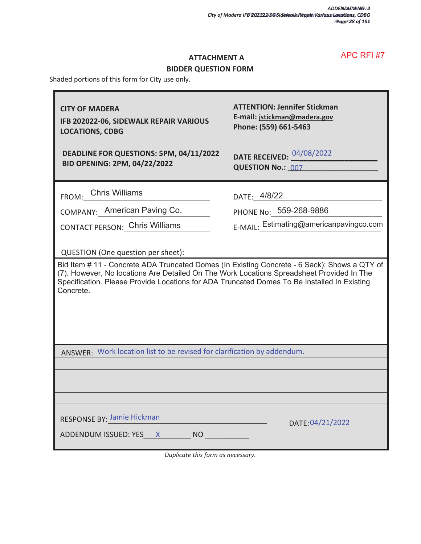Ŧ

### **ATTACHMENT A**

### **BIDDER QUESTION FORM**

Shaded portions of this form for City use only.

r

| <b>CITY OF MADERA</b><br>IFB 202022-06, SIDEWALK REPAIR VARIOUS<br><b>LOCATIONS, CDBG</b>                                                                                                                                                                                                                                                   | <b>ATTENTION: Jennifer Stickman</b><br>E-mail: jstickman@madera.gov<br>Phone: (559) 661-5463 |
|---------------------------------------------------------------------------------------------------------------------------------------------------------------------------------------------------------------------------------------------------------------------------------------------------------------------------------------------|----------------------------------------------------------------------------------------------|
| DEADLINE FOR QUESTIONS: 5PM, 04/11/2022<br><b>BID OPENING: 2PM, 04/22/2022</b>                                                                                                                                                                                                                                                              | DATE RECEIVED: 04/08/2022<br><b>QUESTION No.: 007</b>                                        |
| FROM: Chris Williams                                                                                                                                                                                                                                                                                                                        | DATE: 4/8/22                                                                                 |
| COMPANY: American Paving Co.                                                                                                                                                                                                                                                                                                                | PHONE No: 559-268-9886                                                                       |
| CONTACT PERSON: Chris Williams                                                                                                                                                                                                                                                                                                              | E-MAIL: Estimating@americanpavingco.com                                                      |
| QUESTION (One question per sheet):<br>Bid Item # 11 - Concrete ADA Truncated Domes (In Existing Concrete - 6 Sack): Shows a QTY of<br>(7). However, No locations Are Detailed On The Work Locations Spreadsheet Provided In The<br>Specification. Please Provide Locations for ADA Truncated Domes To Be Installed In Existing<br>Concrete. |                                                                                              |
| ANSWER: Work location list to be revised for clarification by addendum.                                                                                                                                                                                                                                                                     |                                                                                              |
|                                                                                                                                                                                                                                                                                                                                             |                                                                                              |
|                                                                                                                                                                                                                                                                                                                                             |                                                                                              |
| <b>RESPONSE BY: Jamie Hickman</b><br>ADDENDUM ISSUED: YES X NO                                                                                                                                                                                                                                                                              | DATE: 04/21/2022                                                                             |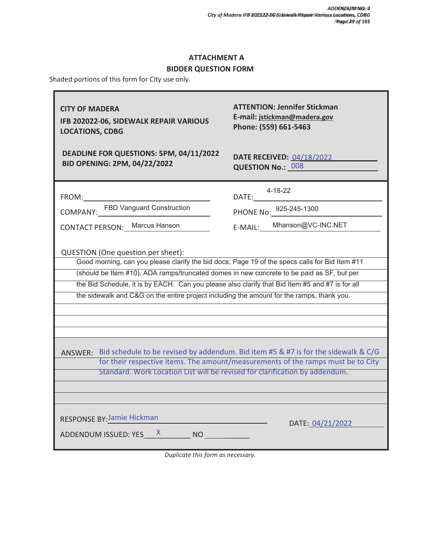# **ATTACHMENT A**

### **BIDDER QUESTION FORM**

Shaded portions of this form for City use only.

| <b>CITY OF MADERA</b><br>IFB 202022-06, SIDEWALK REPAIR VARIOUS<br><b>LOCATIONS, CDBG</b>                                                                                                                                                                                                 | <b>ATTENTION: Jennifer Stickman</b><br>E-mail: jstickman@madera.gov<br>Phone: (559) 661-5463 |  |
|-------------------------------------------------------------------------------------------------------------------------------------------------------------------------------------------------------------------------------------------------------------------------------------------|----------------------------------------------------------------------------------------------|--|
| DEADLINE FOR QUESTIONS: 5PM, 04/11/2022<br>BID OPENING: 2PM, 04/22/2022                                                                                                                                                                                                                   | <b>DATE RECEIVED: 04/18/2022</b><br>QUESTION No.: 008                                        |  |
| FROM:<br>COMPANY:__FBD Vanguard Construction                                                                                                                                                                                                                                              | 4-18-22<br>DATE: $\frac{4-10-22}{925-245-1300}$                                              |  |
| CONTACT PERSON: Marcus Hanson<br>QUESTION (One question per sheet):<br>Good morning, can you please clarify the bid docs; Page 19 of the specs calls for Bid Item #11                                                                                                                     | E-MAIL: Mhanson@VC-INC.NET                                                                   |  |
| (should be Item #10), ADA ramps/truncated domes in new concrete to be paid as SF, but per<br>the Bid Schedule, it is by EACH. Can you please also clarify that Bid Item #5 and #7 is for all<br>the sidewalk and C&G on the entire project including the amount for the ramps, thank you. |                                                                                              |  |
| ANSWER: Bid schedule to be revised by addendum. Bid item #5 & #7 is for the sidewalk & C/G                                                                                                                                                                                                |                                                                                              |  |
| Standard. Work Location List will be revised for clarification by addendum.                                                                                                                                                                                                               | for their respective items. The amount/measurements of the ramps must be to City             |  |
| <b>RESPONSE BY: Jamie Hickman</b><br>ADDENDUM ISSUED: YES X NO                                                                                                                                                                                                                            | DATE: 04/21/2022                                                                             |  |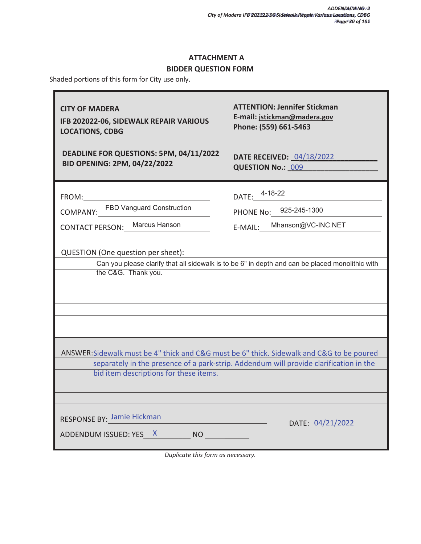ī

# **ATTACHMENT A**

### **BIDDER QUESTION FORM**

Shaded portions of this form for City use only.

 $\overline{\mathbf{r}}$ 

| <b>CITY OF MADERA</b><br>IFB 202022-06, SIDEWALK REPAIR VARIOUS<br><b>LOCATIONS, CDBG</b>                                           | <b>ATTENTION: Jennifer Stickman</b><br>E-mail: jstickman@madera.gov<br>Phone: (559) 661-5463    |
|-------------------------------------------------------------------------------------------------------------------------------------|-------------------------------------------------------------------------------------------------|
| DEADLINE FOR QUESTIONS: 5PM, 04/11/2022<br><b>BID OPENING: 2PM, 04/22/2022</b>                                                      | <b>DATE RECEIVED: 04/18/2022</b><br><b>QUESTION No.: 009</b>                                    |
| FROM:<br>COMPANY:__FBD Vanguard Construction                                                                                        | DATE: 4-18-22                                                                                   |
|                                                                                                                                     | PHONE No: 925-245-1300                                                                          |
| CONTACT PERSON: Marcus Hanson                                                                                                       | E-MAIL:___Mhanson@VC-INC.NET                                                                    |
| QUESTION (One question per sheet):<br>the C&G. Thank you.                                                                           | Can you please clarify that all sidewalk is to be 6" in depth and can be placed monolithic with |
| ANSWER: Sidewalk must be 4" thick and C&G must be 6" thick. Sidewalk and C&G to be poured<br>bid item descriptions for these items. | separately in the presence of a park-strip. Addendum will provide clarification in the          |
| <b>RESPONSE BY: Jamie Hickman</b>                                                                                                   | DATE: 04/21/2022                                                                                |
| ADDENDUM ISSUED: YES X NO                                                                                                           |                                                                                                 |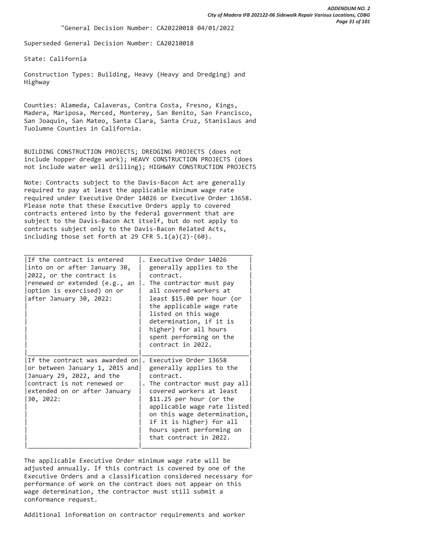Superseded General Decision Number: CA20210018

State: California

Construction Types: Building, Heavy (Heavy and Dredging) and Highway

Counties: Alameda, Calaveras, Contra Costa, Fresno, Kings, Madera, Mariposa, Merced, Monterey, San Benito, San Francisco, San Joaquin, San Mateo, Santa Clara, Santa Cruz, Stanislaus and Tuolumne Counties in California.

BUILDING CONSTRUCTION PROJECTS; DREDGING PROJECTS (does not include hopper dredge work); HEAVY CONSTRUCTION PROJECTS (does not include water well drilling); HIGHWAY CONSTRUCTION PROJECTS

Note: Contracts subject to the Davis-Bacon Act are generally required to pay at least the applicable minimum wage rate required under Executive Order 14026 or Executive Order 13658. Please note that these Executive Orders apply to covered contracts entered into by the federal government that are subject to the Davis-Bacon Act itself, but do not apply to contracts subject only to the Davis-Bacon Related Acts, including those set forth at 29 CFR  $5.1(a)(2)-(60)$ .

| If the contract is entered<br>into on or after January 30,<br>2022, or the contract is<br>renewed or extended (e.g., an<br>option is exercised) on or<br>after January 30, 2022: | Executive Order 14026<br>generally applies to the<br>contract.<br>The contractor must pay<br>all covered workers at<br>least \$15.00 per hour (or<br>the applicable wage rate<br>listed on this wage<br>determination, if it is<br>higher) for all hours<br>spent performing on the<br>contract in 2022.  |
|----------------------------------------------------------------------------------------------------------------------------------------------------------------------------------|-----------------------------------------------------------------------------------------------------------------------------------------------------------------------------------------------------------------------------------------------------------------------------------------------------------|
| If the contract was awarded on.<br>or between January 1, 2015 and<br>January 29, 2022, and the<br>contract is not renewed or<br>extended on or after January<br>30, 2022:        | Executive Order 13658<br>generally applies to the<br>contract.<br>. The contractor must pay all<br>covered workers at least<br>$$11.25$ per hour (or the<br>applicable wage rate listed<br>on this wage determination,<br>if it is higher) for all<br>hours spent performing on<br>that contract in 2022. |

The applicable Executive Order minimum wage rate will be adjusted annually. If this contract is covered by one of the Executive Orders and a classification considered necessary for performance of work on the contract does not appear on this wage determination, the contractor must still submit a conformance request.

Additional information on contractor requirements and worker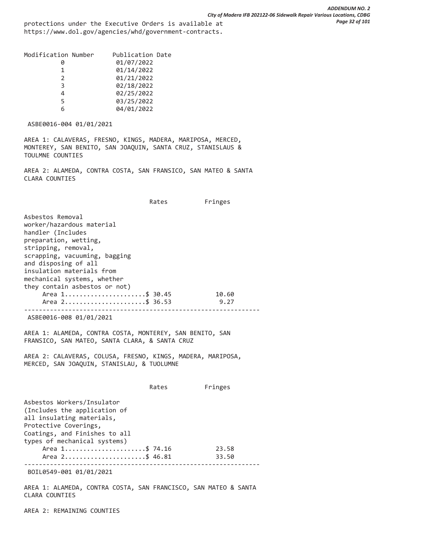protections under the Executive Orders is available at https://www.dol.gov/agencies/whd/government-contracts.

| Modification Number | Publication Date |
|---------------------|------------------|
|                     | 01/07/2022       |
|                     | 01/14/2022       |
|                     | 01/21/2022       |
|                     | 02/18/2022       |
|                     | 02/25/2022       |
|                     | 03/25/2022       |
|                     | 04/01/2022       |
|                     |                  |

ASBE0016-004 01/01/2021

AREA 1: CALAVERAS, FRESNO, KINGS, MADERA, MARIPOSA, MERCED, MONTEREY, SAN BENITO, SAN JOAQUIN, SANTA CRUZ, STANISLAUS & TOULMNE COUNTIES

AREA 2: ALAMEDA, CONTRA COSTA, SAN FRANSICO, SAN MATEO & SANTA CLARA COUNTIES

Rates Fringes

Asbestos Removal worker/hazardous material handler (Includes preparation, wetting, stripping, removal, scrapping, vacuuming, bagging and disposing of all insulation materials from mechanical systems, whether they contain asbestos or not) Area 1.........................\$ 30.45 10.60 Area 2.........................\$ 36.53 9.27 ---------------------------------------------------------------- ASBE0016-008 01/01/2021 AREA 1: ALAMEDA, CONTRA COSTA, MONTEREY, SAN BENITO, SAN FRANSICO, SAN MATEO, SANTA CLARA, & SANTA CRUZ AREA 2: CALAVERAS, COLUSA, FRESNO, KINGS, MADERA, MARIPOSA, MERCED, SAN JOAQUIN, STANISLAU, & TUOLUMNE Rates Fringes Asbestos Workers/Insulator (Includes the application of all insulating materials, Protective Coverings, Coatings, and Finishes to all types of mechanical systems) Area 1..........................\$ 74.16 23.58 Area 2..........................\$ 46.81 33.50 ---------------------------------------------------------------- BOIL0549-001 01/01/2021

AREA 1: ALAMEDA, CONTRA COSTA, SAN FRANCISCO, SAN MATEO & SANTA CLARA COUNTIES

AREA 2: REMAINING COUNTIES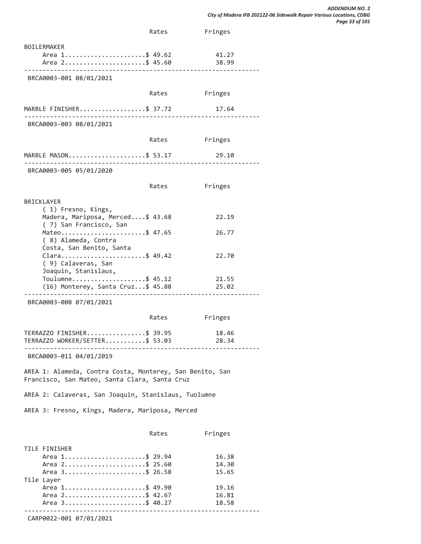|                                                                                                           | Rates | Fringes                 |
|-----------------------------------------------------------------------------------------------------------|-------|-------------------------|
| <b>BOILERMAKER</b><br>Area 1\$ 49.62<br>Area 2\$ 45.60                                                    |       | 41.27<br>38.99          |
| BRCA0003-001 08/01/2021                                                                                   |       |                         |
|                                                                                                           | Rates | Fringes                 |
| MARBLE FINISHER\$ 37.72                                                                                   |       | 17.64                   |
| BRCA0003-003 08/01/2021                                                                                   |       |                         |
|                                                                                                           | Rates | Fringes                 |
| MARBLE MASON\$ 53.17                                                                                      |       | 29.10                   |
| BRCA0003-005 05/01/2020                                                                                   |       |                         |
|                                                                                                           | Rates | Fringes                 |
| <b>BRICKLAYER</b><br>(1) Fresno, Kings,<br>Madera, Mariposa, Merced\$ 43.68                               |       | 22.19                   |
| (7) San Francisco, San<br>Mateo\$ 47.65                                                                   |       | 26.77                   |
| (8) Alameda, Contra<br>Costa, San Benito, Santa                                                           |       |                         |
| Clara\$ 49.42<br>( 9) Calaveras, San<br>Joaquin, Stanislaus,                                              |       | 22.70                   |
| Toulumne\$ 45.12<br>(16) Monterey, Santa Cruz\$ 45.88                                                     |       | 21.55<br>25.02          |
| BRCA0003-008 07/01/2021                                                                                   |       |                         |
|                                                                                                           | Rates | Fringes                 |
| TERRAZZO FINISHER\$ 39.95<br>TERRAZZO WORKER/SETTER\$ 53.03                                               |       | 18.46<br>28.34          |
| BRCA0003-011 04/01/2019                                                                                   |       |                         |
| AREA 1: Alameda, Contra Costa, Monterey, San Benito, San<br>Francisco, San Mateo, Santa Clara, Santa Cruz |       |                         |
| AREA 2: Calaveras, San Joaquin, Stanislaus, Tuolumne                                                      |       |                         |
| AREA 3: Fresno, Kings, Madera, Mariposa, Merced                                                           |       |                         |
|                                                                                                           | Rates | Fringes                 |
| TILE FINISHER<br>Area 1\$ 29.94<br>Area 2\$ 25.60<br>Area 3\$ 26.58                                       |       | 16.38<br>14.30<br>15.65 |
| Tile Layer<br>Area 1\$ 49.90<br>Area 2\$ 42.67<br>Area 3\$ 40.27                                          |       | 19.16<br>16.81<br>18.58 |
|                                                                                                           |       |                         |

CARP0022-001 07/01/2021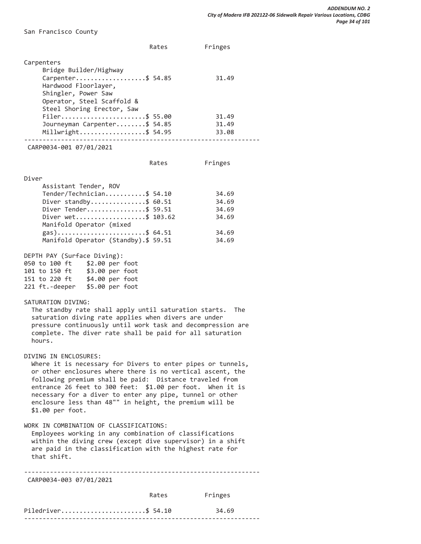San Francisco County

|                                                                                                                                                                                                                                                                                                                                                                                                                       | Rates | Fringes        |
|-----------------------------------------------------------------------------------------------------------------------------------------------------------------------------------------------------------------------------------------------------------------------------------------------------------------------------------------------------------------------------------------------------------------------|-------|----------------|
| Carpenters                                                                                                                                                                                                                                                                                                                                                                                                            |       |                |
| Bridge Builder/Highway<br>Carpenter\$ 54.85<br>Hardwood Floorlayer,<br>Shingler, Power Saw<br>Operator, Steel Scaffold &                                                                                                                                                                                                                                                                                              |       | 31.49          |
| Steel Shoring Erector, Saw<br>Filer\$ 55.00                                                                                                                                                                                                                                                                                                                                                                           |       | 31.49          |
| Journeyman Carpenter\$ 54.85<br>Millwright\$ 54.95                                                                                                                                                                                                                                                                                                                                                                    |       | 31.49<br>33.08 |
| CARP0034-001 07/01/2021                                                                                                                                                                                                                                                                                                                                                                                               |       |                |
|                                                                                                                                                                                                                                                                                                                                                                                                                       | Rates | Fringes        |
| Diver                                                                                                                                                                                                                                                                                                                                                                                                                 |       |                |
| Assistant Tender, ROV                                                                                                                                                                                                                                                                                                                                                                                                 |       |                |
| Tender/Technician\$ 54.10                                                                                                                                                                                                                                                                                                                                                                                             |       | 34.69          |
| Diver standby\$ $60.51$<br>Diver Tender\$ 59.51                                                                                                                                                                                                                                                                                                                                                                       |       | 34.69<br>34.69 |
| Diver wet\$ 103.62                                                                                                                                                                                                                                                                                                                                                                                                    |       | 34.69          |
| Manifold Operator (mixed                                                                                                                                                                                                                                                                                                                                                                                              |       |                |
| gas)\$ 64.51                                                                                                                                                                                                                                                                                                                                                                                                          |       | 34.69          |
| Manifold Operator (Standby).\$ 59.51                                                                                                                                                                                                                                                                                                                                                                                  |       | 34.69          |
| DEPTH PAY (Surface Diving):<br>050 to 100 ft \$2.00 per foot<br>101 to 150 ft \$3.00 per foot<br>151 to 220 ft \$4.00 per foot<br>221 ft.-deeper \$5.00 per foot<br>SATURATION DIVING:                                                                                                                                                                                                                                |       |                |
| The standby rate shall apply until saturation starts.<br>saturation diving rate applies when divers are under<br>pressure continuously until work task and decompression are<br>complete. The diver rate shall be paid for all saturation<br>hours.                                                                                                                                                                   |       | The            |
| DIVING IN ENCLOSURES:<br>Where it is necessary for Divers to enter pipes or tunnels,<br>or other enclosures where there is no vertical ascent, the<br>following premium shall be paid: Distance traveled from<br>entrance 26 feet to 300 feet: \$1.00 per foot. When it is<br>necessary for a diver to enter any pipe, tunnel or other<br>enclosure less than 48"" in height, the premium will be<br>\$1.00 per foot. |       |                |
| WORK IN COMBINATION OF CLASSIFICATIONS:<br>Employees working in any combination of classifications<br>within the diving crew (except dive supervisor) in a shift<br>are paid in the classification with the highest rate for<br>that shift.                                                                                                                                                                           |       |                |
| CARP0034-003 07/01/2021                                                                                                                                                                                                                                                                                                                                                                                               |       |                |
|                                                                                                                                                                                                                                                                                                                                                                                                                       | Rates | Fringes        |
| Piledriver\$ 54.10                                                                                                                                                                                                                                                                                                                                                                                                    |       | 34.69          |

----------------------------------------------------------------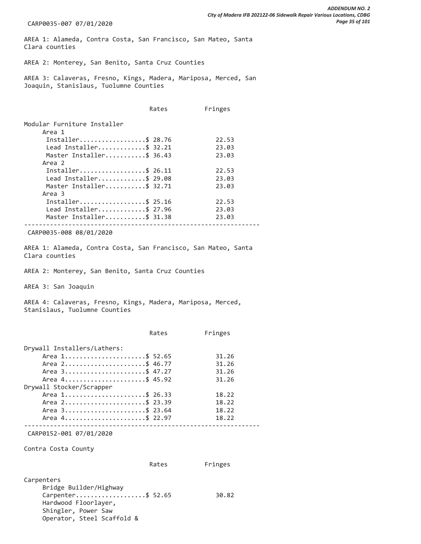CARP0035-007 07/01/2020

AREA 1: Alameda, Contra Costa, San Francisco, San Mateo, Santa Clara counties

AREA 2: Monterey, San Benito, Santa Cruz Counties

AREA 3: Calaveras, Fresno, Kings, Madera, Mariposa, Merced, San Joaquin, Stanislaus, Tuolumne Counties

|                             | Rates | Fringes |
|-----------------------------|-------|---------|
| Modular Furniture Installer |       |         |
| Area 1                      |       |         |
| Installer\$ 28.76           |       | 22.53   |
| Lead Installer\$ 32.21      |       | 23.03   |
| Master Installer\$ 36.43    |       | 23.03   |
| Area 2                      |       |         |
| Installer\$ 26.11           |       | 22.53   |
| Lead Installer\$ 29.08      |       | 23.03   |
| Master Installer\$ 32.71    |       | 23.03   |
| Area 3                      |       |         |
| Installer\$ 25.16           |       | 22.53   |
| Lead Installer\$ 27.96      |       | 23.03   |
| Master Installer\$ 31.38    |       | 23.03   |
|                             |       |         |
|                             |       |         |

CARP0035-008 08/01/2020

AREA 1: Alameda, Contra Costa, San Francisco, San Mateo, Santa Clara counties

AREA 2: Monterey, San Benito, Santa Cruz Counties

AREA 3: San Joaquin

AREA 4: Calaveras, Fresno, Kings, Madera, Mariposa, Merced, Stanislaus, Tuolumne Counties

|                                                                                   | Rates | Fringes                 |
|-----------------------------------------------------------------------------------|-------|-------------------------|
| Drywall Installers/Lathers:<br>Area 1\$ 52.65<br>Area 2\$ 46.77<br>Area 3\$ 47.27 |       | 31.26<br>31.26<br>31.26 |
| Area 4\$ 45.92                                                                    |       | 31.26                   |
| Drywall Stocker/Scrapper                                                          |       |                         |
| Area 1\$ 26.33                                                                    |       | 18.22                   |
| Area 2\$ 23.39                                                                    |       | 18.22                   |
| Area 3\$ 23.64                                                                    |       | 18.22                   |
| Area 4\$ 22.97                                                                    |       | 18.22                   |

CARP0152-001 07/01/2020

Contra Costa County

|            | Rates | Fringes |
|------------|-------|---------|
|            |       |         |
| Carnenters |       |         |

| Carpenters                 |       |
|----------------------------|-------|
| Bridge Builder/Highway     |       |
| Carpenter\$ 52.65          | 30.82 |
| Hardwood Floorlayer,       |       |
| Shingler, Power Saw        |       |
| Operator, Steel Scaffold & |       |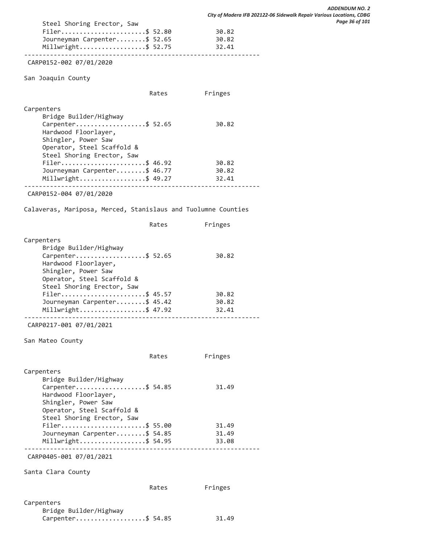| Filer\$ 52.80                | 30.82 |
|------------------------------|-------|
| Journeyman Carpenter\$ 52.65 | 30.82 |
| Millwright\$ 52.75           | 32.41 |
|                              |       |

CARP0152-002 07/01/2020

Steel Shoring Erector, Saw

San Joaquin County

|                                                                                                                                                                      | Rates | Fringes                 |  |
|----------------------------------------------------------------------------------------------------------------------------------------------------------------------|-------|-------------------------|--|
| Carpenters<br>Bridge Builder/Highway<br>Carpenter\$ 52.65<br>Hardwood Floorlayer,<br>Shingler, Power Saw<br>Operator, Steel Scaffold &<br>Steel Shoring Erector, Saw |       | 30.82                   |  |
| Filer\$ 46.92<br>Journeyman Carpenter\$ 46.77<br>$Millwright$ \$ 49.27                                                                                               |       | 30.82<br>30.82<br>32.41 |  |
| CARP0152-004 07/01/2020                                                                                                                                              |       |                         |  |

Calaveras, Mariposa, Merced, Stanislaus and Tuolumne Counties

|                                                                                                         | Rates | Fringes        |  |
|---------------------------------------------------------------------------------------------------------|-------|----------------|--|
| Carpenters<br>Bridge Builder/Highway<br>Carpenter\$ 52.65                                               |       | 30.82          |  |
| Hardwood Floorlayer,<br>Shingler, Power Saw<br>Operator, Steel Scaffold &<br>Steel Shoring Erector, Saw |       |                |  |
| Filer\$ 45.57                                                                                           |       | 30.82          |  |
| Journeyman Carpenter\$ 45.42<br>Millwright\$ 47.92                                                      |       | 30.82<br>32.41 |  |
|                                                                                                         |       |                |  |

CARP0217-001 07/01/2021

San Mateo County

|                                             | Rates | Fringes |
|---------------------------------------------|-------|---------|
| Carpenters<br>Bridge Builder/Highway        |       |         |
| Carpenter\$ 54.85                           |       | 31.49   |
| Hardwood Floorlayer,<br>Shingler, Power Saw |       |         |
| Operator, Steel Scaffold &                  |       |         |
| Steel Shoring Erector, Saw                  |       |         |
| Filer\$ 55.00                               |       | 31.49   |
| Journeyman Carpenter\$ 54.85                |       | 31.49   |
| Millwright\$ 54.95                          |       | 33.08   |
|                                             |       |         |

CARP0405-001 07/01/2021

Santa Clara County

| Carpenters             |       |
|------------------------|-------|
| Bridge Builder/Highway |       |
| Carpenter\$ 54.85      | 31.49 |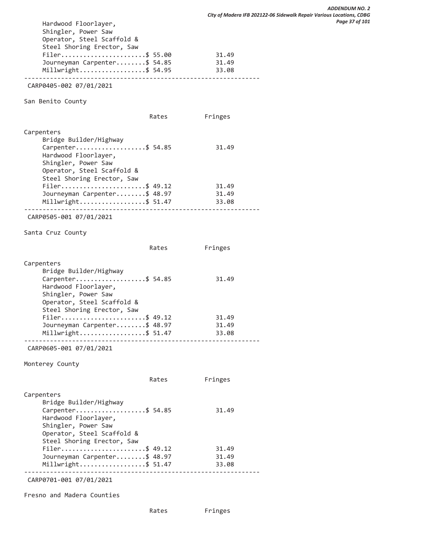| Hardwood Floorlayer,<br>Shingler, Power Saw<br>Operator, Steel Scaffold &<br>Steel Shoring Erector, Saw |       |         |
|---------------------------------------------------------------------------------------------------------|-------|---------|
| Filer\$ 55.00                                                                                           |       | 31.49   |
| Journeyman Carpenter\$ 54.85                                                                            |       | 31.49   |
| Millwright\$ 54.95                                                                                      |       | 33.08   |
| CARP0405-002 07/01/2021                                                                                 |       |         |
| San Benito County                                                                                       |       |         |
|                                                                                                         | Rates | Fringes |
| Carpenters                                                                                              |       |         |
| Bridge Builder/Highway                                                                                  |       |         |
| Carpenter\$ 54.85<br>Hardwood Floorlayer,<br>Shingler, Power Saw                                        |       | 31.49   |
| Operator, Steel Scaffold &                                                                              |       |         |
| Steel Shoring Erector, Saw<br>Filer\$ 49.12                                                             |       | 31.49   |
| Journeyman Carpenter\$ 48.97                                                                            |       | 31.49   |
| Millwright\$ 51.47                                                                                      |       | 33.08   |
| CARP0505-001 07/01/2021                                                                                 |       |         |
| Santa Cruz County                                                                                       |       |         |
|                                                                                                         | Rates | Fringes |
| Carpenters                                                                                              |       |         |
| Bridge Builder/Highway<br>Carpenter\$ 54.85                                                             |       | 31.49   |
| Hardwood Floorlayer,                                                                                    |       |         |
| Shingler, Power Saw                                                                                     |       |         |
| Operator, Steel Scaffold &                                                                              |       |         |
| Steel Shoring Erector, Saw<br>Filer\$ 49.12                                                             |       | 31.49   |
| Journeyman Carpenter\$ 48.97                                                                            |       | 31.49   |
| Millwright\$ 51.47                                                                                      |       | 33.08   |
| CARP0605-001 07/01/2021                                                                                 |       |         |
| Monterey County                                                                                         |       |         |
|                                                                                                         | Rates | Fringes |
| Carpenters                                                                                              |       |         |
| Bridge Builder/Highway                                                                                  |       |         |
| Carpenter\$ 54.85<br>Hardwood Floorlayer,<br>Shingler, Power Saw                                        |       | 31.49   |
| Operator, Steel Scaffold &<br>Steel Shoring Erector, Saw                                                |       |         |
| Filer\$ 49.12                                                                                           |       | 31.49   |
| Journeyman Carpenter\$ 48.97                                                                            |       | 31.49   |
| Millwright\$ 51.47                                                                                      |       | 33.08   |
| CARP0701-001 07/01/2021                                                                                 |       |         |

Fresno and Madera Counties

Rates Fringes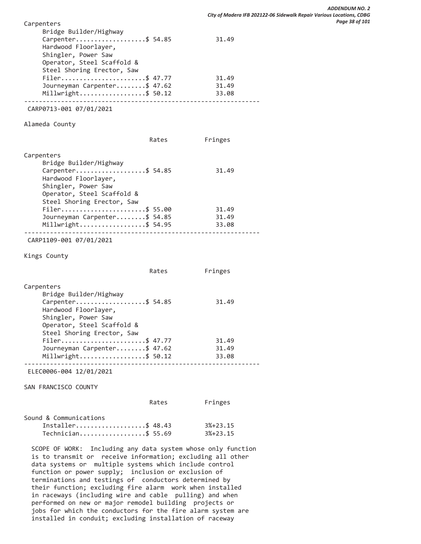| Carpenters<br>Bridge Builder/Highway<br>Carpenter\$ 54.85<br>Hardwood Floorlayer,<br>Shingler, Power Saw<br>Operator, Steel Scaffold &<br>Steel Shoring Erector, Saw<br>Filer\$ 47.77<br>Journeyman Carpenter\$ 47.62<br>Millwright\$ 50.12                                                                                                                                                                                                                                           |       | 31.49<br>31.49<br>31.49<br>33.08 |  |
|---------------------------------------------------------------------------------------------------------------------------------------------------------------------------------------------------------------------------------------------------------------------------------------------------------------------------------------------------------------------------------------------------------------------------------------------------------------------------------------|-------|----------------------------------|--|
| CARP0713-001 07/01/2021                                                                                                                                                                                                                                                                                                                                                                                                                                                               |       |                                  |  |
|                                                                                                                                                                                                                                                                                                                                                                                                                                                                                       |       |                                  |  |
| Alameda County                                                                                                                                                                                                                                                                                                                                                                                                                                                                        |       |                                  |  |
|                                                                                                                                                                                                                                                                                                                                                                                                                                                                                       | Rates | Fringes                          |  |
| Carpenters<br>Bridge Builder/Highway<br>Carpenter\$ 54.85<br>Hardwood Floorlayer,<br>Shingler, Power Saw<br>Operator, Steel Scaffold &<br>Steel Shoring Erector, Saw                                                                                                                                                                                                                                                                                                                  |       | 31.49                            |  |
| Filer\$ 55.00                                                                                                                                                                                                                                                                                                                                                                                                                                                                         |       | 31.49                            |  |
| Journeyman Carpenter\$ 54.85<br>Millwright\$ 54.95                                                                                                                                                                                                                                                                                                                                                                                                                                    |       | 31.49<br>33.08                   |  |
|                                                                                                                                                                                                                                                                                                                                                                                                                                                                                       |       |                                  |  |
| CARP1109-001 07/01/2021                                                                                                                                                                                                                                                                                                                                                                                                                                                               |       |                                  |  |
| Kings County                                                                                                                                                                                                                                                                                                                                                                                                                                                                          |       |                                  |  |
|                                                                                                                                                                                                                                                                                                                                                                                                                                                                                       | Rates | Fringes                          |  |
| Carpenters<br>Bridge Builder/Highway<br>Carpenter\$ 54.85<br>Hardwood Floorlayer,<br>Shingler, Power Saw<br>Operator, Steel Scaffold &<br>Steel Shoring Erector, Saw<br>Filer\$ 47.77<br>Journeyman Carpenter\$ 47.62                                                                                                                                                                                                                                                                 |       | 31.49<br>31.49<br>31.49          |  |
| Millwright\$ 50.12                                                                                                                                                                                                                                                                                                                                                                                                                                                                    |       | 33.08                            |  |
| ELEC0006-004 12/01/2021                                                                                                                                                                                                                                                                                                                                                                                                                                                               |       |                                  |  |
| SAN FRANCISCO COUNTY                                                                                                                                                                                                                                                                                                                                                                                                                                                                  |       |                                  |  |
|                                                                                                                                                                                                                                                                                                                                                                                                                                                                                       | Rates | Fringes                          |  |
| Sound & Communications<br>Installer\$ 48.43<br>Technician\$ 55.69                                                                                                                                                                                                                                                                                                                                                                                                                     |       | $3%+23.15$<br>$3%+23.15$         |  |
| SCOPE OF WORK: Including any data system whose only function<br>is to transmit or receive information; excluding all other<br>data systems or multiple systems which include control<br>function or power supply; inclusion or exclusion of<br>terminations and testings of conductors determined by<br>their function; excluding fire alarm work when installed<br>in raceways (including wire and cable pulling) and when<br>performed on new or major remodel building projects or |       |                                  |  |

 jobs for which the conductors for the fire alarm system are installed in conduit; excluding installation of raceway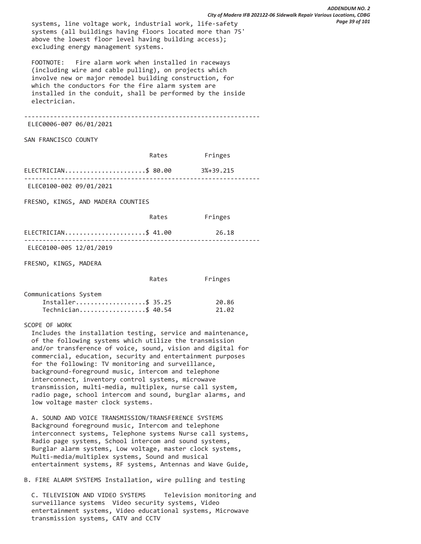systems, line voltage work, industrial work, life-safety systems (all buildings having floors located more than 75' above the lowest floor level having building access); excluding energy management systems.

 FOOTNOTE: Fire alarm work when installed in raceways (including wire and cable pulling), on projects which involve new or major remodel building construction, for which the conductors for the fire alarm system are installed in the conduit, shall be performed by the inside electrician.

----------------------------------------------------------------

ELEC0006-007 06/01/2021

SAN FRANCISCO COUNTY

|                                    | Rates | Fringes   |  |
|------------------------------------|-------|-----------|--|
| ELECTRICIAN\$ 80.00                |       | 3%+39.215 |  |
| ELEC0100-002 09/01/2021            |       |           |  |
| FRESNO, KINGS, AND MADERA COUNTIES |       |           |  |
|                                    | Rates | Fringes   |  |

|                         | $ELECTRICIAN$ \$ 41.00 | 26.18 |
|-------------------------|------------------------|-------|
|                         |                        |       |
| ELEC0100-005 12/01/2019 |                        |       |

FRESNO, KINGS, MADERA

|                       | Rates | Fringes |
|-----------------------|-------|---------|
| Communications System |       |         |
| Installer\$ 35.25     |       | 20.86   |
| Technician\$ 40.54    |       | 21.02   |

SCOPE OF WORK

 Includes the installation testing, service and maintenance, of the following systems which utilize the transmission and/or transference of voice, sound, vision and digital for commercial, education, security and entertainment purposes for the following: TV monitoring and surveillance, background-foreground music, intercom and telephone interconnect, inventory control systems, microwave transmission, multi-media, multiplex, nurse call system, radio page, school intercom and sound, burglar alarms, and low voltage master clock systems.

 A. SOUND AND VOICE TRANSMISSION/TRANSFERENCE SYSTEMS Background foreground music, Intercom and telephone interconnect systems, Telephone systems Nurse call systems, Radio page systems, School intercom and sound systems, Burglar alarm systems, Low voltage, master clock systems, Multi-media/multiplex systems, Sound and musical entertainment systems, RF systems, Antennas and Wave Guide,

B. FIRE ALARM SYSTEMS Installation, wire pulling and testing

 C. TELEVISION AND VIDEO SYSTEMS Television monitoring and surveillance systems Video security systems, Video entertainment systems, Video educational systems, Microwave transmission systems, CATV and CCTV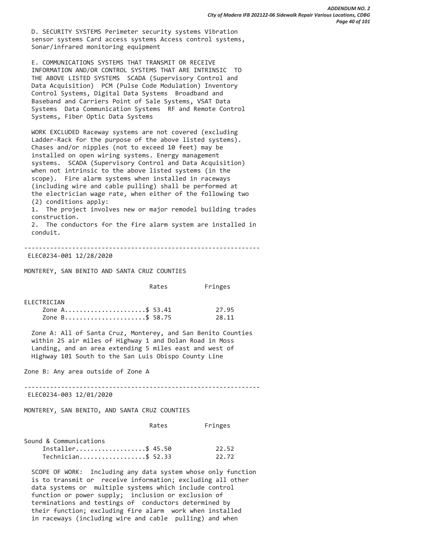D. SECURITY SYSTEMS Perimeter security systems Vibration sensor systems Card access systems Access control systems, Sonar/infrared monitoring equipment

 E. COMMUNICATIONS SYSTEMS THAT TRANSMIT OR RECEIVE INFORMATION AND/OR CONTROL SYSTEMS THAT ARE INTRINSIC TO THE ABOVE LISTED SYSTEMS SCADA (Supervisory Control and Data Acquisition) PCM (Pulse Code Modulation) Inventory Control Systems, Digital Data Systems Broadband and Baseband and Carriers Point of Sale Systems, VSAT Data Systems Data Communication Systems RF and Remote Control Systems, Fiber Optic Data Systems

 WORK EXCLUDED Raceway systems are not covered (excluding Ladder-Rack for the purpose of the above listed systems). Chases and/or nipples (not to exceed 10 feet) may be installed on open wiring systems. Energy management systems. SCADA (Supervisory Control and Data Acquisition) when not intrinsic to the above listed systems (in the scope). Fire alarm systems when installed in raceways (including wire and cable pulling) shall be performed at the electrician wage rate, when either of the following two (2) conditions apply:

 1. The project involves new or major remodel building trades construction.

 2. The conductors for the fire alarm system are installed in conduit.

----------------------------------------------------------------

# ELEC0234-001 12/28/2020

MONTEREY, SAN BENITO AND SANTA CRUZ COUNTIES

|                | Rates | Fringes |  |
|----------------|-------|---------|--|
| FI FCTRTCTAN   |       |         |  |
| Zone A\$ 53.41 |       | 27.95   |  |
| Zone B\$ 58.75 |       | 28.11   |  |

 Zone A: All of Santa Cruz, Monterey, and San Benito Counties within 25 air miles of Highway 1 and Dolan Road in Moss Landing, and an area extending 5 miles east and west of Highway 101 South to the San Luis Obispo County Line

Zone B: Any area outside of Zone A

----------------------------------------------------------------

ELEC0234-003 12/01/2020

# MONTEREY, SAN BENITO, AND SANTA CRUZ COUNTIES

|                        | Rates | Fringes |
|------------------------|-------|---------|
| Sound & Communications |       |         |
| Installer\$ 45.50      |       | 22.52   |
| Technician\$ 52.33     |       | 22.72   |

 SCOPE OF WORK: Including any data system whose only function is to transmit or receive information; excluding all other data systems or multiple systems which include control function or power supply; inclusion or exclusion of terminations and testings of conductors determined by their function; excluding fire alarm work when installed in raceways (including wire and cable pulling) and when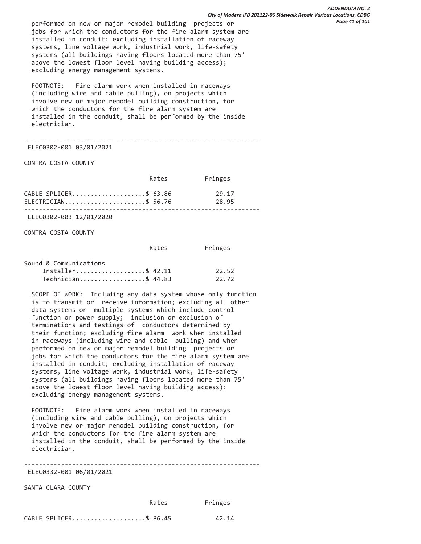performed on new or major remodel building projects or jobs for which the conductors for the fire alarm system are installed in conduit; excluding installation of raceway systems, line voltage work, industrial work, life-safety systems (all buildings having floors located more than 75' above the lowest floor level having building access); excluding energy management systems.

 FOOTNOTE: Fire alarm work when installed in raceways (including wire and cable pulling), on projects which involve new or major remodel building construction, for which the conductors for the fire alarm system are installed in the conduit, shall be performed by the inside electrician.

----------------------------------------------------------------

ELEC0302-001 03/01/2021

CONTRA COSTA COUNTY

|                        | Rates | Fringes |
|------------------------|-------|---------|
| CABLE SPLICER\$ 63.86  |       | 29.17   |
| $ELECTRICIAN$ \$ 56.76 |       | 28.95   |

ELEC0302-003 12/01/2020

CONTRA COSTA COUNTY

|                        | Rates | Fringes |
|------------------------|-------|---------|
| Sound & Communications |       |         |
| Installer\$ 42.11      |       | 22.52   |
| Technician\$ 44.83     |       | 22.72   |

 SCOPE OF WORK: Including any data system whose only function is to transmit or receive information; excluding all other data systems or multiple systems which include control function or power supply; inclusion or exclusion of terminations and testings of conductors determined by their function; excluding fire alarm work when installed in raceways (including wire and cable pulling) and when performed on new or major remodel building projects or jobs for which the conductors for the fire alarm system are installed in conduit; excluding installation of raceway systems, line voltage work, industrial work, life-safety systems (all buildings having floors located more than 75' above the lowest floor level having building access); excluding energy management systems.

 FOOTNOTE: Fire alarm work when installed in raceways (including wire and cable pulling), on projects which involve new or major remodel building construction, for which the conductors for the fire alarm system are installed in the conduit, shall be performed by the inside electrician.

----------------------------------------------------------------

ELEC0332-001 06/01/2021

SANTA CLARA COUNTY

Rates Fringes

|  |  | CABLE SPLICER\$ 86.45 | 42.14 |
|--|--|-----------------------|-------|
|--|--|-----------------------|-------|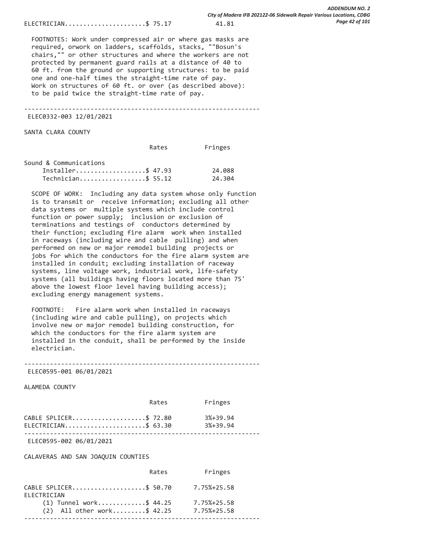ELECTRICIAN.......................\$ 75.17 41.81

 FOOTNOTES: Work under compressed air or where gas masks are required, orwork on ladders, scaffolds, stacks, ""Bosun's chairs,"" or other structures and where the workers are not protected by permanent guard rails at a distance of 40 to 60 ft. from the ground or supporting structures: to be paid one and one-half times the straight-time rate of pay. Work on structures of 60 ft. or over (as described above): to be paid twice the straight-time rate of pay.

----------------------------------------------------------------

ELEC0332-003 12/01/2021

SANTA CLARA COUNTY

|                        | Rates | Fringes |
|------------------------|-------|---------|
| Sound & Communications |       |         |
| Installer\$ 47.93      |       | 24.088  |
| Technician\$ 55.12     |       | 24,304  |

 SCOPE OF WORK: Including any data system whose only function is to transmit or receive information; excluding all other data systems or multiple systems which include control function or power supply; inclusion or exclusion of terminations and testings of conductors determined by their function; excluding fire alarm work when installed in raceways (including wire and cable pulling) and when performed on new or major remodel building projects or jobs for which the conductors for the fire alarm system are installed in conduit; excluding installation of raceway systems, line voltage work, industrial work, life-safety systems (all buildings having floors located more than 75' above the lowest floor level having building access); excluding energy management systems.

 FOOTNOTE: Fire alarm work when installed in raceways (including wire and cable pulling), on projects which involve new or major remodel building construction, for which the conductors for the fire alarm system are installed in the conduit, shall be performed by the inside electrician.

----------------------------------------------------------------

ELEC0595-001 06/01/2021

ALAMEDA COUNTY

|                                                | Rates | Fringes                      |
|------------------------------------------------|-------|------------------------------|
| CABLE SPLICER\$ 72.80<br>ELECTRICIAN\$ $63.30$ |       | $3% + 39.94$<br>$3% + 39.94$ |

ELEC0595-002 06/01/2021

CALAVERAS AND SAN JOAQUIN COUNTIES

|                              | Rates | Fringes     |
|------------------------------|-------|-------------|
| CABLE SPLICER\$ 50.70        |       | 7.75%+25.58 |
| ELECTRICIAN                  |       |             |
| $(1)$ Tunnel work\$ 44.25    |       | 7.75%+25.58 |
| $(2)$ All other work\$ 42.25 |       | 7.75%+25.58 |
|                              |       |             |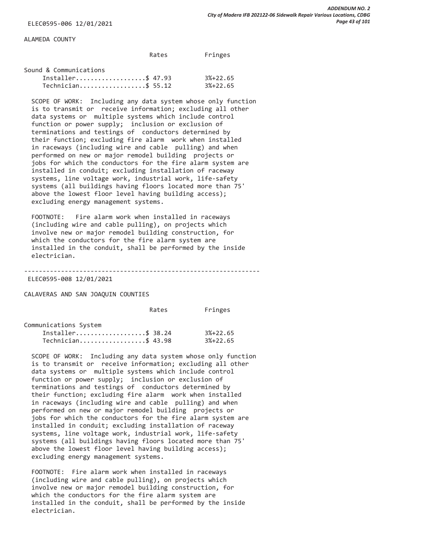ALAMEDA COUNTY

|                        | Rates | Fringes |
|------------------------|-------|---------|
| Sound & Communications |       |         |

| Sound & Communications |            |
|------------------------|------------|
| Installer\$ 47.93      | $3%+22.65$ |
| $Technician$ \$ 55.12  | $3%+22.65$ |

 SCOPE OF WORK: Including any data system whose only function is to transmit or receive information; excluding all other data systems or multiple systems which include control function or power supply; inclusion or exclusion of terminations and testings of conductors determined by their function; excluding fire alarm work when installed in raceways (including wire and cable pulling) and when performed on new or major remodel building projects or jobs for which the conductors for the fire alarm system are installed in conduit; excluding installation of raceway systems, line voltage work, industrial work, life-safety systems (all buildings having floors located more than 75' above the lowest floor level having building access); excluding energy management systems.

 FOOTNOTE: Fire alarm work when installed in raceways (including wire and cable pulling), on projects which involve new or major remodel building construction, for which the conductors for the fire alarm system are installed in the conduit, shall be performed by the inside electrician.

----------------------------------------------------------------

ELEC0595-008 12/01/2021

CALAVERAS AND SAN JOAQUIN COUNTIES

Rates Fringes

| Communications System |                    |            |
|-----------------------|--------------------|------------|
|                       | Installer\$ 38.24  | $3%+22.65$ |
|                       | Technician\$ 43.98 | $3%+22.65$ |

 SCOPE OF WORK: Including any data system whose only function is to transmit or receive information; excluding all other data systems or multiple systems which include control function or power supply; inclusion or exclusion of terminations and testings of conductors determined by their function; excluding fire alarm work when installed in raceways (including wire and cable pulling) and when performed on new or major remodel building projects or jobs for which the conductors for the fire alarm system are installed in conduit; excluding installation of raceway systems, line voltage work, industrial work, life-safety systems (all buildings having floors located more than 75' above the lowest floor level having building access); excluding energy management systems.

 FOOTNOTE: Fire alarm work when installed in raceways (including wire and cable pulling), on projects which involve new or major remodel building construction, for which the conductors for the fire alarm system are installed in the conduit, shall be performed by the inside electrician.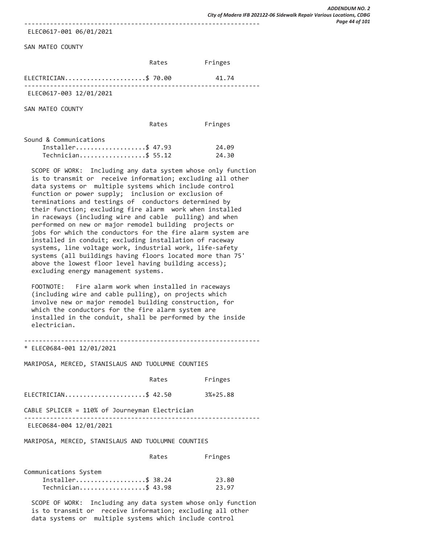ELEC0617-001 06/01/2021

SAN MATEO COUNTY

|                         | Rates | Fringes |  |
|-------------------------|-------|---------|--|
| $ELECTRICIAN$ \$ 70.00  |       | 41.74   |  |
| ELEC0617-003 12/01/2021 |       |         |  |

SAN MATEO COUNTY

| Rates | Fringes |
|-------|---------|
|       |         |

| Sound & Communications |       |
|------------------------|-------|
| Installer\$ 47.93      | 24.09 |
| Technician\$ 55.12     | 24.30 |

 SCOPE OF WORK: Including any data system whose only function is to transmit or receive information; excluding all other data systems or multiple systems which include control function or power supply; inclusion or exclusion of terminations and testings of conductors determined by their function; excluding fire alarm work when installed in raceways (including wire and cable pulling) and when performed on new or major remodel building projects or jobs for which the conductors for the fire alarm system are installed in conduit; excluding installation of raceway systems, line voltage work, industrial work, life-safety systems (all buildings having floors located more than 75' above the lowest floor level having building access); excluding energy management systems.

 FOOTNOTE: Fire alarm work when installed in raceways (including wire and cable pulling), on projects which involve new or major remodel building construction, for which the conductors for the fire alarm system are installed in the conduit, shall be performed by the inside electrician.

----------------------------------------------------------------

\* ELEC0684-001 12/01/2021

MARIPOSA, MERCED, STANISLAUS AND TUOLUMNE COUNTIES

|                                                | Rates | Fringes    |
|------------------------------------------------|-------|------------|
| ELECTRICIAN\$ 42.50                            |       | $3%+25.88$ |
| CABLE SPLICER = 110% of Journeyman Electrician |       |            |
| ELEC0684-004 12/01/2021                        |       |            |
|                                                |       |            |

MARIPOSA, MERCED, STANISLAUS AND TUOLUMNE COUNTIES

| Communications System |       |
|-----------------------|-------|
| Installer\$ 38.24     | 23.80 |
| Technician\$ 43.98    | 23.97 |

 SCOPE OF WORK: Including any data system whose only function is to transmit or receive information; excluding all other data systems or multiple systems which include control

Rates Fringes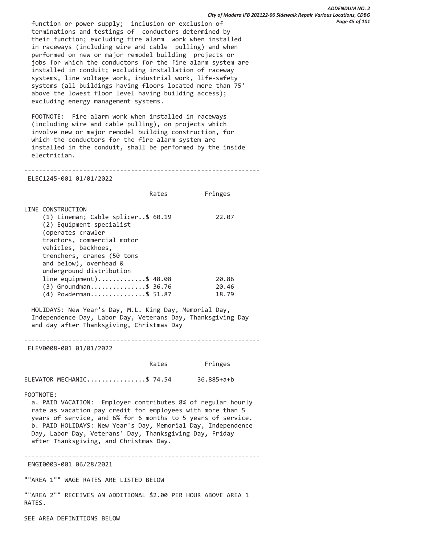function or power supply; inclusion or exclusion of terminations and testings of conductors determined by their function; excluding fire alarm work when installed in raceways (including wire and cable pulling) and when performed on new or major remodel building projects or jobs for which the conductors for the fire alarm system are installed in conduit; excluding installation of raceway systems, line voltage work, industrial work, life-safety systems (all buildings having floors located more than 75' above the lowest floor level having building access); excluding energy management systems.

 FOOTNOTE: Fire alarm work when installed in raceways (including wire and cable pulling), on projects which involve new or major remodel building construction, for which the conductors for the fire alarm system are installed in the conduit, shall be performed by the inside electrician.

## ---------------------------------------------------------------- ELEC1245-001 01/01/2022

Rates Fringes

| LINE CONSTRUCTION                  |       |
|------------------------------------|-------|
| (1) Lineman; Cable splicer\$ 60.19 | 22.07 |
| (2) Equipment specialist           |       |
| (operates crawler                  |       |
| tractors, commercial motor         |       |
| vehicles, backhoes,                |       |
| trenchers, cranes (50 tons         |       |
| and below), overhead &             |       |
| underground distribution           |       |
| line equipment)\$ 48.08            | 20.86 |
| $(3)$ Groundman\$ 36.76            | 20.46 |
| (4) Powderman\$ 51.87              | 18.79 |

 HOLIDAYS: New Year's Day, M.L. King Day, Memorial Day, Independence Day, Labor Day, Veterans Day, Thanksgiving Day and day after Thanksgiving, Christmas Day

----------------------------------------------------------------

ELEV0008-001 01/01/2022

|  | Rates | Fringes |
|--|-------|---------|
|--|-------|---------|

ELEVATOR MECHANIC.................\$ 74.54 36.885+a+b

FOOTNOTE:

 a. PAID VACATION: Employer contributes 8% of regular hourly rate as vacation pay credit for employees with more than 5 years of service, and 6% for 6 months to 5 years of service. b. PAID HOLIDAYS: New Year's Day, Memorial Day, Independence Day, Labor Day, Veterans' Day, Thanksgiving Day, Friday after Thanksgiving, and Christmas Day.

----------------------------------------------------------------

ENGI0003-001 06/28/2021

""AREA 1"" WAGE RATES ARE LISTED BELOW

""AREA 2"" RECEIVES AN ADDITIONAL \$2.00 PER HOUR ABOVE AREA 1 RATES.

SEE AREA DEFINITIONS BELOW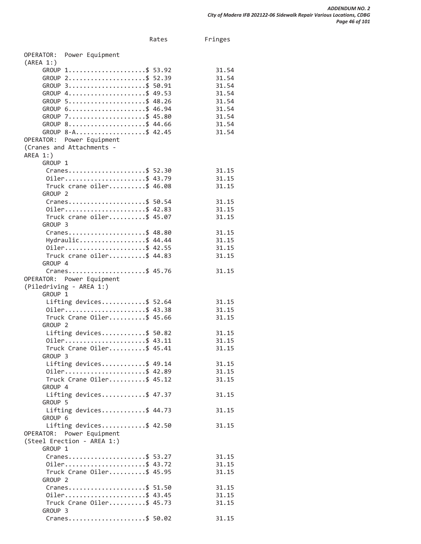Rates Fringes

OPERATOR: Power Equipment (AREA 1:) GROUP 1.......................\$ 53.92 31.54 GROUP 2........................\$ 52.39 31.54 GROUP 3.......................\$ 50.91 31.54 GROUP 4........................\$ 49.53 31.54 GROUP 5........................\$ 48.26 31.54 GROUP 6........................\$ 46.94 31.54<br>GROUP 7..........................\$ 45.80 31.54 GROUP 7......................\$ 45.80 GROUP 8........................\$ 44.66 31.54 GROUP 8-A.....................\$ 42.45 31.54 OPERATOR: Power Equipment (Cranes and Attachments - AREA 1:) GROUP 1 Cranes.....................\$ 52.30 31.15 0iler........................\$ 43.79 31.15 Truck crane oiler..........\$ 46.08 31.15 GROUP 2 Cranes.....................\$ 50.54 31.15 0iler..........................\$ 42.83 31.15 Truck crane oiler..........\$ 45.07 31.15 GROUP 3 Cranes.....................\$ 48.80 31.15 Hydraulic....................\$ 44.44 31.15 0iler.........................\$ 42.55 31.15 Truck crane oiler..........\$ 44.83 31.15 GROUP 4 Cranes.....................\$ 45.76 31.15 OPERATOR: Power Equipment (Piledriving - AREA 1:) GROUP 1 Lifting devices............\$ 52.64 31.15 0iler........................\$ 43.38 31.15 Truck Crane Oiler..........\$ 45.66 31.15 GROUP 2 Lifting devices............\$ 50.82 31.15 0iler.........................\$ 43.11 31.15 Truck Crane Oiler..........\$ 45.41 31.15 GROUP 3 Lifting devices............\$ 49.14 31.15 0iler.........................\$ 42.89 31.15 Truck Crane Oiler..........\$ 45.12 31.15 GROUP 4 Lifting devices............\$ 47.37 31.15 GROUP 5 Lifting devices............\$ 44.73 31.15 GROUP 6 Lifting devices............\$ 42.50 31.15 OPERATOR: Power Equipment (Steel Erection - AREA 1:) GROUP 1 Cranes.....................\$ 53.27 31.15 0iler.........................\$ 43.72 31.15 Truck Crane Oiler..........\$ 45.95 31.15 GROUP 2 Cranes.....................\$ 51.50 31.15 0iler.........................\$ 43.45 31.15 Truck Crane Oiler..........\$ 45.73 31.15

Cranes.....................\$ 50.02 31.15

GROUP 3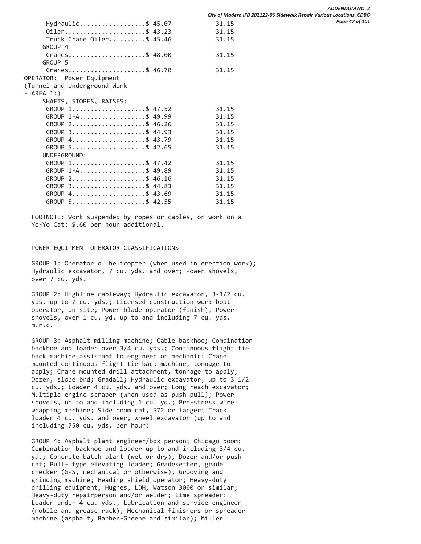Hydraulic....................\$ 45.07 31.15 0iler........................\$ 43.23 31.15 Truck Crane Oiler..........\$ 45.46 31.15 GROUP 4 Cranes.....................\$ 48.00 31.15 GROUP 5 Cranes.....................\$ 46.70 31.15 OPERATOR: Power Equipment (Tunnel and Underground Work - AREA 1:) SHAFTS, STOPES, RAISES: GROUP 1.......................\$ 47.52 31.15 GROUP 1-A....................\$ 49.99 31.15 GROUP 2.......................\$ 46.26 31.15 GROUP 3......................\$ 44.93 31.15 GROUP 4......................\$ 43.79 31.15 GROUP 5......................\$ 42.65 31.15 UNDERGROUND: GROUP 1.......................\$ 47.42 31.15 GROUP 1-A....................\$ 49.89 31.15 GROUP 2......................\$ 46.16 31.15 GROUP 3......................\$ 44.83 31.15 GROUP 4......................\$ 43.69 31.15 GROUP 5......................\$ 42.55 31.15

 FOOTNOTE: Work suspended by ropes or cables, or work on a Yo-Yo Cat: \$.60 per hour additional.

# POWER EQUIPMENT OPERATOR CLASSIFICATIONS

 GROUP 1: Operator of helicopter (when used in erection work); Hydraulic excavator, 7 cu. yds. and over; Power shovels, over 7 cu. yds.

 GROUP 2: Highline cableway; Hydraulic excavator, 3-1/2 cu. yds. up to 7 cu. yds.; Licensed construction work boat operator, on site; Power blade operator (finish); Power shovels, over 1 cu. yd. up to and including 7 cu. yds. m.r.c.

 GROUP 3: Asphalt milling machine; Cable backhoe; Combination backhoe and loader over 3/4 cu. yds.; Continuous flight tie back machine assistant to engineer or mechanic; Crane mounted continuous flight tie back machine, tonnage to apply; Crane mounted drill attachment, tonnage to apply; Dozer, slope brd; Gradall; Hydraulic excavator, up to 3 1/2 cu. yds.; Loader 4 cu. yds. and over; Long reach excavator; Multiple engine scraper (when used as push pull); Power shovels, up to and including 1 cu. yd.; Pre-stress wire wrapping machine; Side boom cat, 572 or larger; Track loader 4 cu. yds. and over; Wheel excavator (up to and including 750 cu. yds. per hour)

 GROUP 4: Asphalt plant engineer/box person; Chicago boom; Combination backhoe and loader up to and including 3/4 cu. yd.; Concrete batch plant (wet or dry); Dozer and/or push cat; Pull- type elevating loader; Gradesetter, grade checker (GPS, mechanical or otherwise); Grooving and grinding machine; Heading shield operator; Heavy-duty drilling equipment, Hughes, LDH, Watson 3000 or similar; Heavy-duty repairperson and/or welder; Lime spreader; Loader under 4 cu. yds.; Lubrication and service engineer (mobile and grease rack); Mechanical finishers or spreader machine (asphalt, Barber-Greene and similar); Miller

*ADDENDUM NO. 2 City of Madera IFB 202122-06 Sidewalk Repair Various Locations, CDBG Page 47 of 101*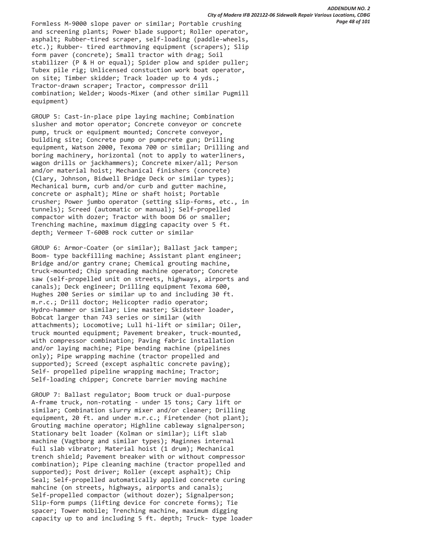Formless M-9000 slope paver or similar; Portable crushing and screening plants; Power blade support; Roller operator, asphalt; Rubber-tired scraper, self-loading (paddle-wheels, etc.); Rubber- tired earthmoving equipment (scrapers); Slip form paver (concrete); Small tractor with drag; Soil stabilizer (P & H or equal); Spider plow and spider puller; Tubex pile rig; Unlicensed constuction work boat operator, on site; Timber skidder; Track loader up to 4 yds.; Tractor-drawn scraper; Tractor, compressor drill combination; Welder; Woods-Mixer (and other similar Pugmill equipment)

 GROUP 5: Cast-in-place pipe laying machine; Combination slusher and motor operator; Concrete conveyor or concrete pump, truck or equipment mounted; Concrete conveyor, building site; Concrete pump or pumpcrete gun; Drilling equipment, Watson 2000, Texoma 700 or similar; Drilling and boring machinery, horizontal (not to apply to waterliners, wagon drills or jackhammers); Concrete mixer/all; Person and/or material hoist; Mechanical finishers (concrete) (Clary, Johnson, Bidwell Bridge Deck or similar types); Mechanical burm, curb and/or curb and gutter machine, concrete or asphalt); Mine or shaft hoist; Portable crusher; Power jumbo operator (setting slip-forms, etc., in tunnels); Screed (automatic or manual); Self-propelled compactor with dozer; Tractor with boom D6 or smaller; Trenching machine, maximum digging capacity over 5 ft. depth; Vermeer T-600B rock cutter or similar

 GROUP 6: Armor-Coater (or similar); Ballast jack tamper; Boom- type backfilling machine; Assistant plant engineer; Bridge and/or gantry crane; Chemical grouting machine, truck-mounted; Chip spreading machine operator; Concrete saw (self-propelled unit on streets, highways, airports and canals); Deck engineer; Drilling equipment Texoma 600, Hughes 200 Series or similar up to and including 30 ft. m.r.c.; Drill doctor; Helicopter radio operator; Hydro-hammer or similar; Line master; Skidsteer loader, Bobcat larger than 743 series or similar (with attachments); Locomotive; Lull hi-lift or similar; Oiler, truck mounted equipment; Pavement breaker, truck-mounted, with compressor combination; Paving fabric installation and/or laying machine; Pipe bending machine (pipelines only); Pipe wrapping machine (tractor propelled and supported); Screed (except asphaltic concrete paving); Self- propelled pipeline wrapping machine; Tractor; Self-loading chipper; Concrete barrier moving machine

 GROUP 7: Ballast regulator; Boom truck or dual-purpose A-frame truck, non-rotating - under 15 tons; Cary lift or similar; Combination slurry mixer and/or cleaner; Drilling equipment, 20 ft. and under m.r.c.; Firetender (hot plant); Grouting machine operator; Highline cableway signalperson; Stationary belt loader (Kolman or similar); Lift slab machine (Vagtborg and similar types); Maginnes internal full slab vibrator; Material hoist (1 drum); Mechanical trench shield; Pavement breaker with or without compressor combination); Pipe cleaning machine (tractor propelled and supported); Post driver; Roller (except asphalt); Chip Seal; Self-propelled automatically applied concrete curing mahcine (on streets, highways, airports and canals); Self-propelled compactor (without dozer); Signalperson; Slip-form pumps (lifting device for concrete forms); Tie spacer; Tower mobile; Trenching machine, maximum digging capacity up to and including 5 ft. depth; Truck- type loader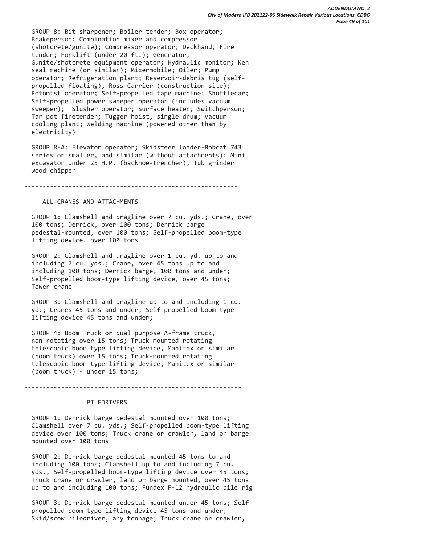GROUP 8: Bit sharpener; Boiler tender; Box operator; Brakeperson; Combination mixer and compressor (shotcrete/gunite); Compressor operator; Deckhand; Fire tender; Forklift (under 20 ft.); Generator; Gunite/shotcrete equipment operator; Hydraulic monitor; Ken seal machine (or similar); Mixermobile; Oiler; Pump operator; Refrigeration plant; Reservoir-debris tug (self propelled floating); Ross Carrier (construction site); Rotomist operator; Self-propelled tape machine; Shuttlecar; Self-propelled power sweeper operator (includes vacuum sweeper); Slusher operator; Surface heater; Switchperson; Tar pot firetender; Tugger hoist, single drum; Vacuum cooling plant; Welding machine (powered other than by electricity)

 GROUP 8-A: Elevator operator; Skidsteer loader-Bobcat 743 series or smaller, and similar (without attachments); Mini excavator under 25 H.P. (backhoe-trencher); Tub grinder wood chipper

----------------------------------------------------------

## ALL CRANES AND ATTACHMENTS

 GROUP 1: Clamshell and dragline over 7 cu. yds.; Crane, over 100 tons; Derrick, over 100 tons; Derrick barge pedestal-mounted, over 100 tons; Self-propelled boom-type lifting device, over 100 tons

 GROUP 2: Clamshell and dragline over 1 cu. yd. up to and including 7 cu. yds.; Crane, over 45 tons up to and including 100 tons; Derrick barge, 100 tons and under; Self-propelled boom-type lifting device, over 45 tons; Tower crane

 GROUP 3: Clamshell and dragline up to and including 1 cu. yd.; Cranes 45 tons and under; Self-propelled boom-type lifting device 45 tons and under;

 GROUP 4: Boom Truck or dual purpose A-frame truck, non-rotating over 15 tons; Truck-mounted rotating telescopic boom type lifting device, Manitex or similar (boom truck) over 15 tons; Truck-mounted rotating telescopic boom type lifting device, Manitex or similar (boom truck) - under 15 tons;

-----------------------------------------------------------

### PILEDRIVERS

 GROUP 1: Derrick barge pedestal mounted over 100 tons; Clamshell over 7 cu. yds.; Self-propelled boom-type lifting device over 100 tons; Truck crane or crawler, land or barge mounted over 100 tons

 GROUP 2: Derrick barge pedestal mounted 45 tons to and including 100 tons; Clamshell up to and including 7 cu. yds.; Self-propelled boom-type lifting device over 45 tons; Truck crane or crawler, land or barge mounted, over 45 tons up to and including 100 tons; Fundex F-12 hydraulic pile rig

 GROUP 3: Derrick barge pedestal mounted under 45 tons; Self propelled boom-type lifting device 45 tons and under; Skid/scow piledriver, any tonnage; Truck crane or crawler,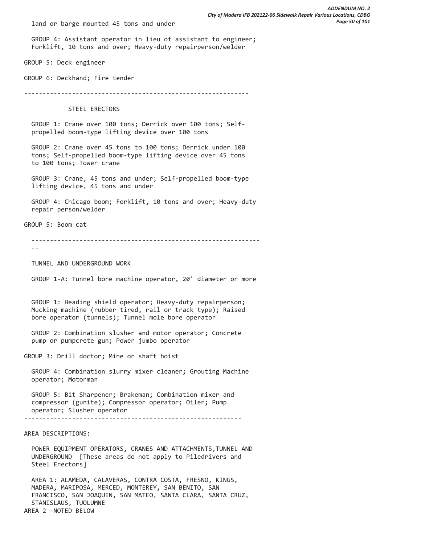land or barge mounted 45 tons and under

 GROUP 4: Assistant operator in lieu of assistant to engineer; Forklift, 10 tons and over; Heavy-duty repairperson/welder

GROUP 5: Deck engineer

GROUP 6: Deckhand; Fire tender

-------------------------------------------------------------

STEEL ERECTORS

 GROUP 1: Crane over 100 tons; Derrick over 100 tons; Self propelled boom-type lifting device over 100 tons

 GROUP 2: Crane over 45 tons to 100 tons; Derrick under 100 tons; Self-propelled boom-type lifting device over 45 tons to 100 tons; Tower crane

 GROUP 3: Crane, 45 tons and under; Self-propelled boom-type lifting device, 45 tons and under

 GROUP 4: Chicago boom; Forklift, 10 tons and over; Heavy-duty repair person/welder

GROUP 5: Boom cat

--------------------------------------------------------------

 $- - -$ 

TUNNEL AND UNDERGROUND WORK

GROUP 1-A: Tunnel bore machine operator, 20' diameter or more

 GROUP 1: Heading shield operator; Heavy-duty repairperson; Mucking machine (rubber tired, rail or track type); Raised bore operator (tunnels); Tunnel mole bore operator

 GROUP 2: Combination slusher and motor operator; Concrete pump or pumpcrete gun; Power jumbo operator

GROUP 3: Drill doctor; Mine or shaft hoist

 GROUP 4: Combination slurry mixer cleaner; Grouting Machine operator; Motorman

 GROUP 5: Bit Sharpener; Brakeman; Combination mixer and compressor (gunite); Compressor operator; Oiler; Pump operator; Slusher operator -----------------------------------------------------------

AREA DESCRIPTIONS:

 POWER EQUIPMENT OPERATORS, CRANES AND ATTACHMENTS,TUNNEL AND UNDERGROUND [These areas do not apply to Piledrivers and Steel Erectors]

 AREA 1: ALAMEDA, CALAVERAS, CONTRA COSTA, FRESNO, KINGS, MADERA, MARIPOSA, MERCED, MONTEREY, SAN BENITO, SAN FRANCISCO, SAN JOAQUIN, SAN MATEO, SANTA CLARA, SANTA CRUZ, STANISLAUS, TUOLUMNE AREA 2 -NOTED BELOW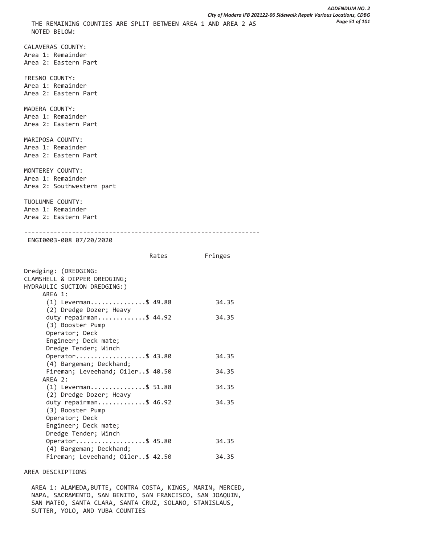CALAVERAS COUNTY: Area 1: Remainder Area 2: Eastern Part FRESNO COUNTY: Area 1: Remainder Area 2: Eastern Part MADERA COUNTY: Area 1: Remainder Area 2: Eastern Part MARIPOSA COUNTY: Area 1: Remainder Area 2: Eastern Part MONTEREY COUNTY: Area 1: Remainder Area 2: Southwestern part TUOLUMNE COUNTY: Area 1: Remainder Area 2: Eastern Part ---------------------------------------------------------------- ENGI0003-008 07/20/2020 Rates Fringes Dredging: (DREDGING: CLAMSHELL & DIPPER DREDGING; HYDRAULIC SUCTION DREDGING:) AREA 1: (1) Leverman...............\$ 49.88 34.35 (2) Dredge Dozer; Heavy duty repairman.............\$ 44.92 34.35 (3) Booster Pump Operator; Deck Engineer; Deck mate; Dredge Tender; Winch Operator......................\$ 43.80 34.35 (4) Bargeman; Deckhand; Fireman; Leveehand; Oiler..\$ 40.50 34.35 AREA 2: (1) Leverman...............\$ 51.88 34.35 (2) Dredge Dozer; Heavy duty repairman.............\$ 46.92 34.35 (3) Booster Pump Operator; Deck Engineer; Deck mate; Dredge Tender; Winch 0perator......................\$ 45.80 34.35 (4) Bargeman; Deckhand; Fireman; Leveehand; Oiler..\$ 42.50 34.35

# AREA DESCRIPTIONS

 AREA 1: ALAMEDA,BUTTE, CONTRA COSTA, KINGS, MARIN, MERCED, NAPA, SACRAMENTO, SAN BENITO, SAN FRANCISCO, SAN JOAQUIN, SAN MATEO, SANTA CLARA, SANTA CRUZ, SOLANO, STANISLAUS, SUTTER, YOLO, AND YUBA COUNTIES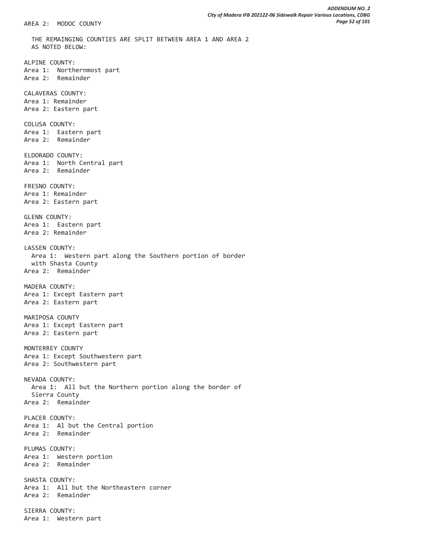THE REMAINGING COUNTIES ARE SPLIT BETWEEN AREA 1 AND AREA 2 AS NOTED BELOW: ALPINE COUNTY: Area 1: Northernmost part Area 2: Remainder CALAVERAS COUNTY: Area 1: Remainder Area 2: Eastern part COLUSA COUNTY: Area 1: Eastern part Area 2: Remainder ELDORADO COUNTY: Area 1: North Central part Area 2: Remainder FRESNO COUNTY: Area 1: Remainder Area 2: Eastern part GLENN COUNTY: Area 1: Eastern part Area 2: Remainder LASSEN COUNTY: Area 1: Western part along the Southern portion of border with Shasta County Area 2: Remainder MADERA COUNTY: Area 1: Except Eastern part Area 2: Eastern part MARIPOSA COUNTY Area 1: Except Eastern part Area 2: Eastern part MONTERREY COUNTY Area 1: Except Southwestern part Area 2: Southwestern part NEVADA COUNTY: Area 1: All but the Northern portion along the border of Sierra County Area 2: Remainder PLACER COUNTY: Area 1: Al but the Central portion Area 2: Remainder PLUMAS COUNTY: Area 1: Western portion Area 2: Remainder SHASTA COUNTY: Area 1: All but the Northeastern corner Area 2: Remainder SIERRA COUNTY: Area 1: Western part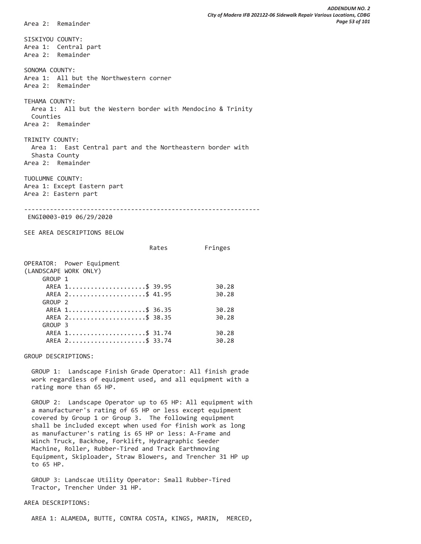SISKIYOU COUNTY: Area 1: Central part Area 2: Remainder SONOMA COUNTY: Area 1: All but the Northwestern corner Area 2: Remainder TEHAMA COUNTY: Area 1: All but the Western border with Mendocino & Trinity Counties Area 2: Remainder TRINITY COUNTY: Area 1: East Central part and the Northeastern border with Shasta County Area 2: Remainder TUOLUMNE COUNTY: Area 1: Except Eastern part Area 2: Eastern part ---------------------------------------------------------------- ENGI0003-019 06/29/2020 SEE AREA DESCRIPTIONS BELOW Rates Fringes OPERATOR: Power Equipment (LANDSCAPE WORK ONLY) GROUP 1 AREA 1.........................\$ 39.95 30.28 AREA 2.........................\$ 41.95 30.28 GROUP 2 AREA 1.........................\$ 36.35 30.28 AREA 2.........................\$ 38.35 30.28 GROUP 3 AREA 1........................\$ 31.74 30.28 AREA 2.........................\$ 33.74 30.28 GROUP DESCRIPTIONS:

 GROUP 1: Landscape Finish Grade Operator: All finish grade work regardless of equipment used, and all equipment with a rating more than 65 HP.

 GROUP 2: Landscape Operator up to 65 HP: All equipment with a manufacturer's rating of 65 HP or less except equipment covered by Group 1 or Group 3. The following equipment shall be included except when used for finish work as long as manufacturer's rating is 65 HP or less: A-Frame and Winch Truck, Backhoe, Forklift, Hydragraphic Seeder Machine, Roller, Rubber-Tired and Track Earthmoving Equipment, Skiploader, Straw Blowers, and Trencher 31 HP up to 65 HP.

 GROUP 3: Landscae Utility Operator: Small Rubber-Tired Tractor, Trencher Under 31 HP.

### AREA DESCRIPTIONS:

Area 2: Remainder

AREA 1: ALAMEDA, BUTTE, CONTRA COSTA, KINGS, MARIN, MERCED,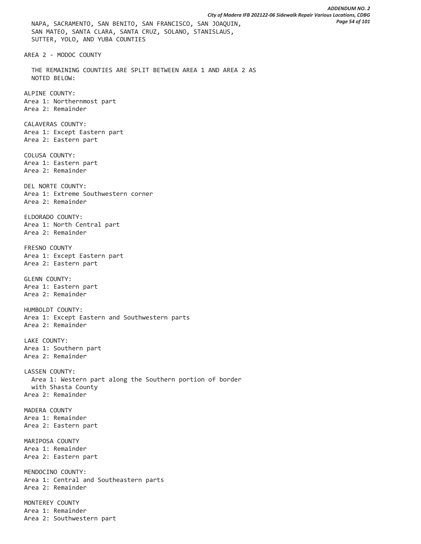SUTTER, YOLO, AND YUBA COUNTIES AREA 2 - MODOC COUNTY THE REMAINING COUNTIES ARE SPLIT BETWEEN AREA 1 AND AREA 2 AS NOTED BELOW: ALPINE COUNTY: Area 1: Northernmost part Area 2: Remainder CALAVERAS COUNTY: Area 1: Except Eastern part Area 2: Eastern part COLUSA COUNTY: Area 1: Eastern part Area 2: Remainder DEL NORTE COUNTY: Area 1: Extreme Southwestern corner Area 2: Remainder ELDORADO COUNTY: Area 1: North Central part Area 2: Remainder FRESNO COUNTY Area 1: Except Eastern part Area 2: Eastern part GLENN COUNTY: Area 1: Eastern part Area 2: Remainder HUMBOLDT COUNTY: Area 1: Except Eastern and Southwestern parts Area 2: Remainder LAKE COUNTY: Area 1: Southern part Area 2: Remainder LASSEN COUNTY: Area 1: Western part along the Southern portion of border with Shasta County Area 2: Remainder MADERA COUNTY Area 1: Remainder Area 2: Eastern part MARIPOSA COUNTY Area 1: Remainder Area 2: Eastern part MENDOCINO COUNTY: Area 1: Central and Southeastern parts Area 2: Remainder MONTEREY COUNTY Area 1: Remainder

Area 2: Southwestern part

SAN MATEO, SANTA CLARA, SANTA CRUZ, SOLANO, STANISLAUS,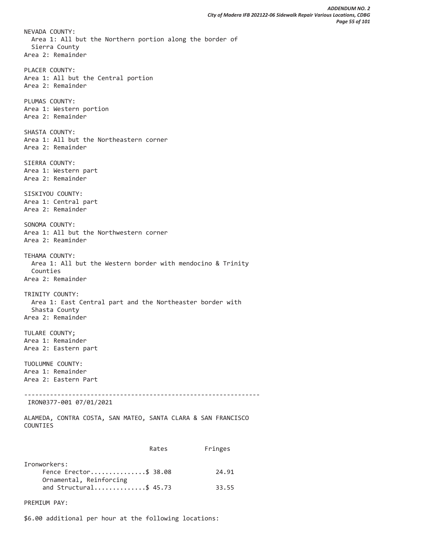NEVADA COUNTY: Area 1: All but the Northern portion along the border of Sierra County Area 2: Remainder PLACER COUNTY: Area 1: All but the Central portion Area 2: Remainder PLUMAS COUNTY: Area 1: Western portion Area 2: Remainder SHASTA COUNTY: Area 1: All but the Northeastern corner Area 2: Remainder SIERRA COUNTY: Area 1: Western part Area 2: Remainder SISKIYOU COUNTY: Area 1: Central part Area 2: Remainder SONOMA COUNTY: Area 1: All but the Northwestern corner Area 2: Reaminder TEHAMA COUNTY: Area 1: All but the Western border with mendocino & Trinity Counties Area 2: Remainder TRINITY COUNTY: Area 1: East Central part and the Northeaster border with Shasta County Area 2: Remainder TULARE COUNTY; Area 1: Remainder Area 2: Eastern part TUOLUMNE COUNTY: Area 1: Remainder Area 2: Eastern Part ---------------------------------------------------------------- IRON0377-001 07/01/2021 ALAMEDA, CONTRA COSTA, SAN MATEO, SANTA CLARA & SAN FRANCISCO COUNTIES Rates Fringes Ironworkers: Fence Erector................\$ 38.08 24.91 Ornamental, Reinforcing and Structural..............\$ 45.73 33.55

PREMIUM PAY:

\$6.00 additional per hour at the following locations: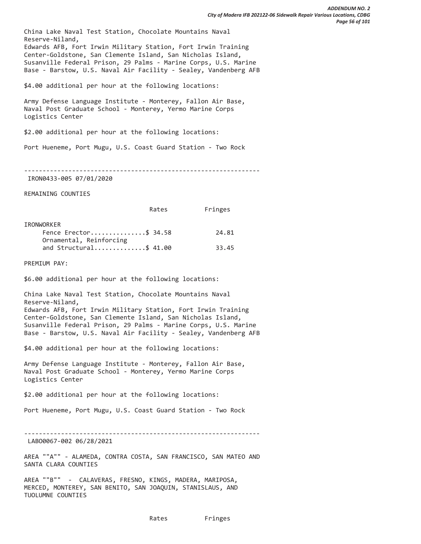China Lake Naval Test Station, Chocolate Mountains Naval Reserve-Niland, Edwards AFB, Fort Irwin Military Station, Fort Irwin Training Center-Goldstone, San Clemente Island, San Nicholas Island, Susanville Federal Prison, 29 Palms - Marine Corps, U.S. Marine Base - Barstow, U.S. Naval Air Facility - Sealey, Vandenberg AFB

\$4.00 additional per hour at the following locations:

Army Defense Language Institute - Monterey, Fallon Air Base, Naval Post Graduate School - Monterey, Yermo Marine Corps Logistics Center

\$2.00 additional per hour at the following locations:

Port Hueneme, Port Mugu, U.S. Coast Guard Station - Two Rock

----------------------------------------------------------------

IRON0433-005 07/01/2020

REMAINING COUNTIES

| Rates | Fringes |
|-------|---------|
|       |         |

| IRONWORKER              |       |
|-------------------------|-------|
| Fence Erector\$ 34.58   | 24.81 |
| Ornamental, Reinforcing |       |
| and Structural\$ 41.00  | 33.45 |
|                         |       |

PREMIUM PAY:

\$6.00 additional per hour at the following locations:

China Lake Naval Test Station, Chocolate Mountains Naval Reserve-Niland, Edwards AFB, Fort Irwin Military Station, Fort Irwin Training Center-Goldstone, San Clemente Island, San Nicholas Island, Susanville Federal Prison, 29 Palms - Marine Corps, U.S. Marine Base - Barstow, U.S. Naval Air Facility - Sealey, Vandenberg AFB

\$4.00 additional per hour at the following locations:

Army Defense Language Institute - Monterey, Fallon Air Base, Naval Post Graduate School - Monterey, Yermo Marine Corps Logistics Center

\$2.00 additional per hour at the following locations:

Port Hueneme, Port Mugu, U.S. Coast Guard Station - Two Rock

----------------------------------------------------------------

LABO0067-002 06/28/2021

AREA ""A"" - ALAMEDA, CONTRA COSTA, SAN FRANCISCO, SAN MATEO AND SANTA CLARA COUNTIES

AREA ""B"" - CALAVERAS, FRESNO, KINGS, MADERA, MARIPOSA, MERCED, MONTEREY, SAN BENITO, SAN JOAQUIN, STANISLAUS, AND TUOLUMNE COUNTIES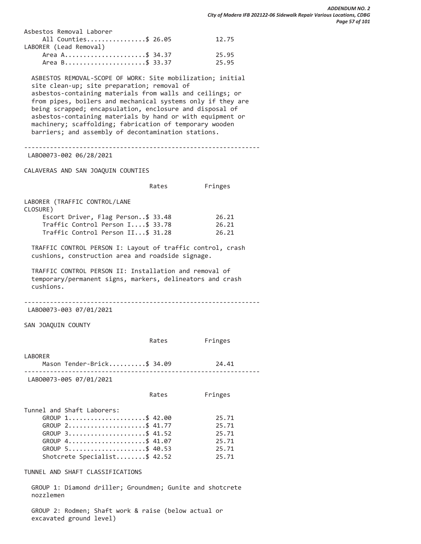| 12.75                                                    |
|----------------------------------------------------------|
|                                                          |
| 25.95                                                    |
| 25.95                                                    |
| All Counties\$ 26.05<br>Area A\$ 34.37<br>Area B\$ 33.37 |

 ASBESTOS REMOVAL-SCOPE OF WORK: Site mobilization; initial site clean-up; site preparation; removal of asbestos-containing materials from walls and ceilings; or from pipes, boilers and mechanical systems only if they are being scrapped; encapsulation, enclosure and disposal of asbestos-containing materials by hand or with equipment or machinery; scaffolding; fabrication of temporary wooden barriers; and assembly of decontamination stations.

----------------------------------------------------------------

LABO0073-002 06/28/2021

CALAVERAS AND SAN JOAQUIN COUNTIES

|                                    | Rates | Fringes |
|------------------------------------|-------|---------|
| LABORER (TRAFFIC CONTROL/LANE      |       |         |
| CLOSURE)                           |       |         |
| Escort Driver, Flag Person\$ 33.48 |       | 26.21   |
| Traffic Control Person I\$ 33.78   |       | 26.21   |
| Traffic Control Person II\$ 31.28  |       | 26.21   |

 TRAFFIC CONTROL PERSON I: Layout of traffic control, crash cushions, construction area and roadside signage.

 TRAFFIC CONTROL PERSON II: Installation and removal of temporary/permanent signs, markers, delineators and crash cushions.

----------------------------------------------------------------

LABO0073-003 07/01/2021

SAN JOAQUIN COUNTY

|                                       | Rates | Fringes |
|---------------------------------------|-------|---------|
| LABORER<br>Mason Tender-Brick\$ 34.09 |       | 24.41   |
| LAB00073-005 07/01/2021               |       |         |
|                                       | Rates | Fringes |
| Tunnel and Shaft Laborers:            |       |         |
| GROUP 1\$ 42.00                       |       | 25.71   |
| GROUP 2\$ 41.77                       |       | 25.71   |
| GROUP 3\$ 41.52                       |       | 25.71   |
| GROUP 4\$ 41.07                       |       | 25.71   |
| GROUP 5\$ 40.53                       |       | 25.71   |
| Shotcrete Specialist\$ 42.52          |       | 25.71   |

TUNNEL AND SHAFT CLASSIFICATIONS

 GROUP 1: Diamond driller; Groundmen; Gunite and shotcrete nozzlemen

 GROUP 2: Rodmen; Shaft work & raise (below actual or excavated ground level)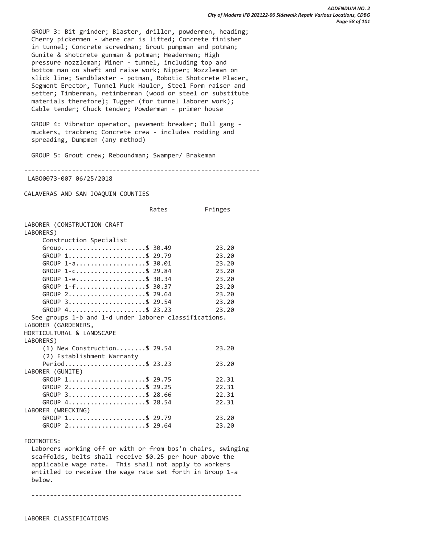GROUP 3: Bit grinder; Blaster, driller, powdermen, heading; Cherry pickermen - where car is lifted; Concrete finisher in tunnel; Concrete screedman; Grout pumpman and potman; Gunite & shotcrete gunman & potman; Headermen; High pressure nozzleman; Miner - tunnel, including top and bottom man on shaft and raise work; Nipper; Nozzleman on slick line; Sandblaster - potman, Robotic Shotcrete Placer, Segment Erector, Tunnel Muck Hauler, Steel Form raiser and setter; Timberman, retimberman (wood or steel or substitute materials therefore); Tugger (for tunnel laborer work); Cable tender; Chuck tender; Powderman - primer house

 GROUP 4: Vibrator operator, pavement breaker; Bull gang muckers, trackmen; Concrete crew - includes rodding and spreading, Dumpmen (any method)

GROUP 5: Grout crew; Reboundman; Swamper/ Brakeman

----------------------------------------------------------------

LABO0073-007 06/25/2018

CALAVERAS AND SAN JOAQUIN COUNTIES

Rates Fringes

| LABORER (CONSTRUCTION CRAFT<br>LABORERS)                    |       |
|-------------------------------------------------------------|-------|
| Construction Specialist                                     |       |
| Group\$ 30.49                                               | 23.20 |
| GROUP 1\$ 29.79                                             | 23.20 |
| GROUP 1-a\$ 30.01                                           | 23.20 |
| GROUP 1-c\$ 29.84                                           | 23.20 |
| $GROUP$ 1-e\$ 30.34                                         | 23.20 |
| GROUP $1 - f$ \$ 30.37                                      | 23.20 |
| GROUP 2\$ 29.64                                             | 23.20 |
| GROUP 3\$ 29.54                                             | 23.20 |
| GROUP 4\$ 23.23                                             | 23.20 |
| See groups 1-b and 1-d under laborer classifications.       |       |
| LABORER (GARDENERS,                                         |       |
| HORTICULTURAL & LANDSCAPE                                   |       |
| LABORERS)                                                   |       |
| $(1)$ New Construction\$ 29.54                              | 23.20 |
| (2) Establishment Warranty                                  |       |
| Period\$ 23.23                                              | 23.20 |
| LABORER (GUNITE)                                            |       |
| GROUP 1\$ 29.75                                             | 22.31 |
| GROUP 2\$ 29.25                                             | 22.31 |
| GROUP 3\$ 28.66                                             | 22.31 |
| GROUP 4\$ 28.54                                             | 22.31 |
| LABORER (WRECKING)                                          |       |
| GROUP 1\$ 29.79                                             | 23.20 |
| GROUP 2\$ 29.64                                             | 23.20 |
|                                                             |       |
| FOOTNOTES:                                                  |       |
| Laborers working off or with or from bos'n chairs, swinging |       |
| scaffolds, belts shall receive \$0.25 per hour above the    |       |
| applicable wage rate. This shall not apply to workers       |       |
| entitled to receive the wage rate set forth in Group 1-a    |       |
| below.                                                      |       |

---------------------------------------------------------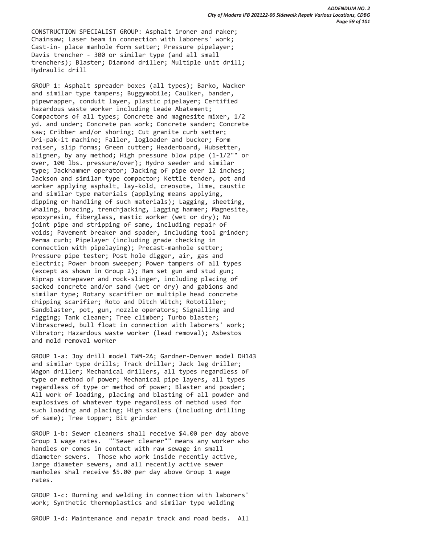CONSTRUCTION SPECIALIST GROUP: Asphalt ironer and raker; Chainsaw; Laser beam in connection with laborers' work; Cast-in- place manhole form setter; Pressure pipelayer; Davis trencher - 300 or similar type (and all small trenchers); Blaster; Diamond driller; Multiple unit drill; Hydraulic drill

 GROUP 1: Asphalt spreader boxes (all types); Barko, Wacker and similar type tampers; Buggymobile; Caulker, bander, pipewrapper, conduit layer, plastic pipelayer; Certified hazardous waste worker including Leade Abatement; Compactors of all types; Concrete and magnesite mixer, 1/2 yd. and under; Concrete pan work; Concrete sander; Concrete saw; Cribber and/or shoring; Cut granite curb setter; Dri-pak-it machine; Faller, logloader and bucker; Form raiser, slip forms; Green cutter; Headerboard, Hubsetter, aligner, by any method; High pressure blow pipe (1-1/2"" or over, 100 lbs. pressure/over); Hydro seeder and similar type; Jackhammer operator; Jacking of pipe over 12 inches; Jackson and similar type compactor; Kettle tender, pot and worker applying asphalt, lay-kold, creosote, lime, caustic and similar type materials (applying means applying, dipping or handling of such materials); Lagging, sheeting, whaling, bracing, trenchjacking, lagging hammer; Magnesite, epoxyresin, fiberglass, mastic worker (wet or dry); No joint pipe and stripping of same, including repair of voids; Pavement breaker and spader, including tool grinder; Perma curb; Pipelayer (including grade checking in connection with pipelaying); Precast-manhole setter; Pressure pipe tester; Post hole digger, air, gas and electric; Power broom sweeper; Power tampers of all types (except as shown in Group 2); Ram set gun and stud gun; Riprap stonepaver and rock-slinger, including placing of sacked concrete and/or sand (wet or dry) and gabions and similar type; Rotary scarifier or multiple head concrete chipping scarifier; Roto and Ditch Witch; Rototiller; Sandblaster, pot, gun, nozzle operators; Signalling and rigging; Tank cleaner; Tree climber; Turbo blaster; Vibrascreed, bull float in connection with laborers' work; Vibrator; Hazardous waste worker (lead removal); Asbestos and mold removal worker

 GROUP 1-a: Joy drill model TWM-2A; Gardner-Denver model DH143 and similar type drills; Track driller; Jack leg driller; Wagon driller; Mechanical drillers, all types regardless of type or method of power; Mechanical pipe layers, all types regardless of type or method of power; Blaster and powder; All work of loading, placing and blasting of all powder and explosives of whatever type regardless of method used for such loading and placing; High scalers (including drilling of same); Tree topper; Bit grinder

 GROUP 1-b: Sewer cleaners shall receive \$4.00 per day above Group 1 wage rates. ""Sewer cleaner"" means any worker who handles or comes in contact with raw sewage in small diameter sewers. Those who work inside recently active, large diameter sewers, and all recently active sewer manholes shal receive \$5.00 per day above Group 1 wage rates.

 GROUP 1-c: Burning and welding in connection with laborers' work; Synthetic thermoplastics and similar type welding

GROUP 1-d: Maintenance and repair track and road beds. All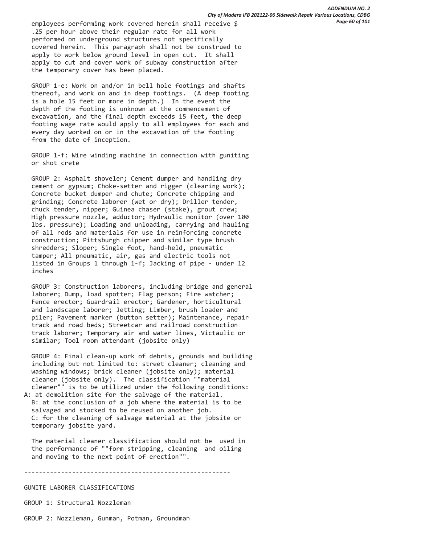employees performing work covered herein shall receive \$ .25 per hour above their regular rate for all work performed on underground structures not specifically covered herein. This paragraph shall not be construed to apply to work below ground level in open cut. It shall apply to cut and cover work of subway construction after the temporary cover has been placed.

 GROUP 1-e: Work on and/or in bell hole footings and shafts thereof, and work on and in deep footings. (A deep footing is a hole 15 feet or more in depth.) In the event the depth of the footing is unknown at the commencement of excavation, and the final depth exceeds 15 feet, the deep footing wage rate would apply to all employees for each and every day worked on or in the excavation of the footing from the date of inception.

 GROUP 1-f: Wire winding machine in connection with guniting or shot crete

 GROUP 2: Asphalt shoveler; Cement dumper and handling dry cement or gypsum; Choke-setter and rigger (clearing work); Concrete bucket dumper and chute; Concrete chipping and grinding; Concrete laborer (wet or dry); Driller tender, chuck tender, nipper; Guinea chaser (stake), grout crew; High pressure nozzle, adductor; Hydraulic monitor (over 100 lbs. pressure); Loading and unloading, carrying and hauling of all rods and materials for use in reinforcing concrete construction; Pittsburgh chipper and similar type brush shredders; Sloper; Single foot, hand-held, pneumatic tamper; All pneumatic, air, gas and electric tools not listed in Groups 1 through 1-f; Jacking of pipe - under 12 inches

 GROUP 3: Construction laborers, including bridge and general laborer; Dump, load spotter; Flag person; Fire watcher; Fence erector; Guardrail erector; Gardener, horticultural and landscape laborer; Jetting; Limber, brush loader and piler; Pavement marker (button setter); Maintenance, repair track and road beds; Streetcar and railroad construction track laborer; Temporary air and water lines, Victaulic or similar; Tool room attendant (jobsite only)

 GROUP 4: Final clean-up work of debris, grounds and building including but not limited to: street cleaner; cleaning and washing windows; brick cleaner (jobsite only); material cleaner (jobsite only). The classification ""material cleaner"" is to be utilized under the following conditions: A: at demolition site for the salvage of the material.

 B: at the conclusion of a job where the material is to be salvaged and stocked to be reused on another job. C: for the cleaning of salvage material at the jobsite or temporary jobsite yard.

 The material cleaner classification should not be used in the performance of ""form stripping, cleaning and oiling and moving to the next point of erection"".

--------------------------------------------------------

GUNITE LABORER CLASSIFICATIONS

GROUP 1: Structural Nozzleman

GROUP 2: Nozzleman, Gunman, Potman, Groundman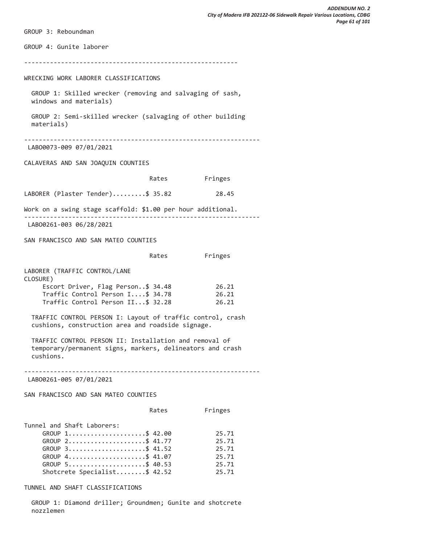GROUP 3: Reboundman GROUP 4: Gunite laborer ---------------------------------------------------------- WRECKING WORK LABORER CLASSIFICATIONS GROUP 1: Skilled wrecker (removing and salvaging of sash, windows and materials) GROUP 2: Semi-skilled wrecker (salvaging of other building materials) ---------------------------------------------------------------- LABO0073-009 07/01/2021 CALAVERAS AND SAN JOAQUIN COUNTIES Rates Fringes LABORER (Plaster Tender).........\$ 35.82 28.45 Work on a swing stage scaffold: \$1.00 per hour additional. ---------------------------------------------------------------- LABO0261-003 06/28/2021 SAN FRANCISCO AND SAN MATEO COUNTIES Rates Fringes LABORER (TRAFFIC CONTROL/LANE CLOSURE) Escort Driver, Flag Person..\$ 34.48 26.21 Traffic Control Person I....\$ 34.78 26.21 Traffic Control Person II...\$ 32.28 26.21 TRAFFIC CONTROL PERSON I: Layout of traffic control, crash cushions, construction area and roadside signage. TRAFFIC CONTROL PERSON II: Installation and removal of temporary/permanent signs, markers, delineators and crash cushions. ---------------------------------------------------------------- LABO0261-005 07/01/2021 SAN FRANCISCO AND SAN MATEO COUNTIES Rates Fringes Tunnel and Shaft Laborers: GROUP 1......................\$ 42.00 25.71 GROUP 2........................\$ 41.77 25.71 GROUP 3.......................\$ 41.52 25.71 GROUP 4.......................\$ 41.07 25.71 GROUP 5......................\$ 40.53 25.71 Shotcrete Specialist........\$ 42.52 25.71

TUNNEL AND SHAFT CLASSIFICATIONS

 GROUP 1: Diamond driller; Groundmen; Gunite and shotcrete nozzlemen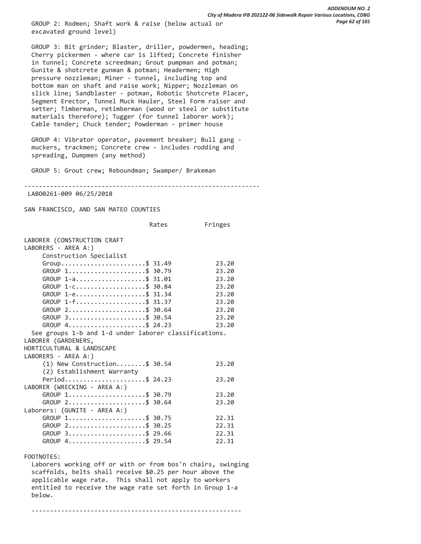GROUP 2: Rodmen; Shaft work & raise (below actual or excavated ground level)

 GROUP 3: Bit grinder; Blaster, driller, powdermen, heading; Cherry pickermen - where car is lifted; Concrete finisher in tunnel; Concrete screedman; Grout pumpman and potman; Gunite & shotcrete gunman & potman; Headermen; High pressure nozzleman; Miner - tunnel, including top and bottom man on shaft and raise work; Nipper; Nozzleman on slick line; Sandblaster - potman, Robotic Shotcrete Placer, Segment Erector, Tunnel Muck Hauler, Steel Form raiser and setter; Timberman, retimberman (wood or steel or substitute materials therefore); Tugger (for tunnel laborer work); Cable tender; Chuck tender; Powderman - primer house

 GROUP 4: Vibrator operator, pavement breaker; Bull gang muckers, trackmen; Concrete crew - includes rodding and spreading, Dumpmen (any method)

GROUP 5: Grout crew; Reboundman; Swamper/ Brakeman

----------------------------------------------------------------

LABO0261-009 06/25/2018

SAN FRANCISCO, AND SAN MATEO COUNTIES

|                                                                       | Rates | Fringes |
|-----------------------------------------------------------------------|-------|---------|
| LABORER (CONSTRUCTION CRAFT<br>LABORERS - AREA A:)                    |       |         |
| Construction Specialist                                               |       |         |
| $Group \ldots \ldots \ldots \ldots \ldots \ldots \ldots \quad $31.49$ |       | 23.20   |
| GROUP 1\$ 30.79                                                       |       | 23.20   |
| GROUP 1-a\$ 31.01                                                     |       | 23.20   |
| GROUP 1-c\$ 30.84                                                     |       | 23.20   |
| GROUP 1-e\$ 31.34                                                     |       | 23.20   |
| $GROUP$ 1-f\$ 31.37                                                   |       | 23.20   |
| GROUP 2\$ 30.64                                                       |       | 23.20   |
| GROUP 3\$ 30.54                                                       |       | 23.20   |
| GROUP 4\$ 24.23                                                       |       | 23.20   |
|                                                                       |       |         |
| See groups 1-b and 1-d under laborer classifications.                 |       |         |
| LABORER (GARDENERS,                                                   |       |         |
| HORTICULTURAL & LANDSCAPE                                             |       |         |
| LABORERS - AREA A:)                                                   |       |         |
| $(1)$ New Construction\$ 30.54                                        |       | 23.20   |
| (2) Establishment Warranty                                            |       |         |
| Period\$ 24.23                                                        |       | 23.20   |
| LABORER (WRECKING - AREA A:)                                          |       |         |
| GROUP 1\$ 30.79                                                       |       | 23.20   |
| GROUP 2\$ 30.64                                                       |       | 23.20   |
| Laborers: (GUNITE - AREA A:)                                          |       |         |
| GROUP 1\$ 30.75                                                       |       | 22.31   |
| GROUP 2\$ 30.25                                                       |       | 22.31   |
| $GROUP$ 3\$ 29.66                                                     |       | 22.31   |
| GROUP 4\$ 29.54                                                       |       | 22.31   |
| FOOTNOTES:                                                            |       |         |

 Laborers working off or with or from bos'n chairs, swinging scaffolds, belts shall receive \$0.25 per hour above the applicable wage rate. This shall not apply to workers entitled to receive the wage rate set forth in Group 1-a below.

---------------------------------------------------------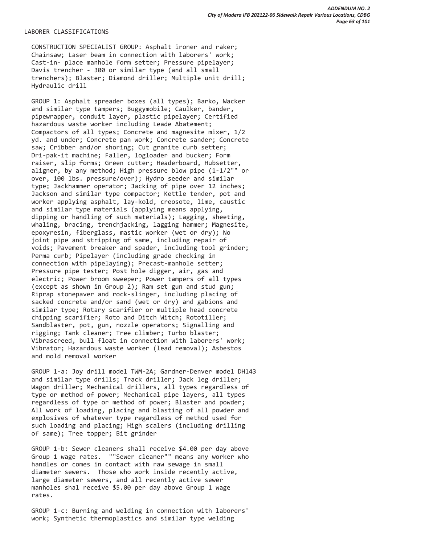# LABORER CLASSIFICATIONS

 CONSTRUCTION SPECIALIST GROUP: Asphalt ironer and raker; Chainsaw; Laser beam in connection with laborers' work; Cast-in- place manhole form setter; Pressure pipelayer; Davis trencher - 300 or similar type (and all small trenchers); Blaster; Diamond driller; Multiple unit drill; Hydraulic drill

 GROUP 1: Asphalt spreader boxes (all types); Barko, Wacker and similar type tampers; Buggymobile; Caulker, bander, pipewrapper, conduit layer, plastic pipelayer; Certified hazardous waste worker including Leade Abatement; Compactors of all types; Concrete and magnesite mixer, 1/2 yd. and under; Concrete pan work; Concrete sander; Concrete saw; Cribber and/or shoring; Cut granite curb setter; Dri-pak-it machine; Faller, logloader and bucker; Form raiser, slip forms; Green cutter; Headerboard, Hubsetter, aligner, by any method; High pressure blow pipe (1-1/2"" or over, 100 lbs. pressure/over); Hydro seeder and similar type; Jackhammer operator; Jacking of pipe over 12 inches; Jackson and similar type compactor; Kettle tender, pot and worker applying asphalt, lay-kold, creosote, lime, caustic and similar type materials (applying means applying, dipping or handling of such materials); Lagging, sheeting, whaling, bracing, trenchjacking, lagging hammer; Magnesite, epoxyresin, fiberglass, mastic worker (wet or dry); No joint pipe and stripping of same, including repair of voids; Pavement breaker and spader, including tool grinder; Perma curb; Pipelayer (including grade checking in connection with pipelaying); Precast-manhole setter; Pressure pipe tester; Post hole digger, air, gas and electric; Power broom sweeper; Power tampers of all types (except as shown in Group 2); Ram set gun and stud gun; Riprap stonepaver and rock-slinger, including placing of sacked concrete and/or sand (wet or dry) and gabions and similar type; Rotary scarifier or multiple head concrete chipping scarifier; Roto and Ditch Witch; Rototiller; Sandblaster, pot, gun, nozzle operators; Signalling and rigging; Tank cleaner; Tree climber; Turbo blaster; Vibrascreed, bull float in connection with laborers' work; Vibrator; Hazardous waste worker (lead removal); Asbestos and mold removal worker

 GROUP 1-a: Joy drill model TWM-2A; Gardner-Denver model DH143 and similar type drills; Track driller; Jack leg driller; Wagon driller; Mechanical drillers, all types regardless of type or method of power; Mechanical pipe layers, all types regardless of type or method of power; Blaster and powder; All work of loading, placing and blasting of all powder and explosives of whatever type regardless of method used for such loading and placing; High scalers (including drilling of same); Tree topper; Bit grinder

 GROUP 1-b: Sewer cleaners shall receive \$4.00 per day above Group 1 wage rates. ""Sewer cleaner"" means any worker who handles or comes in contact with raw sewage in small diameter sewers. Those who work inside recently active, large diameter sewers, and all recently active sewer manholes shal receive \$5.00 per day above Group 1 wage rates.

 GROUP 1-c: Burning and welding in connection with laborers' work; Synthetic thermoplastics and similar type welding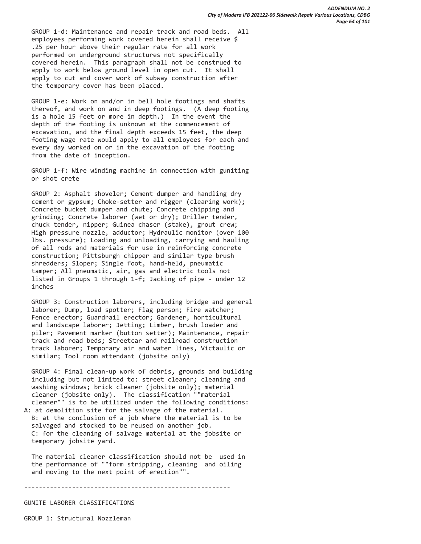GROUP 1-d: Maintenance and repair track and road beds. All employees performing work covered herein shall receive \$ .25 per hour above their regular rate for all work performed on underground structures not specifically covered herein. This paragraph shall not be construed to apply to work below ground level in open cut. It shall apply to cut and cover work of subway construction after the temporary cover has been placed.

 GROUP 1-e: Work on and/or in bell hole footings and shafts thereof, and work on and in deep footings. (A deep footing is a hole 15 feet or more in depth.) In the event the depth of the footing is unknown at the commencement of excavation, and the final depth exceeds 15 feet, the deep footing wage rate would apply to all employees for each and every day worked on or in the excavation of the footing from the date of inception.

 GROUP 1-f: Wire winding machine in connection with guniting or shot crete

 GROUP 2: Asphalt shoveler; Cement dumper and handling dry cement or gypsum; Choke-setter and rigger (clearing work); Concrete bucket dumper and chute; Concrete chipping and grinding; Concrete laborer (wet or dry); Driller tender, chuck tender, nipper; Guinea chaser (stake), grout crew; High pressure nozzle, adductor; Hydraulic monitor (over 100 lbs. pressure); Loading and unloading, carrying and hauling of all rods and materials for use in reinforcing concrete construction; Pittsburgh chipper and similar type brush shredders; Sloper; Single foot, hand-held, pneumatic tamper; All pneumatic, air, gas and electric tools not listed in Groups 1 through 1-f; Jacking of pipe - under 12 inches

 GROUP 3: Construction laborers, including bridge and general laborer; Dump, load spotter; Flag person; Fire watcher; Fence erector; Guardrail erector; Gardener, horticultural and landscape laborer; Jetting; Limber, brush loader and piler; Pavement marker (button setter); Maintenance, repair track and road beds; Streetcar and railroad construction track laborer; Temporary air and water lines, Victaulic or similar; Tool room attendant (jobsite only)

 GROUP 4: Final clean-up work of debris, grounds and building including but not limited to: street cleaner; cleaning and washing windows; brick cleaner (jobsite only); material cleaner (jobsite only). The classification ""material cleaner"" is to be utilized under the following conditions: A: at demolition site for the salvage of the material.

 B: at the conclusion of a job where the material is to be salvaged and stocked to be reused on another job. C: for the cleaning of salvage material at the jobsite or temporary jobsite yard.

 The material cleaner classification should not be used in the performance of ""form stripping, cleaning and oiling and moving to the next point of erection"".

--------------------------------------------------------

# GUNITE LABORER CLASSIFICATIONS

GROUP 1: Structural Nozzleman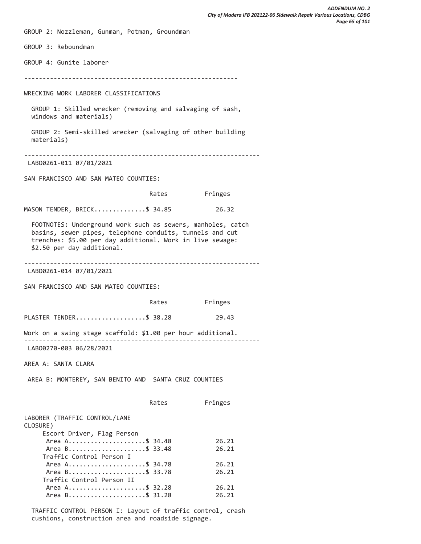GROUP 2: Nozzleman, Gunman, Potman, Groundman GROUP 3: Reboundman GROUP 4: Gunite laborer ---------------------------------------------------------- WRECKING WORK LABORER CLASSIFICATIONS GROUP 1: Skilled wrecker (removing and salvaging of sash, windows and materials) GROUP 2: Semi-skilled wrecker (salvaging of other building materials) ---------------------------------------------------------------- LABO0261-011 07/01/2021 SAN FRANCISCO AND SAN MATEO COUNTIES: Rates Fringes MASON TENDER, BRICK...............\$ 34.85 26.32 FOOTNOTES: Underground work such as sewers, manholes, catch basins, sewer pipes, telephone conduits, tunnels and cut trenches: \$5.00 per day additional. Work in live sewage: \$2.50 per day additional. ---------------------------------------------------------------- LABO0261-014 07/01/2021 SAN FRANCISCO AND SAN MATEO COUNTIES: Rates Fringes PLASTER TENDER.......................\$ 38.28 29.43 Work on a swing stage scaffold: \$1.00 per hour additional. ---------------------------------------------------------------- LABO0270-003 06/28/2021 AREA A: SANTA CLARA AREA B: MONTEREY, SAN BENITO AND SANTA CRUZ COUNTIES Rates Fringes LABORER (TRAFFIC CONTROL/LANE CLOSURE) Escort Driver, Flag Person Area A..........................\$ 34.48 26.21 Area B.........................\$ 33.48 26.21 Traffic Control Person I Area A.........................\$ 34.78 26.21 Area B.........................\$ 33.78 26.21 Traffic Control Person II Area A........................\$ 32.28 26.21 Area B...........................\$ 31.28 26.21

 TRAFFIC CONTROL PERSON I: Layout of traffic control, crash cushions, construction area and roadside signage.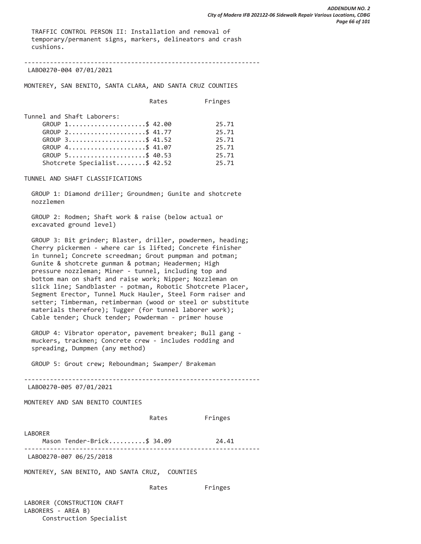TRAFFIC CONTROL PERSON II: Installation and removal of temporary/permanent signs, markers, delineators and crash cushions.

----------------------------------------------------------------

LABO0270-004 07/01/2021

MONTEREY, SAN BENITO, SANTA CLARA, AND SANTA CRUZ COUNTIES

|                                                                  | Rates | Fringes |
|------------------------------------------------------------------|-------|---------|
| Tunnel and Shaft Laborers:                                       |       |         |
| GROUP 1\$ 42.00                                                  |       | 25.71   |
| GROUP 2\$ 41.77                                                  |       | 25.71   |
| GROUP 3\$ 41.52                                                  |       | 25.71   |
| GROUP 4\$ 41.07                                                  |       | 25.71   |
| GROUP $5 \ldots \ldots \ldots \ldots \ldots \ldots \quad $40.53$ |       | 25.71   |
| Shotcrete Specialist\$ 42.52                                     |       | 25.71   |

TUNNEL AND SHAFT CLASSIFICATIONS

 GROUP 1: Diamond driller; Groundmen; Gunite and shotcrete nozzlemen

 GROUP 2: Rodmen; Shaft work & raise (below actual or excavated ground level)

 GROUP 3: Bit grinder; Blaster, driller, powdermen, heading; Cherry pickermen - where car is lifted; Concrete finisher in tunnel; Concrete screedman; Grout pumpman and potman; Gunite & shotcrete gunman & potman; Headermen; High pressure nozzleman; Miner - tunnel, including top and bottom man on shaft and raise work; Nipper; Nozzleman on slick line; Sandblaster - potman, Robotic Shotcrete Placer, Segment Erector, Tunnel Muck Hauler, Steel Form raiser and setter; Timberman, retimberman (wood or steel or substitute materials therefore); Tugger (for tunnel laborer work); Cable tender; Chuck tender; Powderman - primer house

 GROUP 4: Vibrator operator, pavement breaker; Bull gang muckers, trackmen; Concrete crew - includes rodding and spreading, Dumpmen (any method)

GROUP 5: Grout crew; Reboundman; Swamper/ Brakeman

----------------------------------------------------------------

LABO0270-005 07/01/2021

MONTEREY AND SAN BENITO COUNTIES

Rates Fringes

LABORER Mason Tender-Brick..........\$ 34.09 24.41 ---------------------------------------------------------------- LABO0270-007 06/25/2018

MONTEREY, SAN BENITO, AND SANTA CRUZ, COUNTIES

Rates Fringes

LABORER (CONSTRUCTION CRAFT LABORERS - AREA B) Construction Specialist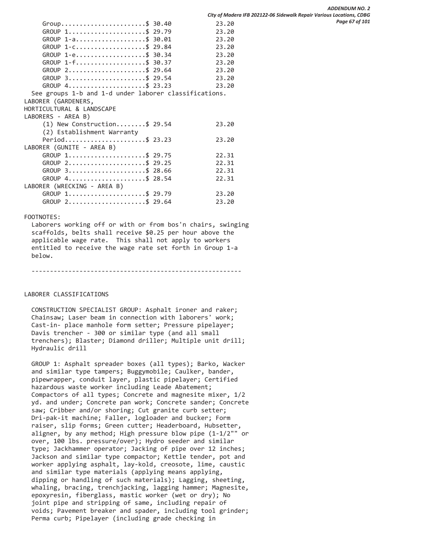*ADDENDUM NO. 2 City of Madera IFB 202122-06 Sidewalk Repair Various Locations, CDBG Page 67 of 101*

| Group\$ 30.40                                                    | 23.20 |
|------------------------------------------------------------------|-------|
| GROUP 1\$ 29.79                                                  | 23.20 |
| GROUP $1 - a$ \$ 30.01                                           | 23.20 |
| GROUP 1-C\$ 29.84                                                | 23.20 |
| GROUP 1-e\$ 30.34                                                | 23.20 |
| GROUP $1 - f$ \$ 30.37                                           | 23.20 |
| GROUP 2\$ 29.64                                                  | 23.20 |
| GROUP 3\$ 29.54                                                  | 23.20 |
| $GROUP$ 4\$ 23.23                                                | 23.20 |
| See groups 1-b and 1-d under laborer classifications.            |       |
| LABORER (GARDENERS,                                              |       |
| HORTICULTURAL & LANDSCAPE                                        |       |
| LABORERS - AREA B)                                               |       |
| $(1)$ New Construction\$ 29.54                                   | 23.20 |
| (2) Establishment Warranty                                       |       |
| Period\$ 23.23                                                   | 23.20 |
| LABORER (GUNITE - AREA B)                                        |       |
| $GROUP$ 1\$ 29.75                                                | 22.31 |
| $GROUP$ 2\$ 29.25                                                | 22.31 |
| GROUP 3\$ 28.66                                                  | 22.31 |
| GROUP $4 \ldots \ldots \ldots \ldots \ldots \ldots \quad $28.54$ | 22.31 |
| LABORER (WRECKING - AREA B)                                      |       |
| GROUP 1\$ 29.79                                                  | 23.20 |
| GROUP 2\$ 29.64                                                  | 23.20 |

### FOOTNOTES:

 Laborers working off or with or from bos'n chairs, swinging scaffolds, belts shall receive \$0.25 per hour above the applicable wage rate. This shall not apply to workers entitled to receive the wage rate set forth in Group 1-a below.

---------------------------------------------------------

# LABORER CLASSIFICATIONS

 CONSTRUCTION SPECIALIST GROUP: Asphalt ironer and raker; Chainsaw; Laser beam in connection with laborers' work; Cast-in- place manhole form setter; Pressure pipelayer; Davis trencher - 300 or similar type (and all small trenchers); Blaster; Diamond driller; Multiple unit drill; Hydraulic drill

 GROUP 1: Asphalt spreader boxes (all types); Barko, Wacker and similar type tampers; Buggymobile; Caulker, bander, pipewrapper, conduit layer, plastic pipelayer; Certified hazardous waste worker including Leade Abatement; Compactors of all types; Concrete and magnesite mixer, 1/2 yd. and under; Concrete pan work; Concrete sander; Concrete saw; Cribber and/or shoring; Cut granite curb setter; Dri-pak-it machine; Faller, logloader and bucker; Form raiser, slip forms; Green cutter; Headerboard, Hubsetter, aligner, by any method; High pressure blow pipe (1-1/2"" or over, 100 lbs. pressure/over); Hydro seeder and similar type; Jackhammer operator; Jacking of pipe over 12 inches; Jackson and similar type compactor; Kettle tender, pot and worker applying asphalt, lay-kold, creosote, lime, caustic and similar type materials (applying means applying, dipping or handling of such materials); Lagging, sheeting, whaling, bracing, trenchjacking, lagging hammer; Magnesite, epoxyresin, fiberglass, mastic worker (wet or dry); No joint pipe and stripping of same, including repair of voids; Pavement breaker and spader, including tool grinder; Perma curb; Pipelayer (including grade checking in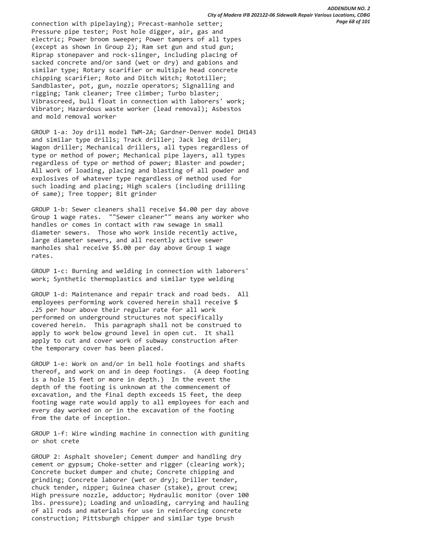connection with pipelaying); Precast-manhole setter; Pressure pipe tester; Post hole digger, air, gas and electric; Power broom sweeper; Power tampers of all types (except as shown in Group 2); Ram set gun and stud gun; Riprap stonepaver and rock-slinger, including placing of sacked concrete and/or sand (wet or dry) and gabions and similar type; Rotary scarifier or multiple head concrete chipping scarifier; Roto and Ditch Witch; Rototiller; Sandblaster, pot, gun, nozzle operators; Signalling and rigging; Tank cleaner; Tree climber; Turbo blaster; Vibrascreed, bull float in connection with laborers' work; Vibrator; Hazardous waste worker (lead removal); Asbestos and mold removal worker

 GROUP 1-a: Joy drill model TWM-2A; Gardner-Denver model DH143 and similar type drills; Track driller; Jack leg driller; Wagon driller; Mechanical drillers, all types regardless of type or method of power; Mechanical pipe layers, all types regardless of type or method of power; Blaster and powder; All work of loading, placing and blasting of all powder and explosives of whatever type regardless of method used for such loading and placing; High scalers (including drilling of same); Tree topper; Bit grinder

 GROUP 1-b: Sewer cleaners shall receive \$4.00 per day above Group 1 wage rates. ""Sewer cleaner"" means any worker who handles or comes in contact with raw sewage in small diameter sewers. Those who work inside recently active, large diameter sewers, and all recently active sewer manholes shal receive \$5.00 per day above Group 1 wage rates.

 GROUP 1-c: Burning and welding in connection with laborers' work; Synthetic thermoplastics and similar type welding

 GROUP 1-d: Maintenance and repair track and road beds. All employees performing work covered herein shall receive \$ .25 per hour above their regular rate for all work performed on underground structures not specifically covered herein. This paragraph shall not be construed to apply to work below ground level in open cut. It shall apply to cut and cover work of subway construction after the temporary cover has been placed.

 GROUP 1-e: Work on and/or in bell hole footings and shafts thereof, and work on and in deep footings. (A deep footing is a hole 15 feet or more in depth.) In the event the depth of the footing is unknown at the commencement of excavation, and the final depth exceeds 15 feet, the deep footing wage rate would apply to all employees for each and every day worked on or in the excavation of the footing from the date of inception.

 GROUP 1-f: Wire winding machine in connection with guniting or shot crete

 GROUP 2: Asphalt shoveler; Cement dumper and handling dry cement or gypsum; Choke-setter and rigger (clearing work); Concrete bucket dumper and chute; Concrete chipping and grinding; Concrete laborer (wet or dry); Driller tender, chuck tender, nipper; Guinea chaser (stake), grout crew; High pressure nozzle, adductor; Hydraulic monitor (over 100 lbs. pressure); Loading and unloading, carrying and hauling of all rods and materials for use in reinforcing concrete construction; Pittsburgh chipper and similar type brush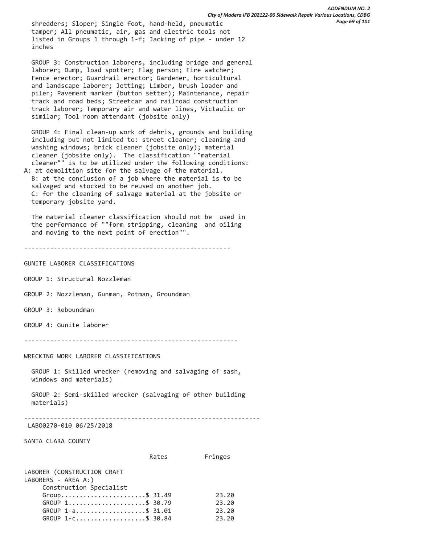shredders; Sloper; Single foot, hand-held, pneumatic tamper; All pneumatic, air, gas and electric tools not listed in Groups 1 through 1-f; Jacking of pipe - under 12 inches

 GROUP 3: Construction laborers, including bridge and general laborer; Dump, load spotter; Flag person; Fire watcher; Fence erector; Guardrail erector; Gardener, horticultural and landscape laborer; Jetting; Limber, brush loader and piler; Pavement marker (button setter); Maintenance, repair track and road beds; Streetcar and railroad construction track laborer; Temporary air and water lines, Victaulic or similar; Tool room attendant (jobsite only)

 GROUP 4: Final clean-up work of debris, grounds and building including but not limited to: street cleaner; cleaning and washing windows; brick cleaner (jobsite only); material cleaner (jobsite only). The classification ""material cleaner"" is to be utilized under the following conditions: A: at demolition site for the salvage of the material.

 B: at the conclusion of a job where the material is to be salvaged and stocked to be reused on another job. C: for the cleaning of salvage material at the jobsite or temporary jobsite yard.

 The material cleaner classification should not be used in the performance of ""form stripping, cleaning and oiling and moving to the next point of erection"".

```
--------------------------------------------------------
```
GUNITE LABORER CLASSIFICATIONS

GROUP 1: Structural Nozzleman

GROUP 2: Nozzleman, Gunman, Potman, Groundman

GROUP 3: Reboundman

GROUP 4: Gunite laborer

----------------------------------------------------------

WRECKING WORK LABORER CLASSIFICATIONS

 GROUP 1: Skilled wrecker (removing and salvaging of sash, windows and materials)

 GROUP 2: Semi-skilled wrecker (salvaging of other building materials)

----------------------------------------------------------------

LABO0270-010 06/25/2018

SANTA CLARA COUNTY

 Rates Fringes LABORER (CONSTRUCTION CRAFT LABORERS - AREA A:) Construction Specialist

| 23.20 |
|-------|
|       |
| 23.20 |
| 23.20 |
| 23.20 |
|       |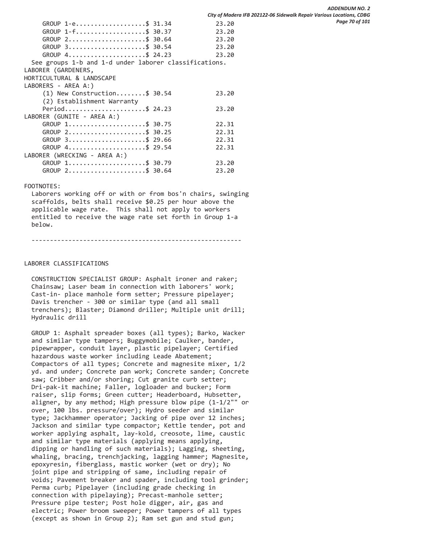| GROUP 1-e\$ 31.34                                                | 23.20 |
|------------------------------------------------------------------|-------|
| $GROUP$ 1-f\$ 30.37                                              | 23.20 |
| $GROUP$ 2\$ 30.64                                                | 23.20 |
| $GROUP$ 3\$ 30.54                                                | 23.20 |
| GROUP $4 \ldots \ldots \ldots \ldots \ldots \ldots \quad $24.23$ | 23.20 |
| See groups 1-b and 1-d under laborer classifications.            |       |
| LABORER (GARDENERS,                                              |       |
| HORTICULTURAL & LANDSCAPE                                        |       |
| LABORERS - AREA A:)                                              |       |
| $(1)$ New Construction\$ 30.54                                   | 23.20 |
| (2) Establishment Warranty                                       |       |
| Period\$ 24.23                                                   | 23.20 |
| LABORER (GUNITE - AREA A:)                                       |       |
| GROUP 1\$ 30.75                                                  | 22.31 |
| $GROUP$ 2\$ 30.25                                                | 22.31 |
| GROUP 3\$ 29.66                                                  | 22.31 |
| GROUP 4\$ 29.54                                                  | 22.31 |
| LABORER (WRECKING - AREA A:)                                     |       |
| GROUP 1\$ 30.79                                                  | 23.20 |
| GROUP 2\$ 30.64                                                  | 23.20 |

# FOOTNOTES:

 Laborers working off or with or from bos'n chairs, swinging scaffolds, belts shall receive \$0.25 per hour above the applicable wage rate. This shall not apply to workers entitled to receive the wage rate set forth in Group 1-a below.

---------------------------------------------------------

# LABORER CLASSIFICATIONS

 CONSTRUCTION SPECIALIST GROUP: Asphalt ironer and raker; Chainsaw; Laser beam in connection with laborers' work; Cast-in- place manhole form setter; Pressure pipelayer; Davis trencher - 300 or similar type (and all small trenchers); Blaster; Diamond driller; Multiple unit drill; Hydraulic drill

 GROUP 1: Asphalt spreader boxes (all types); Barko, Wacker and similar type tampers; Buggymobile; Caulker, bander, pipewrapper, conduit layer, plastic pipelayer; Certified hazardous waste worker including Leade Abatement; Compactors of all types; Concrete and magnesite mixer, 1/2 yd. and under; Concrete pan work; Concrete sander; Concrete saw; Cribber and/or shoring; Cut granite curb setter; Dri-pak-it machine; Faller, logloader and bucker; Form raiser, slip forms; Green cutter; Headerboard, Hubsetter, aligner, by any method; High pressure blow pipe (1-1/2"" or over, 100 lbs. pressure/over); Hydro seeder and similar type; Jackhammer operator; Jacking of pipe over 12 inches; Jackson and similar type compactor; Kettle tender, pot and worker applying asphalt, lay-kold, creosote, lime, caustic and similar type materials (applying means applying, dipping or handling of such materials); Lagging, sheeting, whaling, bracing, trenchjacking, lagging hammer; Magnesite, epoxyresin, fiberglass, mastic worker (wet or dry); No joint pipe and stripping of same, including repair of voids; Pavement breaker and spader, including tool grinder; Perma curb; Pipelayer (including grade checking in connection with pipelaying); Precast-manhole setter; Pressure pipe tester; Post hole digger, air, gas and electric; Power broom sweeper; Power tampers of all types (except as shown in Group 2); Ram set gun and stud gun;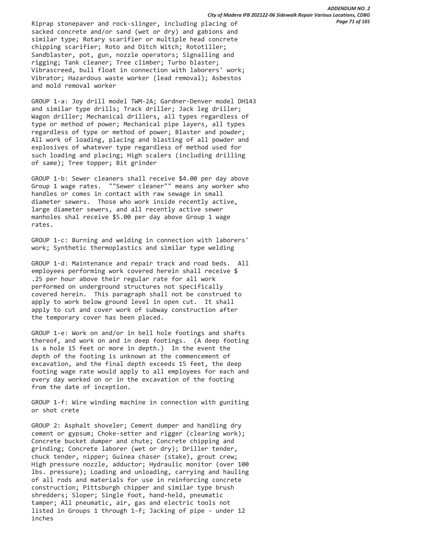Riprap stonepaver and rock-slinger, including placing of sacked concrete and/or sand (wet or dry) and gabions and similar type; Rotary scarifier or multiple head concrete chipping scarifier; Roto and Ditch Witch; Rototiller; Sandblaster, pot, gun, nozzle operators; Signalling and rigging; Tank cleaner; Tree climber; Turbo blaster; Vibrascreed, bull float in connection with laborers' work; Vibrator; Hazardous waste worker (lead removal); Asbestos and mold removal worker

 GROUP 1-a: Joy drill model TWM-2A; Gardner-Denver model DH143 and similar type drills; Track driller; Jack leg driller; Wagon driller; Mechanical drillers, all types regardless of type or method of power; Mechanical pipe layers, all types regardless of type or method of power; Blaster and powder; All work of loading, placing and blasting of all powder and explosives of whatever type regardless of method used for such loading and placing; High scalers (including drilling of same); Tree topper; Bit grinder

 GROUP 1-b: Sewer cleaners shall receive \$4.00 per day above Group 1 wage rates. ""Sewer cleaner"" means any worker who handles or comes in contact with raw sewage in small diameter sewers. Those who work inside recently active, large diameter sewers, and all recently active sewer manholes shal receive \$5.00 per day above Group 1 wage rates.

 GROUP 1-c: Burning and welding in connection with laborers' work; Synthetic thermoplastics and similar type welding

 GROUP 1-d: Maintenance and repair track and road beds. All employees performing work covered herein shall receive \$ .25 per hour above their regular rate for all work performed on underground structures not specifically covered herein. This paragraph shall not be construed to apply to work below ground level in open cut. It shall apply to cut and cover work of subway construction after the temporary cover has been placed.

 GROUP 1-e: Work on and/or in bell hole footings and shafts thereof, and work on and in deep footings. (A deep footing is a hole 15 feet or more in depth.) In the event the depth of the footing is unknown at the commencement of excavation, and the final depth exceeds 15 feet, the deep footing wage rate would apply to all employees for each and every day worked on or in the excavation of the footing from the date of inception.

 GROUP 1-f: Wire winding machine in connection with guniting or shot crete

 GROUP 2: Asphalt shoveler; Cement dumper and handling dry cement or gypsum; Choke-setter and rigger (clearing work); Concrete bucket dumper and chute; Concrete chipping and grinding; Concrete laborer (wet or dry); Driller tender, chuck tender, nipper; Guinea chaser (stake), grout crew; High pressure nozzle, adductor; Hydraulic monitor (over 100 lbs. pressure); Loading and unloading, carrying and hauling of all rods and materials for use in reinforcing concrete construction; Pittsburgh chipper and similar type brush shredders; Sloper; Single foot, hand-held, pneumatic tamper; All pneumatic, air, gas and electric tools not listed in Groups 1 through 1-f; Jacking of pipe - under 12 inches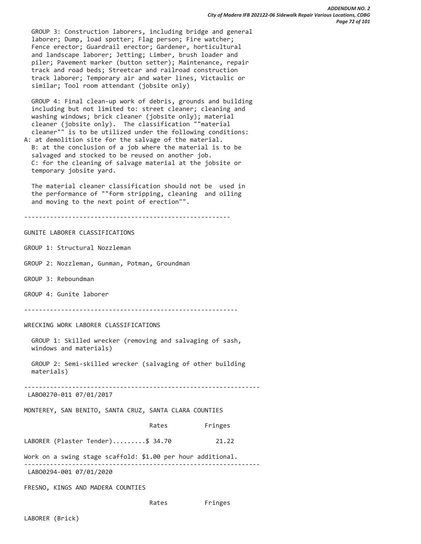GROUP 3: Construction laborers, including bridge and general laborer; Dump, load spotter; Flag person; Fire watcher; Fence erector; Guardrail erector; Gardener, horticultural and landscape laborer; Jetting; Limber, brush loader and piler; Pavement marker (button setter); Maintenance, repair track and road beds; Streetcar and railroad construction track laborer; Temporary air and water lines, Victaulic or similar; Tool room attendant (jobsite only)

 GROUP 4: Final clean-up work of debris, grounds and building including but not limited to: street cleaner; cleaning and washing windows; brick cleaner (jobsite only); material cleaner (jobsite only). The classification ""material cleaner"" is to be utilized under the following conditions: A: at demolition site for the salvage of the material.

 B: at the conclusion of a job where the material is to be salvaged and stocked to be reused on another job. C: for the cleaning of salvage material at the jobsite or temporary jobsite yard.

 The material cleaner classification should not be used in the performance of ""form stripping, cleaning and oiling and moving to the next point of erection"".

--------------------------------------------------------

# GUNITE LABORER CLASSIFICATIONS

GROUP 1: Structural Nozzleman

GROUP 2: Nozzleman, Gunman, Potman, Groundman

GROUP 3: Reboundman

GROUP 4: Gunite laborer

----------------------------------------------------------

WRECKING WORK LABORER CLASSIFICATIONS

 GROUP 1: Skilled wrecker (removing and salvaging of sash, windows and materials)

 GROUP 2: Semi-skilled wrecker (salvaging of other building materials)

----------------------------------------------------------------

LABO0270-011 07/01/2017

MONTEREY, SAN BENITO, SANTA CRUZ, SANTA CLARA COUNTIES

Rates Fringes

LABORER (Plaster Tender).........\$ 34.70 21.22

Work on a swing stage scaffold: \$1.00 per hour additional. ----------------------------------------------------------------

LABO0294-001 07/01/2020

FRESNO, KINGS AND MADERA COUNTIES

Rates Fringes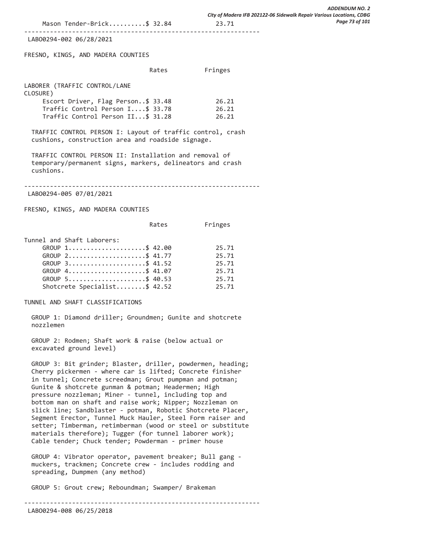----------------------------------------------------------------

LABO0294-002 06/28/2021

FRESNO, KINGS, AND MADERA COUNTIES

|  | Rates | Fringes |
|--|-------|---------|
|--|-------|---------|

LABORER (TRAFFIC CONTROL/LANE CLOSURE)

| Escort Driver, Flag Person\$ 33.48 | 26.21 |
|------------------------------------|-------|
| Traffic Control Person I\$ 33.78   | 26.21 |
| Traffic Control Person II\$ 31.28  | 26.21 |

 TRAFFIC CONTROL PERSON I: Layout of traffic control, crash cushions, construction area and roadside signage.

 TRAFFIC CONTROL PERSON II: Installation and removal of temporary/permanent signs, markers, delineators and crash cushions.

----------------------------------------------------------------

LABO0294-005 07/01/2021

FRESNO, KINGS, AND MADERA COUNTIES

Rates Fringes

Tunnel and Shaft Laborers:

| GROUP 1\$ 42.00              | 25.71 |
|------------------------------|-------|
| GROUP 2\$ 41.77              | 25.71 |
| GROUP 3\$ 41.52              | 25.71 |
| GROUP 4\$ 41.07              | 25.71 |
| GROUP 5\$ 40.53              | 25.71 |
| Shotcrete Specialist\$ 42.52 | 25.71 |

TUNNEL AND SHAFT CLASSIFICATIONS

 GROUP 1: Diamond driller; Groundmen; Gunite and shotcrete nozzlemen

 GROUP 2: Rodmen; Shaft work & raise (below actual or excavated ground level)

 GROUP 3: Bit grinder; Blaster, driller, powdermen, heading; Cherry pickermen - where car is lifted; Concrete finisher in tunnel; Concrete screedman; Grout pumpman and potman; Gunite & shotcrete gunman & potman; Headermen; High pressure nozzleman; Miner - tunnel, including top and bottom man on shaft and raise work; Nipper; Nozzleman on slick line; Sandblaster - potman, Robotic Shotcrete Placer, Segment Erector, Tunnel Muck Hauler, Steel Form raiser and setter; Timberman, retimberman (wood or steel or substitute materials therefore); Tugger (for tunnel laborer work); Cable tender; Chuck tender; Powderman - primer house

 GROUP 4: Vibrator operator, pavement breaker; Bull gang muckers, trackmen; Concrete crew - includes rodding and spreading, Dumpmen (any method)

GROUP 5: Grout crew; Reboundman; Swamper/ Brakeman

----------------------------------------------------------------

LABO0294-008 06/25/2018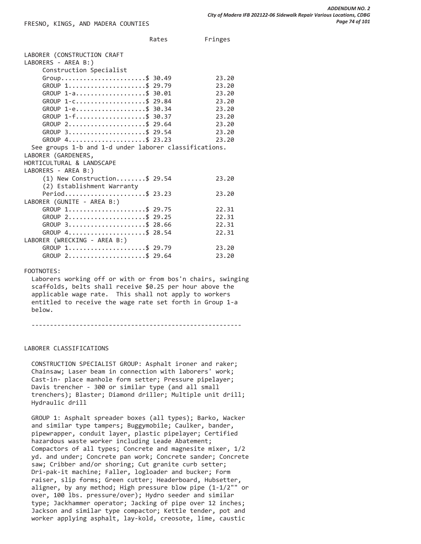Rates Fringes

| LABORER (CONSTRUCTION CRAFT                                      |       |
|------------------------------------------------------------------|-------|
| LABORERS - AREA B:)                                              |       |
| Construction Specialist                                          |       |
| Group\$ 30.49                                                    | 23.20 |
| GROUP 1\$ 29.79                                                  | 23.20 |
| GROUP 1-a\$ 30.01                                                | 23.20 |
| GROUP 1-C\$ 29.84                                                | 23.20 |
| GROUP $1 - e$ \$ 30.34                                           | 23.20 |
| GROUP 1-f\$ 30.37                                                | 23.20 |
| GROUP $2 \ldots \ldots \ldots \ldots \ldots \ldots \quad $29.64$ | 23.20 |
| $GROUP$ 3\$ 29.54                                                | 23.20 |
| GROUP 4\$ 23.23                                                  | 23.20 |
| See groups 1-b and 1-d under laborer classifications.            |       |
| LABORER (GARDENERS,                                              |       |
| HORTICULTURAL & LANDSCAPE                                        |       |
| LABORERS - AREA B:)                                              |       |
| $(1)$ New Construction\$ 29.54                                   | 23.20 |
| (2) Establishment Warranty                                       |       |
| Period\$ 23.23                                                   | 23.20 |
| LABORER (GUNITE - AREA B:)                                       |       |
| GROUP 1\$ 29.75                                                  | 22.31 |
| $GROUP$ 2\$ 29.25                                                | 22.31 |
| GROUP 3\$ 28.66                                                  | 22.31 |
| GROUP 4\$ 28.54                                                  | 22.31 |
| LABORER (WRECKING - AREA B:)                                     |       |
| GROUP 1\$ 29.79                                                  | 23.20 |
| GROUP 2\$ 29.64                                                  | 23.20 |
|                                                                  |       |

## FOOTNOTES:

 Laborers working off or with or from bos'n chairs, swinging scaffolds, belts shall receive \$0.25 per hour above the applicable wage rate. This shall not apply to workers entitled to receive the wage rate set forth in Group 1-a below.

---------------------------------------------------------

#### LABORER CLASSIFICATIONS

 CONSTRUCTION SPECIALIST GROUP: Asphalt ironer and raker; Chainsaw; Laser beam in connection with laborers' work; Cast-in- place manhole form setter; Pressure pipelayer; Davis trencher - 300 or similar type (and all small trenchers); Blaster; Diamond driller; Multiple unit drill; Hydraulic drill

 GROUP 1: Asphalt spreader boxes (all types); Barko, Wacker and similar type tampers; Buggymobile; Caulker, bander, pipewrapper, conduit layer, plastic pipelayer; Certified hazardous waste worker including Leade Abatement; Compactors of all types; Concrete and magnesite mixer, 1/2 yd. and under; Concrete pan work; Concrete sander; Concrete saw; Cribber and/or shoring; Cut granite curb setter; Dri-pak-it machine; Faller, logloader and bucker; Form raiser, slip forms; Green cutter; Headerboard, Hubsetter, aligner, by any method; High pressure blow pipe (1-1/2"" or over, 100 lbs. pressure/over); Hydro seeder and similar type; Jackhammer operator; Jacking of pipe over 12 inches; Jackson and similar type compactor; Kettle tender, pot and worker applying asphalt, lay-kold, creosote, lime, caustic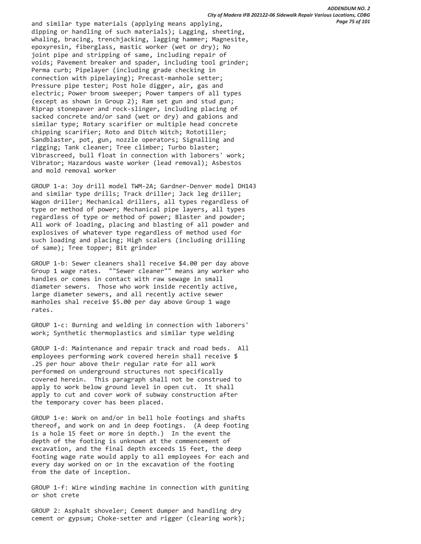and similar type materials (applying means applying, dipping or handling of such materials); Lagging, sheeting, whaling, bracing, trenchjacking, lagging hammer; Magnesite, epoxyresin, fiberglass, mastic worker (wet or dry); No joint pipe and stripping of same, including repair of voids; Pavement breaker and spader, including tool grinder; Perma curb; Pipelayer (including grade checking in connection with pipelaying); Precast-manhole setter; Pressure pipe tester; Post hole digger, air, gas and electric; Power broom sweeper; Power tampers of all types (except as shown in Group 2); Ram set gun and stud gun; Riprap stonepaver and rock-slinger, including placing of sacked concrete and/or sand (wet or dry) and gabions and similar type; Rotary scarifier or multiple head concrete chipping scarifier; Roto and Ditch Witch; Rototiller; Sandblaster, pot, gun, nozzle operators; Signalling and rigging; Tank cleaner; Tree climber; Turbo blaster; Vibrascreed, bull float in connection with laborers' work; Vibrator; Hazardous waste worker (lead removal); Asbestos and mold removal worker

 GROUP 1-a: Joy drill model TWM-2A; Gardner-Denver model DH143 and similar type drills; Track driller; Jack leg driller; Wagon driller; Mechanical drillers, all types regardless of type or method of power; Mechanical pipe layers, all types regardless of type or method of power; Blaster and powder; All work of loading, placing and blasting of all powder and explosives of whatever type regardless of method used for such loading and placing; High scalers (including drilling of same); Tree topper; Bit grinder

 GROUP 1-b: Sewer cleaners shall receive \$4.00 per day above Group 1 wage rates. ""Sewer cleaner"" means any worker who handles or comes in contact with raw sewage in small diameter sewers. Those who work inside recently active, large diameter sewers, and all recently active sewer manholes shal receive \$5.00 per day above Group 1 wage rates.

 GROUP 1-c: Burning and welding in connection with laborers' work; Synthetic thermoplastics and similar type welding

 GROUP 1-d: Maintenance and repair track and road beds. All employees performing work covered herein shall receive \$ .25 per hour above their regular rate for all work performed on underground structures not specifically covered herein. This paragraph shall not be construed to apply to work below ground level in open cut. It shall apply to cut and cover work of subway construction after the temporary cover has been placed.

 GROUP 1-e: Work on and/or in bell hole footings and shafts thereof, and work on and in deep footings. (A deep footing is a hole 15 feet or more in depth.) In the event the depth of the footing is unknown at the commencement of excavation, and the final depth exceeds 15 feet, the deep footing wage rate would apply to all employees for each and every day worked on or in the excavation of the footing from the date of inception.

 GROUP 1-f: Wire winding machine in connection with guniting or shot crete

 GROUP 2: Asphalt shoveler; Cement dumper and handling dry cement or gypsum; Choke-setter and rigger (clearing work);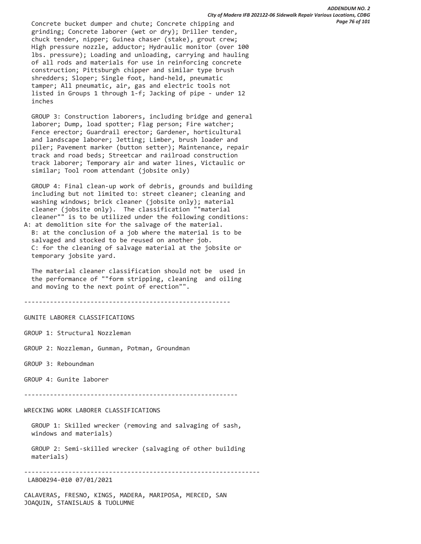Concrete bucket dumper and chute; Concrete chipping and grinding; Concrete laborer (wet or dry); Driller tender, chuck tender, nipper; Guinea chaser (stake), grout crew; High pressure nozzle, adductor; Hydraulic monitor (over 100 lbs. pressure); Loading and unloading, carrying and hauling of all rods and materials for use in reinforcing concrete construction; Pittsburgh chipper and similar type brush shredders; Sloper; Single foot, hand-held, pneumatic tamper; All pneumatic, air, gas and electric tools not listed in Groups 1 through 1-f; Jacking of pipe - under 12 inches

 GROUP 3: Construction laborers, including bridge and general laborer; Dump, load spotter; Flag person; Fire watcher; Fence erector; Guardrail erector; Gardener, horticultural and landscape laborer; Jetting; Limber, brush loader and piler; Pavement marker (button setter); Maintenance, repair track and road beds; Streetcar and railroad construction track laborer; Temporary air and water lines, Victaulic or similar; Tool room attendant (jobsite only)

 GROUP 4: Final clean-up work of debris, grounds and building including but not limited to: street cleaner; cleaning and washing windows; brick cleaner (jobsite only); material cleaner (jobsite only). The classification ""material cleaner"" is to be utilized under the following conditions:

A: at demolition site for the salvage of the material. B: at the conclusion of a job where the material is to be salvaged and stocked to be reused on another job. C: for the cleaning of salvage material at the jobsite or temporary jobsite yard.

 The material cleaner classification should not be used in the performance of ""form stripping, cleaning and oiling and moving to the next point of erection"".

--------------------------------------------------------

GUNITE LABORER CLASSIFICATIONS

GROUP 1: Structural Nozzleman

GROUP 2: Nozzleman, Gunman, Potman, Groundman

GROUP 3: Reboundman

GROUP 4: Gunite laborer

----------------------------------------------------------

WRECKING WORK LABORER CLASSIFICATIONS

 GROUP 1: Skilled wrecker (removing and salvaging of sash, windows and materials)

 GROUP 2: Semi-skilled wrecker (salvaging of other building materials)

----------------------------------------------------------------

LABO0294-010 07/01/2021

CALAVERAS, FRESNO, KINGS, MADERA, MARIPOSA, MERCED, SAN JOAQUIN, STANISLAUS & TUOLUMNE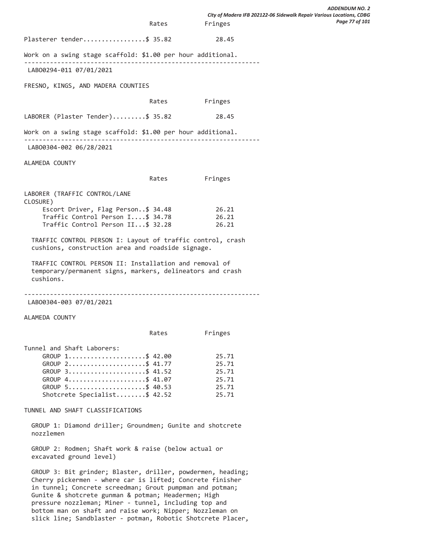Rates Fringes Plasterer tender.................\$ 35.82 28.45 Work on a swing stage scaffold: \$1.00 per hour additional. ---------------------------------------------------------------- LABO0294-011 07/01/2021 FRESNO, KINGS, AND MADERA COUNTIES Rates Fringes LABORER (Plaster Tender).........\$ 35.82 28.45 Work on a swing stage scaffold: \$1.00 per hour additional. ---------------------------------------------------------------- LABO0304-002 06/28/2021 ALAMEDA COUNTY Rates Fringes LABORER (TRAFFIC CONTROL/LANE CLOSURE) Escort Driver, Flag Person..\$ 34.48 26.21 Traffic Control Person I....\$ 34.78 26.21 Traffic Control Person II...\$ 32.28 26.21 TRAFFIC CONTROL PERSON I: Layout of traffic control, crash cushions, construction area and roadside signage. TRAFFIC CONTROL PERSON II: Installation and removal of temporary/permanent signs, markers, delineators and crash cushions. ---------------------------------------------------------------- LABO0304-003 07/01/2021 ALAMEDA COUNTY Rates Fringes Tunnel and Shaft Laborers: GROUP 1......................\$ 42.00 25.71 GROUP 2.......................\$ 41.77 25.71 GROUP 3.......................\$ 41.52 25.71 GROUP 4........................\$ 41.07 25.71 GROUP 5.......................\$ 40.53 25.71 Shotcrete Specialist........\$ 42.52 25.71 TUNNEL AND SHAFT CLASSIFICATIONS GROUP 1: Diamond driller; Groundmen; Gunite and shotcrete nozzlemen GROUP 2: Rodmen; Shaft work & raise (below actual or excavated ground level) GROUP 3: Bit grinder; Blaster, driller, powdermen, heading; *City of Madera IFB 202122-06 Sidewalk Repair Various Locations, CDBG* 

*ADDENDUM NO. 2* 

*Page 77 of 101*

 Cherry pickermen - where car is lifted; Concrete finisher in tunnel; Concrete screedman; Grout pumpman and potman; Gunite & shotcrete gunman & potman; Headermen; High pressure nozzleman; Miner - tunnel, including top and bottom man on shaft and raise work; Nipper; Nozzleman on slick line; Sandblaster - potman, Robotic Shotcrete Placer,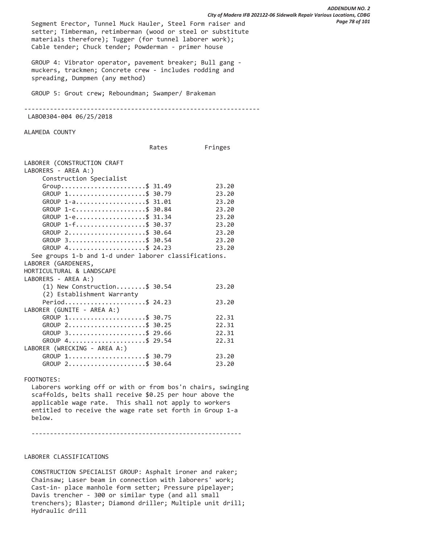Segment Erector, Tunnel Muck Hauler, Steel Form raiser and setter; Timberman, retimberman (wood or steel or substitute materials therefore); Tugger (for tunnel laborer work); Cable tender; Chuck tender; Powderman - primer house GROUP 4: Vibrator operator, pavement breaker; Bull gang muckers, trackmen; Concrete crew - includes rodding and spreading, Dumpmen (any method) GROUP 5: Grout crew; Reboundman; Swamper/ Brakeman ---------------------------------------------------------------- LABO0304-004 06/25/2018 ALAMEDA COUNTY Rates Fringes LABORER (CONSTRUCTION CRAFT LABORERS - AREA A:) Construction Specialist Group..........................\$ 31.49 23.20 GROUP 1......................\$ 30.79 23.20 GROUP 1-a....................\$ 31.01 23.20 GROUP 1-C.....................\$ 30.84 23.20 GROUP 1-e...................\$ 31.34 23.20 GROUP 1-f....................\$ 30.37 23.20 GROUP 2......................\$ 30.64 23.20 GROUP 3.......................\$ 30.54 23.20 GROUP 4.......................\$ 24.23 23.20 See groups 1-b and 1-d under laborer classifications. LABORER (GARDENERS, HORTICULTURAL & LANDSCAPE LABORERS - AREA A:) (1) New Construction........\$ 30.54 23.20 (2) Establishment Warranty Period........................\$ 24.23 23.20 LABORER (GUNITE - AREA A:) GROUP 1.......................\$ 30.75 22.31 GROUP 2.......................\$ 30.25 22.31 GROUP 3.......................\$ 29.66 22.31 GROUP 4.......................\$ 29.54 22.31 LABORER (WRECKING - AREA A:) GROUP 1.......................\$ 30.79 23.20 GROUP 2......................\$ 30.64 23.20 FOOTNOTES: Laborers working off or with or from bos'n chairs, swinging *City of Madera IFB 202122-06 Sidewalk Repair Various Locations, CDBG Page 78 of 101*

*ADDENDUM NO. 2* 

 scaffolds, belts shall receive \$0.25 per hour above the applicable wage rate. This shall not apply to workers entitled to receive the wage rate set forth in Group 1-a below.

---------------------------------------------------------

## LABORER CLASSIFICATIONS

 CONSTRUCTION SPECIALIST GROUP: Asphalt ironer and raker; Chainsaw; Laser beam in connection with laborers' work; Cast-in- place manhole form setter; Pressure pipelayer; Davis trencher - 300 or similar type (and all small trenchers); Blaster; Diamond driller; Multiple unit drill; Hydraulic drill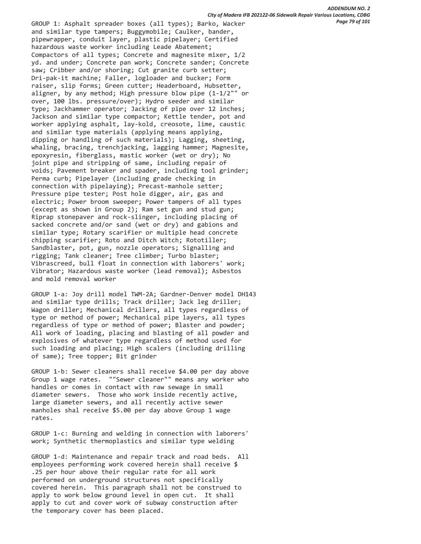GROUP 1: Asphalt spreader boxes (all types); Barko, Wacker and similar type tampers; Buggymobile; Caulker, bander, pipewrapper, conduit layer, plastic pipelayer; Certified hazardous waste worker including Leade Abatement; Compactors of all types; Concrete and magnesite mixer, 1/2 yd. and under; Concrete pan work; Concrete sander; Concrete saw; Cribber and/or shoring; Cut granite curb setter; Dri-pak-it machine; Faller, logloader and bucker; Form raiser, slip forms; Green cutter; Headerboard, Hubsetter, aligner, by any method; High pressure blow pipe (1-1/2"" or over, 100 lbs. pressure/over); Hydro seeder and similar type; Jackhammer operator; Jacking of pipe over 12 inches; Jackson and similar type compactor; Kettle tender, pot and worker applying asphalt, lay-kold, creosote, lime, caustic and similar type materials (applying means applying, dipping or handling of such materials); Lagging, sheeting, whaling, bracing, trenchjacking, lagging hammer; Magnesite, epoxyresin, fiberglass, mastic worker (wet or dry); No joint pipe and stripping of same, including repair of voids; Pavement breaker and spader, including tool grinder; Perma curb; Pipelayer (including grade checking in connection with pipelaying); Precast-manhole setter; Pressure pipe tester; Post hole digger, air, gas and electric; Power broom sweeper; Power tampers of all types (except as shown in Group 2); Ram set gun and stud gun; Riprap stonepaver and rock-slinger, including placing of sacked concrete and/or sand (wet or dry) and gabions and similar type; Rotary scarifier or multiple head concrete chipping scarifier; Roto and Ditch Witch; Rototiller; Sandblaster, pot, gun, nozzle operators; Signalling and rigging; Tank cleaner; Tree climber; Turbo blaster; Vibrascreed, bull float in connection with laborers' work; Vibrator; Hazardous waste worker (lead removal); Asbestos and mold removal worker

 GROUP 1-a: Joy drill model TWM-2A; Gardner-Denver model DH143 and similar type drills; Track driller; Jack leg driller; Wagon driller; Mechanical drillers, all types regardless of type or method of power; Mechanical pipe layers, all types regardless of type or method of power; Blaster and powder; All work of loading, placing and blasting of all powder and explosives of whatever type regardless of method used for such loading and placing; High scalers (including drilling of same); Tree topper; Bit grinder

 GROUP 1-b: Sewer cleaners shall receive \$4.00 per day above Group 1 wage rates. ""Sewer cleaner"" means any worker who handles or comes in contact with raw sewage in small diameter sewers. Those who work inside recently active, large diameter sewers, and all recently active sewer manholes shal receive \$5.00 per day above Group 1 wage rates.

 GROUP 1-c: Burning and welding in connection with laborers' work; Synthetic thermoplastics and similar type welding

 GROUP 1-d: Maintenance and repair track and road beds. All employees performing work covered herein shall receive \$ .25 per hour above their regular rate for all work performed on underground structures not specifically covered herein. This paragraph shall not be construed to apply to work below ground level in open cut. It shall apply to cut and cover work of subway construction after the temporary cover has been placed.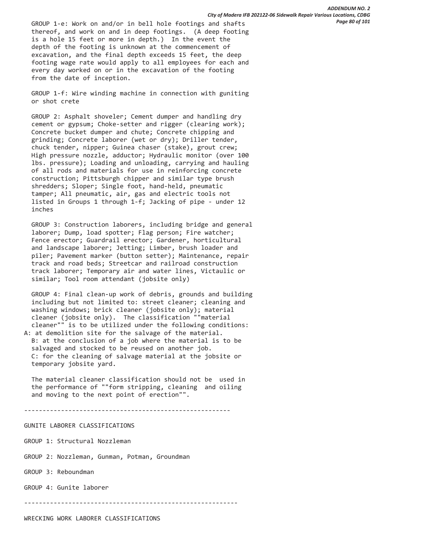GROUP 1-e: Work on and/or in bell hole footings and shafts thereof, and work on and in deep footings. (A deep footing is a hole 15 feet or more in depth.) In the event the depth of the footing is unknown at the commencement of excavation, and the final depth exceeds 15 feet, the deep footing wage rate would apply to all employees for each and every day worked on or in the excavation of the footing from the date of inception.

 GROUP 1-f: Wire winding machine in connection with guniting or shot crete

 GROUP 2: Asphalt shoveler; Cement dumper and handling dry cement or gypsum; Choke-setter and rigger (clearing work); Concrete bucket dumper and chute; Concrete chipping and grinding; Concrete laborer (wet or dry); Driller tender, chuck tender, nipper; Guinea chaser (stake), grout crew; High pressure nozzle, adductor; Hydraulic monitor (over 100 lbs. pressure); Loading and unloading, carrying and hauling of all rods and materials for use in reinforcing concrete construction; Pittsburgh chipper and similar type brush shredders; Sloper; Single foot, hand-held, pneumatic tamper; All pneumatic, air, gas and electric tools not listed in Groups 1 through 1-f; Jacking of pipe - under 12 inches

 GROUP 3: Construction laborers, including bridge and general laborer; Dump, load spotter; Flag person; Fire watcher; Fence erector; Guardrail erector; Gardener, horticultural and landscape laborer; Jetting; Limber, brush loader and piler; Pavement marker (button setter); Maintenance, repair track and road beds; Streetcar and railroad construction track laborer; Temporary air and water lines, Victaulic or similar; Tool room attendant (jobsite only)

 GROUP 4: Final clean-up work of debris, grounds and building including but not limited to: street cleaner; cleaning and washing windows; brick cleaner (jobsite only); material cleaner (jobsite only). The classification ""material cleaner"" is to be utilized under the following conditions: A: at demolition site for the salvage of the material.

 B: at the conclusion of a job where the material is to be salvaged and stocked to be reused on another job. C: for the cleaning of salvage material at the jobsite or temporary jobsite yard.

 The material cleaner classification should not be used in the performance of ""form stripping, cleaning and oiling and moving to the next point of erection"".

--------------------------------------------------------

### GUNITE LABORER CLASSIFICATIONS

GROUP 1: Structural Nozzleman

GROUP 2: Nozzleman, Gunman, Potman, Groundman

GROUP 3: Reboundman

GROUP 4: Gunite laborer

----------------------------------------------------------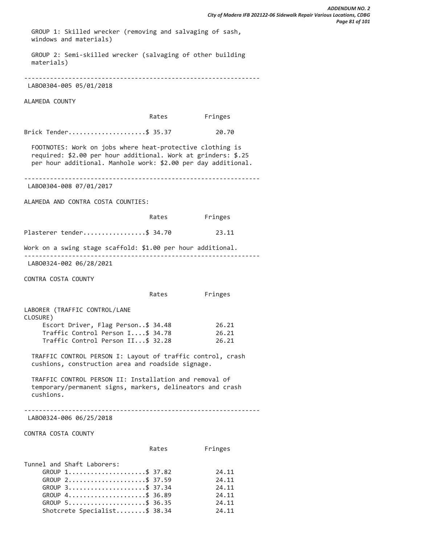GROUP 1: Skilled wrecker (removing and salvaging of sash, windows and materials)

 GROUP 2: Semi-skilled wrecker (salvaging of other building materials)

----------------------------------------------------------------

# LABO0304-005 05/01/2018

ALAMEDA COUNTY

| Fringes |
|---------|
|         |

Brick Tender.....................\$ 35.37 20.70

 FOOTNOTES: Work on jobs where heat-protective clothing is required: \$2.00 per hour additional. Work at grinders: \$.25 per hour additional. Manhole work: \$2.00 per day additional.

----------------------------------------------------------------

LABO0304-008 07/01/2017

ALAMEDA AND CONTRA COSTA COUNTIES:

|                                                                                                                                  | Rates | Fringes |
|----------------------------------------------------------------------------------------------------------------------------------|-------|---------|
| Plasterer tender\$ 34.70                                                                                                         |       | 23.11   |
| Work on a swing stage scaffold: \$1.00 per hour additional.                                                                      |       |         |
| LAB00324-002 06/28/2021                                                                                                          |       |         |
| CONTRA COSTA COUNTY                                                                                                              |       |         |
|                                                                                                                                  | Rates | Fringes |
| LABORER (TRAFFIC CONTROL/LANE<br>CLOSURE)                                                                                        |       |         |
| Escort Driver, Flag Person\$ 34.48                                                                                               |       | 26.21   |
| Traffic Control Person I\$ 34.78                                                                                                 |       | 26.21   |
| Traffic Control Person II\$ 32.28                                                                                                |       | 26.21   |
| TRAFFIC CONTROL PERSON I: Layout of traffic control, crash<br>cushions, construction area and roadside signage.                  |       |         |
| TRAFFIC CONTROL PERSON II: Installation and removal of<br>temporary/permanent signs, markers, delineators and crash<br>cushions. |       |         |
| LAB00324-006 06/25/2018                                                                                                          |       |         |
| CONTRA COSTA COUNTY                                                                                                              |       |         |
|                                                                                                                                  | Rates | Fringes |
| Tunnel and Shaft Laborers:                                                                                                       |       |         |
| GROUP 1\$ 37.82                                                                                                                  |       | 24.11   |
| GROUP 2\$ 37.59                                                                                                                  |       | 24.11   |
| GROUP 3\$ 37.34                                                                                                                  |       | 24.11   |
| GROUP 4\$ 36.89                                                                                                                  |       | 24.11   |
| GROUP 5\$ 36.35                                                                                                                  |       | 24.11   |

Shotcrete Specialist........\$ 38.34 24.11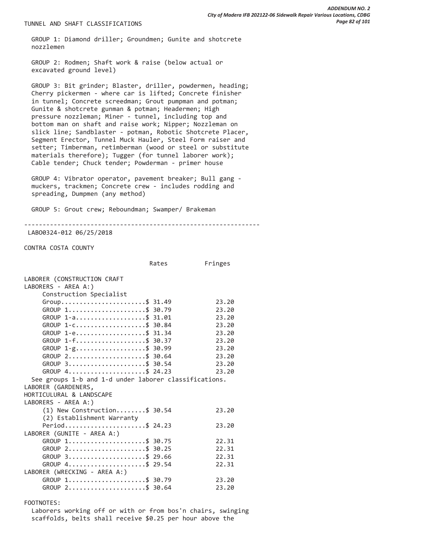TUNNEL AND SHAFT CLASSIFICATIONS

 GROUP 1: Diamond driller; Groundmen; Gunite and shotcrete nozzlemen

 GROUP 2: Rodmen; Shaft work & raise (below actual or excavated ground level)

 GROUP 3: Bit grinder; Blaster, driller, powdermen, heading; Cherry pickermen - where car is lifted; Concrete finisher in tunnel; Concrete screedman; Grout pumpman and potman; Gunite & shotcrete gunman & potman; Headermen; High pressure nozzleman; Miner - tunnel, including top and bottom man on shaft and raise work; Nipper; Nozzleman on slick line; Sandblaster - potman, Robotic Shotcrete Placer, Segment Erector, Tunnel Muck Hauler, Steel Form raiser and setter; Timberman, retimberman (wood or steel or substitute materials therefore); Tugger (for tunnel laborer work); Cable tender; Chuck tender; Powderman - primer house

 GROUP 4: Vibrator operator, pavement breaker; Bull gang muckers, trackmen; Concrete crew - includes rodding and spreading, Dumpmen (any method)

GROUP 5: Grout crew; Reboundman; Swamper/ Brakeman

----------------------------------------------------------------

LABO0324-012 06/25/2018

CONTRA COSTA COUNTY

|                                                       | Rates | Fringes |
|-------------------------------------------------------|-------|---------|
| LABORER (CONSTRUCTION CRAFT                           |       |         |
| LABORERS - AREA A:)                                   |       |         |
| Construction Specialist                               |       |         |
| Group\$ 31.49                                         |       | 23.20   |
| GROUP 1\$ 30.79                                       |       | 23.20   |
| GROUP 1-a\$ 31.01                                     |       | 23.20   |
| GROUP 1-C\$ 30.84                                     |       | 23.20   |
| GROUP 1-e\$ 31.34                                     |       | 23.20   |
| GROUP 1-f\$ 30.37                                     |       | 23.20   |
| GROUP 1-g\$ 30.99                                     |       | 23.20   |
| GROUP 2\$ 30.64                                       |       | 23.20   |
| $GROUP$ 3\$ 30.54                                     |       | 23.20   |
| GROUP 4\$ 24.23                                       |       | 23.20   |
| See groups 1-b and 1-d under laborer classifications. |       |         |
| LABORER (GARDENERS,                                   |       |         |
| HORTICULURAL & LANDSCAPE                              |       |         |
| LABORERS - AREA A:)                                   |       |         |
| $(1)$ New Construction\$ 30.54                        |       | 23.20   |
| (2) Establishment Warranty                            |       |         |
|                                                       |       | 23.20   |
| Period\$ 24.23                                        |       |         |
| LABORER (GUNITE - AREA A:)                            |       |         |
| GROUP 1\$ 30.75                                       |       | 22.31   |
| GROUP 2\$ 30.25                                       |       | 22.31   |
| GROUP 3\$ 29.66                                       |       | 22.31   |
| GROUP 4\$ 29.54                                       |       | 22.31   |
| LABORER (WRECKING - AREA A:)                          |       |         |
| GROUP 1\$ 30.79                                       |       | 23.20   |
| GROUP 2\$ 30.64                                       |       | 23.20   |

FOOTNOTES:

 Laborers working off or with or from bos'n chairs, swinging scaffolds, belts shall receive \$0.25 per hour above the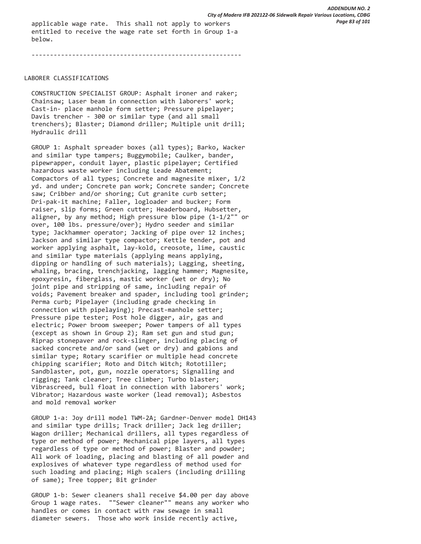applicable wage rate. This shall not apply to workers entitled to receive the wage rate set forth in Group 1-a below.

---------------------------------------------------------

LABORER CLASSIFICATIONS

 CONSTRUCTION SPECIALIST GROUP: Asphalt ironer and raker; Chainsaw; Laser beam in connection with laborers' work; Cast-in- place manhole form setter; Pressure pipelayer; Davis trencher - 300 or similar type (and all small trenchers); Blaster; Diamond driller; Multiple unit drill; Hydraulic drill

 GROUP 1: Asphalt spreader boxes (all types); Barko, Wacker and similar type tampers; Buggymobile; Caulker, bander, pipewrapper, conduit layer, plastic pipelayer; Certified hazardous waste worker including Leade Abatement; Compactors of all types; Concrete and magnesite mixer, 1/2 yd. and under; Concrete pan work; Concrete sander; Concrete saw; Cribber and/or shoring; Cut granite curb setter; Dri-pak-it machine; Faller, logloader and bucker; Form raiser, slip forms; Green cutter; Headerboard, Hubsetter, aligner, by any method; High pressure blow pipe (1-1/2"" or over, 100 lbs. pressure/over); Hydro seeder and similar type; Jackhammer operator; Jacking of pipe over 12 inches; Jackson and similar type compactor; Kettle tender, pot and worker applying asphalt, lay-kold, creosote, lime, caustic and similar type materials (applying means applying, dipping or handling of such materials); Lagging, sheeting, whaling, bracing, trenchjacking, lagging hammer; Magnesite, epoxyresin, fiberglass, mastic worker (wet or dry); No joint pipe and stripping of same, including repair of voids; Pavement breaker and spader, including tool grinder; Perma curb; Pipelayer (including grade checking in connection with pipelaying); Precast-manhole setter; Pressure pipe tester; Post hole digger, air, gas and electric; Power broom sweeper; Power tampers of all types (except as shown in Group 2); Ram set gun and stud gun; Riprap stonepaver and rock-slinger, including placing of sacked concrete and/or sand (wet or dry) and gabions and similar type; Rotary scarifier or multiple head concrete chipping scarifier; Roto and Ditch Witch; Rototiller; Sandblaster, pot, gun, nozzle operators; Signalling and rigging; Tank cleaner; Tree climber; Turbo blaster; Vibrascreed, bull float in connection with laborers' work; Vibrator; Hazardous waste worker (lead removal); Asbestos and mold removal worker

 GROUP 1-a: Joy drill model TWM-2A; Gardner-Denver model DH143 and similar type drills; Track driller; Jack leg driller; Wagon driller; Mechanical drillers, all types regardless of type or method of power; Mechanical pipe layers, all types regardless of type or method of power; Blaster and powder; All work of loading, placing and blasting of all powder and explosives of whatever type regardless of method used for such loading and placing; High scalers (including drilling of same); Tree topper; Bit grinder

 GROUP 1-b: Sewer cleaners shall receive \$4.00 per day above Group 1 wage rates. ""Sewer cleaner"" means any worker who handles or comes in contact with raw sewage in small diameter sewers. Those who work inside recently active,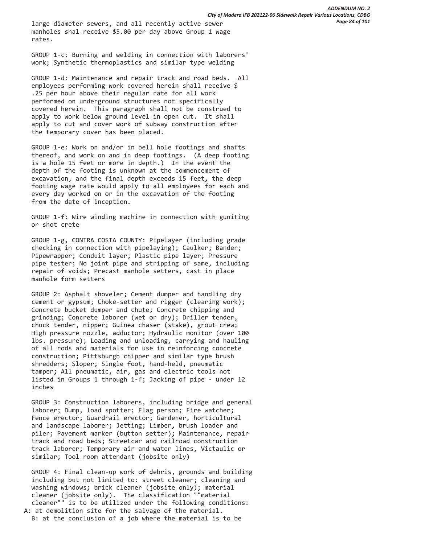large diameter sewers, and all recently active sewer manholes shal receive \$5.00 per day above Group 1 wage rates.

 GROUP 1-c: Burning and welding in connection with laborers' work; Synthetic thermoplastics and similar type welding

 GROUP 1-d: Maintenance and repair track and road beds. All employees performing work covered herein shall receive \$ .25 per hour above their regular rate for all work performed on underground structures not specifically covered herein. This paragraph shall not be construed to apply to work below ground level in open cut. It shall apply to cut and cover work of subway construction after the temporary cover has been placed.

 GROUP 1-e: Work on and/or in bell hole footings and shafts thereof, and work on and in deep footings. (A deep footing is a hole 15 feet or more in depth.) In the event the depth of the footing is unknown at the commencement of excavation, and the final depth exceeds 15 feet, the deep footing wage rate would apply to all employees for each and every day worked on or in the excavation of the footing from the date of inception.

 GROUP 1-f: Wire winding machine in connection with guniting or shot crete

 GROUP 1-g, CONTRA COSTA COUNTY: Pipelayer (including grade checking in connection with pipelaying); Caulker; Bander; Pipewrapper; Conduit layer; Plastic pipe layer; Pressure pipe tester; No joint pipe and stripping of same, including repair of voids; Precast manhole setters, cast in place manhole form setters

 GROUP 2: Asphalt shoveler; Cement dumper and handling dry cement or gypsum; Choke-setter and rigger (clearing work); Concrete bucket dumper and chute; Concrete chipping and grinding; Concrete laborer (wet or dry); Driller tender, chuck tender, nipper; Guinea chaser (stake), grout crew; High pressure nozzle, adductor; Hydraulic monitor (over 100 lbs. pressure); Loading and unloading, carrying and hauling of all rods and materials for use in reinforcing concrete construction; Pittsburgh chipper and similar type brush shredders; Sloper; Single foot, hand-held, pneumatic tamper; All pneumatic, air, gas and electric tools not listed in Groups 1 through 1-f; Jacking of pipe - under 12 inches

 GROUP 3: Construction laborers, including bridge and general laborer; Dump, load spotter; Flag person; Fire watcher; Fence erector; Guardrail erector; Gardener, horticultural and landscape laborer; Jetting; Limber, brush loader and piler; Pavement marker (button setter); Maintenance, repair track and road beds; Streetcar and railroad construction track laborer; Temporary air and water lines, Victaulic or similar; Tool room attendant (jobsite only)

 GROUP 4: Final clean-up work of debris, grounds and building including but not limited to: street cleaner; cleaning and washing windows; brick cleaner (jobsite only); material cleaner (jobsite only). The classification ""material cleaner"" is to be utilized under the following conditions: A: at demolition site for the salvage of the material.

B: at the conclusion of a job where the material is to be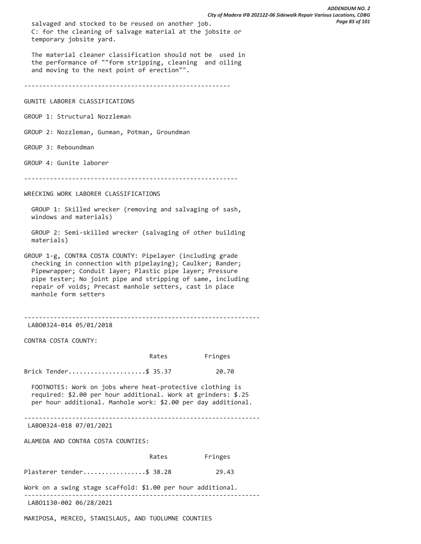salvaged and stocked to be reused on another job. C: for the cleaning of salvage material at the jobsite or temporary jobsite yard.

 The material cleaner classification should not be used in the performance of ""form stripping, cleaning and oiling and moving to the next point of erection"".

--------------------------------------------------------

GUNITE LABORER CLASSIFICATIONS

GROUP 1: Structural Nozzleman

GROUP 2: Nozzleman, Gunman, Potman, Groundman

GROUP 3: Reboundman

GROUP 4: Gunite laborer

----------------------------------------------------------

WRECKING WORK LABORER CLASSIFICATIONS

 GROUP 1: Skilled wrecker (removing and salvaging of sash, windows and materials)

 GROUP 2: Semi-skilled wrecker (salvaging of other building materials)

GROUP 1-g, CONTRA COSTA COUNTY: Pipelayer (including grade checking in connection with pipelaying); Caulker; Bander; Pipewrapper; Conduit layer; Plastic pipe layer; Pressure pipe tester; No joint pipe and stripping of same, including repair of voids; Precast manhole setters, cast in place manhole form setters

----------------------------------------------------------------

LABO0324-014 05/01/2018

CONTRA COSTA COUNTY:

|                                                                                                                                                                                             | Rates | Fringes |
|---------------------------------------------------------------------------------------------------------------------------------------------------------------------------------------------|-------|---------|
| Brick Tender\$ 35.37                                                                                                                                                                        |       | 20.70   |
| FOOTNOTES: Work on jobs where heat-protective clothing is<br>required: \$2.00 per hour additional. Work at grinders: \$.25<br>per hour additional. Manhole work: \$2.00 per day additional. |       |         |
| LAB00324-018 07/01/2021                                                                                                                                                                     |       |         |
| ALAMEDA AND CONTRA COSTA COUNTIES:                                                                                                                                                          |       |         |
|                                                                                                                                                                                             | Rates | Fringes |
| Plasterer tender\$ 38.28                                                                                                                                                                    |       | 29.43   |
| Work on a swing stage scaffold: \$1.00 per hour additional.                                                                                                                                 |       |         |
| LAB01130-002 06/28/2021                                                                                                                                                                     |       |         |

MARIPOSA, MERCED, STANISLAUS, AND TUOLUMNE COUNTIES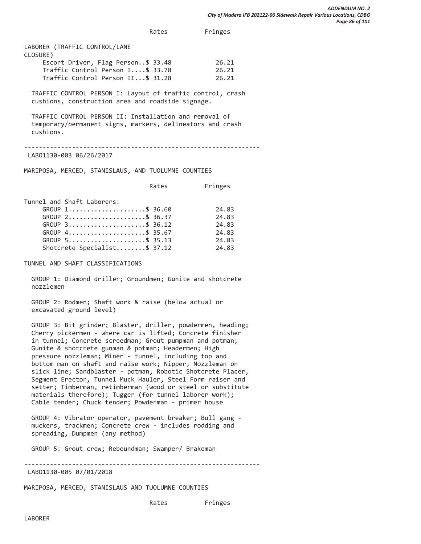Rates Fringes

| LABORER (TRAFFIC CONTROL/LANE      |       |
|------------------------------------|-------|
| CLOSURE)                           |       |
| Escort Driver, Flag Person\$ 33.48 | 26.21 |
| Traffic Control Person I\$ 33.78   | 26.21 |
| Traffic Control Person II\$ 31.28  | 26.21 |
|                                    |       |

 TRAFFIC CONTROL PERSON I: Layout of traffic control, crash cushions, construction area and roadside signage.

 TRAFFIC CONTROL PERSON II: Installation and removal of temporary/permanent signs, markers, delineators and crash cushions.

----------------------------------------------------------------

LABO1130-003 06/26/2017

MARIPOSA, MERCED, STANISLAUS, AND TUOLUMNE COUNTIES

|                                                         | Rates | Fringes |
|---------------------------------------------------------|-------|---------|
| Tunnel and Shaft Laborers:                              |       |         |
| GROUP 1\$ 36.60                                         |       | 24.83   |
| GROUP $2, \ldots, \ldots, \ldots, \ldots, \quad $36.37$ |       | 24.83   |
| GROUP $3 \dots  \dots  \$ 36.12                         |       | 24.83   |
| GROUP 4\$ 35.67                                         |       | 24.83   |
| GROUP 5\$ 35.13                                         |       | 24.83   |
| Shotcrete Specialist\$ 37.12                            |       | 24.83   |

TUNNEL AND SHAFT CLASSIFICATIONS

 GROUP 1: Diamond driller; Groundmen; Gunite and shotcrete nozzlemen

 GROUP 2: Rodmen; Shaft work & raise (below actual or excavated ground level)

 GROUP 3: Bit grinder; Blaster, driller, powdermen, heading; Cherry pickermen - where car is lifted; Concrete finisher in tunnel; Concrete screedman; Grout pumpman and potman; Gunite & shotcrete gunman & potman; Headermen; High pressure nozzleman; Miner - tunnel, including top and bottom man on shaft and raise work; Nipper; Nozzleman on slick line; Sandblaster - potman, Robotic Shotcrete Placer, Segment Erector, Tunnel Muck Hauler, Steel Form raiser and setter; Timberman, retimberman (wood or steel or substitute materials therefore); Tugger (for tunnel laborer work); Cable tender; Chuck tender; Powderman - primer house

 GROUP 4: Vibrator operator, pavement breaker; Bull gang muckers, trackmen; Concrete crew - includes rodding and spreading, Dumpmen (any method)

GROUP 5: Grout crew; Reboundman; Swamper/ Brakeman

---------------------------------------------------------------- LABO1130-005 07/01/2018

MARIPOSA, MERCED, STANISLAUS AND TUOLUMNE COUNTIES

Rates Fringes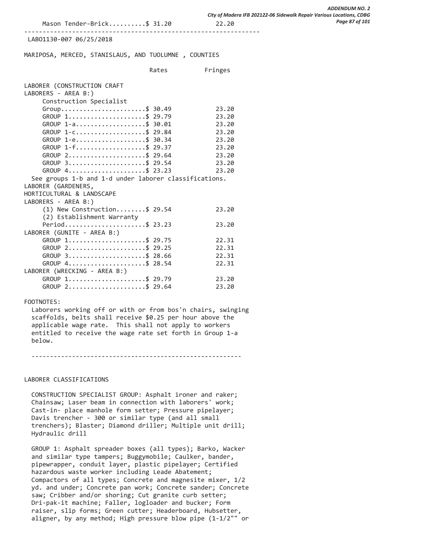#### ----------------------------------------------------------------

#### LABO1130-007 06/25/2018

MARIPOSA, MERCED, STANISLAUS, AND TUOLUMNE , COUNTIES

|                                                                                                           | Rates | Fringes |
|-----------------------------------------------------------------------------------------------------------|-------|---------|
| LABORER (CONSTRUCTION CRAFT<br>LABORERS - AREA B:)<br>Construction Specialist                             |       |         |
| Group\$ 30.49                                                                                             |       | 23.20   |
| GROUP 1\$ 29.79                                                                                           |       | 23.20   |
| GROUP 1-a\$ 30.01                                                                                         |       | 23.20   |
| GROUP 1-C\$ 29.84                                                                                         |       | 23.20   |
| GROUP 1-e\$ 30.34                                                                                         |       | 23.20   |
| GROUP $1 - f$ \$ 29.37                                                                                    |       | 23.20   |
| GROUP 2\$ 29.64                                                                                           |       | 23.20   |
| GROUP 3\$ 29.54                                                                                           |       | 23.20   |
| GROUP 4\$ 23.23                                                                                           |       | 23.20   |
| See groups 1-b and 1-d under laborer classifications.<br>LABORER (GARDENERS,<br>HORTICULTURAL & LANDSCAPE |       |         |
| LABORERS - AREA B:)                                                                                       |       |         |
| $(1)$ New Construction\$ 29.54<br>(2) Establishment Warranty                                              |       | 23.20   |
| Period\$ 23.23                                                                                            |       | 23.20   |
| LABORER (GUNITE - AREA B:)                                                                                |       |         |
| GROUP 1\$ 29.75                                                                                           |       | 22.31   |
| GROUP 2\$ 29.25                                                                                           |       | 22.31   |
| GROUP 3\$ 28.66                                                                                           |       | 22.31   |
| GROUP 4\$ 28.54                                                                                           |       | 22.31   |
| LABORER (WRECKING - AREA B:)                                                                              |       |         |
| GROUP 1\$ 29.79                                                                                           |       | 23.20   |
| GROUP 2\$ 29.64                                                                                           |       | 23.20   |

### FOOTNOTES:

 Laborers working off or with or from bos'n chairs, swinging scaffolds, belts shall receive \$0.25 per hour above the applicable wage rate. This shall not apply to workers entitled to receive the wage rate set forth in Group 1-a below.

---------------------------------------------------------

#### LABORER CLASSIFICATIONS

 CONSTRUCTION SPECIALIST GROUP: Asphalt ironer and raker; Chainsaw; Laser beam in connection with laborers' work; Cast-in- place manhole form setter; Pressure pipelayer; Davis trencher - 300 or similar type (and all small trenchers); Blaster; Diamond driller; Multiple unit drill; Hydraulic drill

 GROUP 1: Asphalt spreader boxes (all types); Barko, Wacker and similar type tampers; Buggymobile; Caulker, bander, pipewrapper, conduit layer, plastic pipelayer; Certified hazardous waste worker including Leade Abatement; Compactors of all types; Concrete and magnesite mixer, 1/2 yd. and under; Concrete pan work; Concrete sander; Concrete saw; Cribber and/or shoring; Cut granite curb setter; Dri-pak-it machine; Faller, logloader and bucker; Form raiser, slip forms; Green cutter; Headerboard, Hubsetter, aligner, by any method; High pressure blow pipe (1-1/2"" or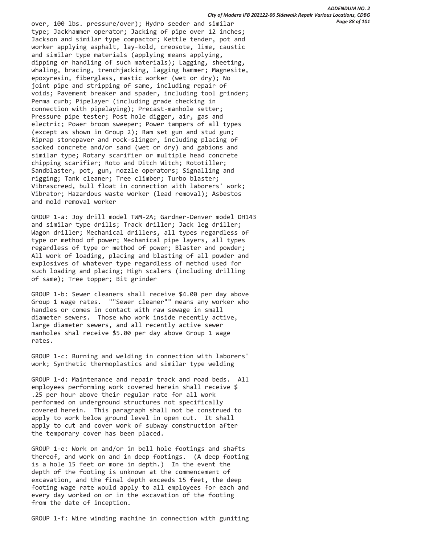over, 100 lbs. pressure/over); Hydro seeder and similar type; Jackhammer operator; Jacking of pipe over 12 inches; Jackson and similar type compactor; Kettle tender, pot and worker applying asphalt, lay-kold, creosote, lime, caustic and similar type materials (applying means applying, dipping or handling of such materials); Lagging, sheeting, whaling, bracing, trenchjacking, lagging hammer; Magnesite, epoxyresin, fiberglass, mastic worker (wet or dry); No joint pipe and stripping of same, including repair of voids; Pavement breaker and spader, including tool grinder; Perma curb; Pipelayer (including grade checking in connection with pipelaying); Precast-manhole setter; Pressure pipe tester; Post hole digger, air, gas and electric; Power broom sweeper; Power tampers of all types (except as shown in Group 2); Ram set gun and stud gun; Riprap stonepaver and rock-slinger, including placing of sacked concrete and/or sand (wet or dry) and gabions and similar type; Rotary scarifier or multiple head concrete chipping scarifier; Roto and Ditch Witch; Rototiller; Sandblaster, pot, gun, nozzle operators; Signalling and rigging; Tank cleaner; Tree climber; Turbo blaster; Vibrascreed, bull float in connection with laborers' work; Vibrator; Hazardous waste worker (lead removal); Asbestos and mold removal worker

 GROUP 1-a: Joy drill model TWM-2A; Gardner-Denver model DH143 and similar type drills; Track driller; Jack leg driller; Wagon driller; Mechanical drillers, all types regardless of type or method of power; Mechanical pipe layers, all types regardless of type or method of power; Blaster and powder; All work of loading, placing and blasting of all powder and explosives of whatever type regardless of method used for such loading and placing; High scalers (including drilling of same); Tree topper; Bit grinder

 GROUP 1-b: Sewer cleaners shall receive \$4.00 per day above Group 1 wage rates. ""Sewer cleaner"" means any worker who handles or comes in contact with raw sewage in small diameter sewers. Those who work inside recently active, large diameter sewers, and all recently active sewer manholes shal receive \$5.00 per day above Group 1 wage rates.

 GROUP 1-c: Burning and welding in connection with laborers' work; Synthetic thermoplastics and similar type welding

 GROUP 1-d: Maintenance and repair track and road beds. All employees performing work covered herein shall receive \$ .25 per hour above their regular rate for all work performed on underground structures not specifically covered herein. This paragraph shall not be construed to apply to work below ground level in open cut. It shall apply to cut and cover work of subway construction after the temporary cover has been placed.

 GROUP 1-e: Work on and/or in bell hole footings and shafts thereof, and work on and in deep footings. (A deep footing is a hole 15 feet or more in depth.) In the event the depth of the footing is unknown at the commencement of excavation, and the final depth exceeds 15 feet, the deep footing wage rate would apply to all employees for each and every day worked on or in the excavation of the footing from the date of inception.

GROUP 1-f: Wire winding machine in connection with guniting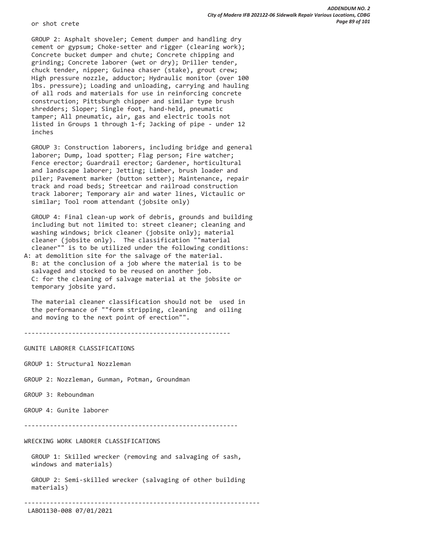or shot crete

 GROUP 2: Asphalt shoveler; Cement dumper and handling dry cement or gypsum; Choke-setter and rigger (clearing work); Concrete bucket dumper and chute; Concrete chipping and grinding; Concrete laborer (wet or dry); Driller tender, chuck tender, nipper; Guinea chaser (stake), grout crew; High pressure nozzle, adductor; Hydraulic monitor (over 100 lbs. pressure); Loading and unloading, carrying and hauling of all rods and materials for use in reinforcing concrete construction; Pittsburgh chipper and similar type brush shredders; Sloper; Single foot, hand-held, pneumatic tamper; All pneumatic, air, gas and electric tools not listed in Groups 1 through 1-f; Jacking of pipe - under 12 inches

 GROUP 3: Construction laborers, including bridge and general laborer; Dump, load spotter; Flag person; Fire watcher; Fence erector; Guardrail erector; Gardener, horticultural and landscape laborer; Jetting; Limber, brush loader and piler; Pavement marker (button setter); Maintenance, repair track and road beds; Streetcar and railroad construction track laborer; Temporary air and water lines, Victaulic or similar; Tool room attendant (jobsite only)

 GROUP 4: Final clean-up work of debris, grounds and building including but not limited to: street cleaner; cleaning and washing windows; brick cleaner (jobsite only); material cleaner (jobsite only). The classification ""material cleaner"" is to be utilized under the following conditions:

A: at demolition site for the salvage of the material. B: at the conclusion of a job where the material is to be salvaged and stocked to be reused on another job. C: for the cleaning of salvage material at the jobsite or temporary jobsite yard.

 The material cleaner classification should not be used in the performance of ""form stripping, cleaning and oiling and moving to the next point of erection"".

--------------------------------------------------------

GUNITE LABORER CLASSIFICATIONS

GROUP 1: Structural Nozzleman

GROUP 2: Nozzleman, Gunman, Potman, Groundman

GROUP 3: Reboundman

GROUP 4: Gunite laborer

----------------------------------------------------------

WRECKING WORK LABORER CLASSIFICATIONS

 GROUP 1: Skilled wrecker (removing and salvaging of sash, windows and materials)

 GROUP 2: Semi-skilled wrecker (salvaging of other building materials)

----------------------------------------------------------------

LABO1130-008 07/01/2021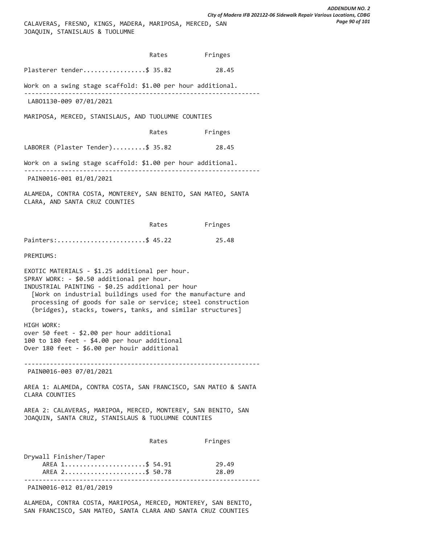|                                                                                                                                                                                                                                                                                                                                           | Rates Fringes |                |
|-------------------------------------------------------------------------------------------------------------------------------------------------------------------------------------------------------------------------------------------------------------------------------------------------------------------------------------------|---------------|----------------|
| Plasterer tender\$ 35.82                                                                                                                                                                                                                                                                                                                  |               | 28.45          |
| Work on a swing stage scaffold: \$1.00 per hour additional.                                                                                                                                                                                                                                                                               |               |                |
| LAB01130-009 07/01/2021                                                                                                                                                                                                                                                                                                                   |               |                |
| MARIPOSA, MERCED, STANISLAUS, AND TUOLUMNE COUNTIES                                                                                                                                                                                                                                                                                       |               |                |
|                                                                                                                                                                                                                                                                                                                                           | Rates         | Fringes        |
| LABORER (Plaster Tender)\$ 35.82                                                                                                                                                                                                                                                                                                          |               | 28.45          |
| Work on a swing stage scaffold: \$1.00 per hour additional.                                                                                                                                                                                                                                                                               |               |                |
| PAIN0016-001 01/01/2021                                                                                                                                                                                                                                                                                                                   |               |                |
| ALAMEDA, CONTRA COSTA, MONTEREY, SAN BENITO, SAN MATEO, SANTA<br>CLARA, AND SANTA CRUZ COUNTIES                                                                                                                                                                                                                                           |               |                |
|                                                                                                                                                                                                                                                                                                                                           | Rates         | Fringes        |
| Painters:\$ 45.22                                                                                                                                                                                                                                                                                                                         |               | 25.48          |
| <b>PREMIUMS:</b>                                                                                                                                                                                                                                                                                                                          |               |                |
| EXOTIC MATERIALS - \$1.25 additional per hour.<br>SPRAY WORK: - \$0.50 additional per hour.<br>INDUSTRIAL PAINTING - \$0.25 additional per hour<br>[Work on industrial buildings used for the manufacture and<br>processing of goods for sale or service; steel construction<br>(bridges), stacks, towers, tanks, and similar structures] |               |                |
| HIGH WORK:<br>over 50 feet - \$2.00 per hour additional<br>100 to 180 feet - \$4.00 per hour additional<br>Over 180 feet - \$6.00 per houir additional                                                                                                                                                                                    |               |                |
| PAIN0016-003 07/01/2021                                                                                                                                                                                                                                                                                                                   |               |                |
| AREA 1: ALAMEDA, CONTRA COSTA, SAN FRANCISCO, SAN MATEO & SANTA<br>CLARA COUNTIES                                                                                                                                                                                                                                                         |               |                |
| AREA 2: CALAVERAS, MARIPOA, MERCED, MONTEREY, SAN BENITO, SAN<br>JOAQUIN, SANTA CRUZ, STANISLAUS & TUOLUMNE COUNTIES                                                                                                                                                                                                                      |               |                |
|                                                                                                                                                                                                                                                                                                                                           | Rates         | Fringes        |
| Drywall Finisher/Taper<br>AREA 1\$ 54.91<br>AREA 2\$ 50.78                                                                                                                                                                                                                                                                                |               | 29.49<br>28.09 |
| PAIN0016-012 01/01/2019                                                                                                                                                                                                                                                                                                                   |               |                |

ALAMEDA, CONTRA COSTA, MARIPOSA, MERCED, MONTEREY, SAN BENITO, SAN FRANCISCO, SAN MATEO, SANTA CLARA AND SANTA CRUZ COUNTIES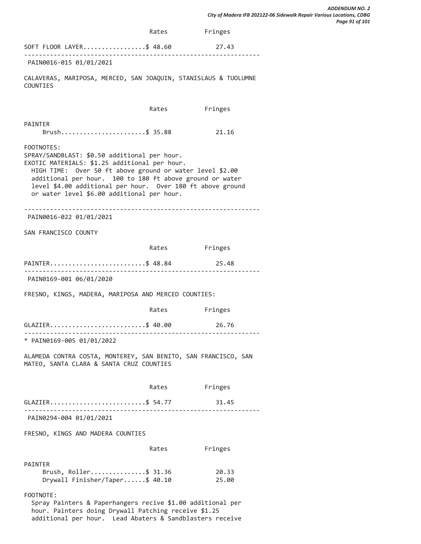|                                                                                                                                                                                                                                                                                                                                                 | Rates | Fringes        |
|-------------------------------------------------------------------------------------------------------------------------------------------------------------------------------------------------------------------------------------------------------------------------------------------------------------------------------------------------|-------|----------------|
| SOFT FLOOR LAYER\$ 48.60                                                                                                                                                                                                                                                                                                                        |       | 27.43          |
| PAIN0016-015 01/01/2021                                                                                                                                                                                                                                                                                                                         |       |                |
| CALAVERAS, MARIPOSA, MERCED, SAN JOAQUIN, STANISLAUS & TUOLUMNE<br>COUNTIES                                                                                                                                                                                                                                                                     |       |                |
|                                                                                                                                                                                                                                                                                                                                                 | Rates | Fringes        |
| PAINTER<br>Brush\$ 35.88                                                                                                                                                                                                                                                                                                                        |       | 21.16          |
| FOOTNOTES:<br>SPRAY/SANDBLAST: \$0.50 additional per hour.<br>EXOTIC MATERIALS: \$1.25 additional per hour.<br>HIGH TIME: Over 50 ft above ground or water level \$2.00<br>additional per hour. 100 to 180 ft above ground or water<br>level \$4.00 additional per hour. Over 180 ft above ground<br>or water level \$6.00 additional per hour. |       |                |
| PAIN0016-022 01/01/2021                                                                                                                                                                                                                                                                                                                         |       |                |
| SAN FRANCISCO COUNTY                                                                                                                                                                                                                                                                                                                            |       |                |
|                                                                                                                                                                                                                                                                                                                                                 |       | Rates Fringes  |
| PAINTER\$ 48.84                                                                                                                                                                                                                                                                                                                                 |       | 25.48          |
| ------------------------------<br>PAIN0169-001 06/01/2020                                                                                                                                                                                                                                                                                       |       |                |
| FRESNO, KINGS, MADERA, MARIPOSA AND MERCED COUNTIES:                                                                                                                                                                                                                                                                                            |       |                |
|                                                                                                                                                                                                                                                                                                                                                 | Rates | Fringes        |
| GLAZIER\$ 40.00                                                                                                                                                                                                                                                                                                                                 |       | 26.76          |
| * PAIN0169-005 01/01/2022                                                                                                                                                                                                                                                                                                                       |       |                |
| ALAMEDA CONTRA COSTA, MONTEREY, SAN BENITO, SAN FRANCISCO, SAN<br>MATEO, SANTA CLARA & SANTA CRUZ COUNTIES                                                                                                                                                                                                                                      |       |                |
|                                                                                                                                                                                                                                                                                                                                                 | Rates | Fringes        |
| GLAZIER\$ 54.77                                                                                                                                                                                                                                                                                                                                 |       | 31.45          |
| PAIN0294-004 01/01/2021                                                                                                                                                                                                                                                                                                                         |       |                |
| FRESNO, KINGS AND MADERA COUNTIES                                                                                                                                                                                                                                                                                                               |       |                |
|                                                                                                                                                                                                                                                                                                                                                 | Rates | Fringes        |
| <b>PAINTER</b><br>Brush, Roller\$ 31.36<br>Drywall Finisher/Taper\$ 40.10                                                                                                                                                                                                                                                                       |       | 20.33<br>25.00 |
| FOOTNOTE:<br>Spray Painters & Paperhangers recive \$1.00 additional per<br>hour. Painters doing Drywall Patching receive \$1.25                                                                                                                                                                                                                 |       |                |

additional per hour. Lead Abaters & Sandblasters receive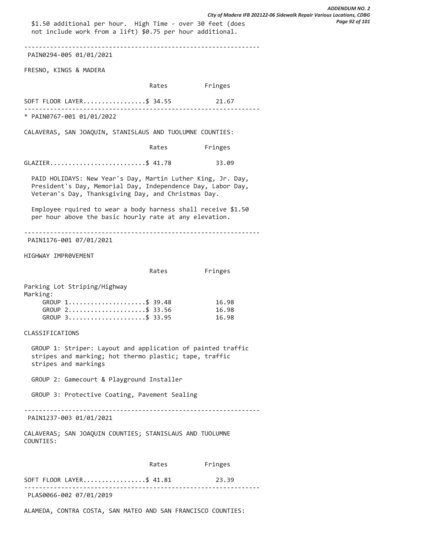\$1.50 additional per hour. High Time - over 30 feet (does not include work from a lift) \$0.75 per hour additional. ---------------------------------------------------------------- PAIN0294-005 01/01/2021 FRESNO, KINGS & MADERA Rates Fringes SOFT FLOOR LAYER...................\$ 34.55 21.67 ---------------------------------------------------------------- \* PAIN0767-001 01/01/2022 CALAVERAS, SAN JOAQUIN, STANISLAUS AND TUOLUMNE COUNTIES: Rates Fringes GLAZIER...............................\$ 41.78 33.09 PAID HOLIDAYS: New Year's Day, Martin Luther King, Jr. Day, President's Day, Memorial Day, Independence Day, Labor Day, Veteran's Day, Thanksgiving Day, and Christmas Day. Employee rquired to wear a body harness shall receive \$1.50 per hour above the basic hourly rate at any elevation. ---------------------------------------------------------------- PAIN1176-001 07/01/2021 HIGHWAY IMPR0VEMENT Rates Fringes Parking Lot Striping/Highway Marking: GROUP 1.......................\$ 39.48 16.98 GROUP 2.......................\$ 33.56 16.98 GROUP 3.......................\$ 33.95 16.98 CLASSIFICATIONS GROUP 1: Striper: Layout and application of painted traffic stripes and marking; hot thermo plastic; tape, traffic stripes and markings GROUP 2: Gamecourt & Playground Installer GROUP 3: Protective Coating, Pavement Sealing ---------------------------------------------------------------- PAIN1237-003 01/01/2021 CALAVERAS; SAN JOAQUIN COUNTIES; STANISLAUS AND TUOLUMNE COUNTIES: Rates Fringes SOFT FLOOR LAYER...................\$ 41.81 23.39 ---------------------------------------------------------------- PLAS0066-002 07/01/2019 *ADDENDUM NO. 2 City of Madera IFB 202122-06 Sidewalk Repair Various Locations, CDBG Page 92 of 101*

ALAMEDA, CONTRA COSTA, SAN MATEO AND SAN FRANCISCO COUNTIES: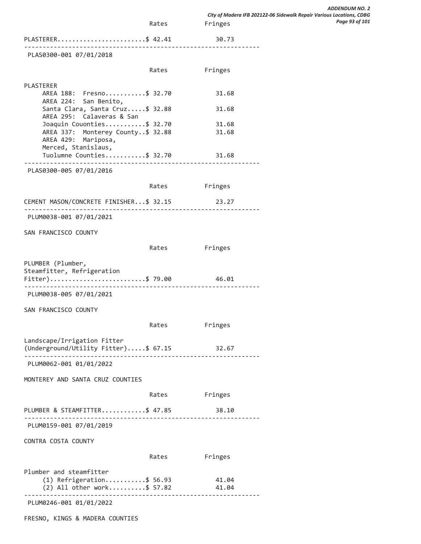|                                                              |       |                | City of Madera IFB 202122-06 Sidewalk Repair Various Locations, CDBG |
|--------------------------------------------------------------|-------|----------------|----------------------------------------------------------------------|
|                                                              | Rates | Fringes        | Page 93 of 101                                                       |
| PLASTERER\$ 42.41                                            |       | 30.73          |                                                                      |
| PLAS0300-001 07/01/2018                                      |       |                |                                                                      |
|                                                              | Rates | Fringes        |                                                                      |
| PLASTERER                                                    |       |                |                                                                      |
| AREA 188: Fresno\$ 32.70<br>AREA 224: San Benito,            |       | 31.68          |                                                                      |
| Santa Clara, Santa Cruz\$ 32.88<br>AREA 295: Calaveras & San |       | 31.68          |                                                                      |
| Joaquin Couonties\$ 32.70                                    |       | 31.68          |                                                                      |
| AREA 337: Monterey County \$ 32.88                           |       | 31.68          |                                                                      |
| AREA 429: Mariposa,                                          |       |                |                                                                      |
| Merced, Stanislaus,<br>Tuolumne Counties\$ 32.70             |       | 31.68          |                                                                      |
| PLAS0300-005 07/01/2016                                      |       |                |                                                                      |
|                                                              |       | Rates Fringes  |                                                                      |
| CEMENT MASON/CONCRETE FINISHER\$ 32.15                       |       | 23.27          |                                                                      |
|                                                              |       |                |                                                                      |
| PLUM0038-001 07/01/2021                                      |       |                |                                                                      |
| SAN FRANCISCO COUNTY                                         |       |                |                                                                      |
|                                                              | Rates | Fringes        |                                                                      |
| PLUMBER (Plumber,                                            |       |                |                                                                      |
| Steamfitter, Refrigeration                                   |       |                |                                                                      |
| Fitter)\$ 79.00 46.01<br><u>.</u>                            |       |                |                                                                      |
| PLUM0038-005 07/01/2021                                      |       |                |                                                                      |
| SAN FRANCISCO COUNTY                                         |       |                |                                                                      |
|                                                              | Rates | Fringes        |                                                                      |
| Landscape/Irrigation Fitter                                  |       |                |                                                                      |
| (Underground/Utility Fitter)\$ 67.15 32.67                   |       |                |                                                                      |
| PLUM0062-001 01/01/2022                                      |       |                |                                                                      |
| MONTEREY AND SANTA CRUZ COUNTIES                             |       |                |                                                                      |
|                                                              |       | Rates Fringes  |                                                                      |
| PLUMBER & STEAMFITTER\$ 47.85                                |       | 38.10          |                                                                      |
| PLUM0159-001 07/01/2019                                      |       |                |                                                                      |
|                                                              |       |                |                                                                      |
| CONTRA COSTA COUNTY                                          |       |                |                                                                      |
|                                                              | Rates | Fringes        |                                                                      |
| Plumber and steamfitter                                      |       |                |                                                                      |
| $(1)$ Refrigeration\$ 56.93<br>(2) All other work\$ 57.82    |       | 41.04<br>41.04 |                                                                      |

*ADDENDUM NO. 2*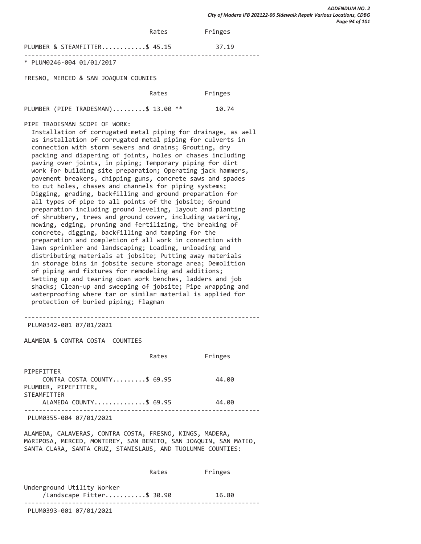|                                     | Rates | Fringes |  |
|-------------------------------------|-------|---------|--|
| PLUMBER & STEAMFITTER\$ 45.15       |       | 37.19   |  |
| * PLUM0246-004 01/01/2017           |       |         |  |
| FRECHA HERCER O CAN BOAQUEN COUNTEC |       |         |  |

FRESNO, MERCED & SAN JOAQUIN COUNIES

| Rates | Fringes |
|-------|---------|
|       |         |

PLUMBER (PIPE TRADESMAN).........\$ 13.00 \*\* 10.74

PIPE TRADESMAN SCOPE OF WORK:

 Installation of corrugated metal piping for drainage, as well as installation of corrugated metal piping for culverts in connection with storm sewers and drains; Grouting, dry packing and diapering of joints, holes or chases including paving over joints, in piping; Temporary piping for dirt work for building site preparation; Operating jack hammers, pavement breakers, chipping guns, concrete saws and spades to cut holes, chases and channels for piping systems; Digging, grading, backfilling and ground preparation for all types of pipe to all points of the jobsite; Ground preparation including ground leveling, layout and planting of shrubbery, trees and ground cover, including watering, mowing, edging, pruning and fertilizing, the breaking of concrete, digging, backfilling and tamping for the preparation and completion of all work in connection with lawn sprinkler and landscaping; Loading, unloading and distributing materials at jobsite; Putting away materials in storage bins in jobsite secure storage area; Demolition of piping and fixtures for remodeling and additions; Setting up and tearing down work benches, ladders and job shacks; Clean-up and sweeping of jobsite; Pipe wrapping and waterproofing where tar or similar material is applied for protection of buried piping; Flagman

----------------------------------------------------------------

PLUM0342-001 07/01/2021

ALAMEDA & CONTRA COSTA COUNTIES

|                                                     | Rates | Fringes |
|-----------------------------------------------------|-------|---------|
| PTPEFITTER                                          |       |         |
| CONTRA COSTA COUNTY\$ 69.95<br>PLUMBER, PIPEFITTER, |       | 44.00   |
| STEAMFITTER                                         |       |         |
| ALAMEDA COUNTY\$ 69.95                              |       | 44.00   |
|                                                     |       |         |

PLUM0355-004 07/01/2021

ALAMEDA, CALAVERAS, CONTRA COSTA, FRESNO, KINGS, MADERA, MARIPOSA, MERCED, MONTEREY, SAN BENITO, SAN JOAQUIN, SAN MATEO, SANTA CLARA, SANTA CRUZ, STANISLAUS, AND TUOLUMNE COUNTIES:

|                                                         | Rates | Fringes |  |
|---------------------------------------------------------|-------|---------|--|
| Underground Utility Worker<br>/Landscape Fitter\$ 30.90 |       | 16.80   |  |
| PLUM0393-001 07/01/2021                                 |       |         |  |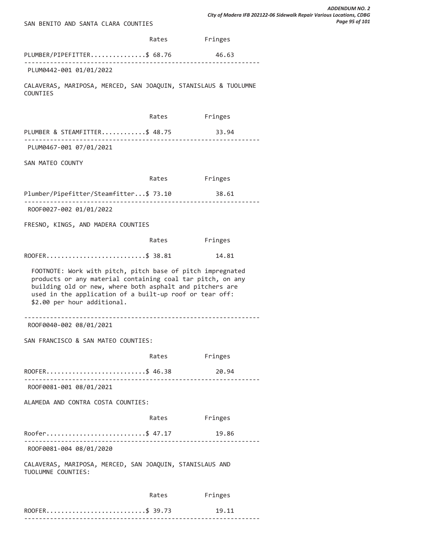| SAN BENITO AND SANTA CLARA COUNTIES                                                                                                                                                                                                                                            |               |         |
|--------------------------------------------------------------------------------------------------------------------------------------------------------------------------------------------------------------------------------------------------------------------------------|---------------|---------|
|                                                                                                                                                                                                                                                                                | Rates Fringes |         |
| PLUMBER/PIPEFITTER\$ 68.76                                                                                                                                                                                                                                                     |               | 46.63   |
| PLUM0442-001 01/01/2022                                                                                                                                                                                                                                                        |               |         |
| CALAVERAS, MARIPOSA, MERCED, SAN JOAQUIN, STANISLAUS & TUOLUMNE<br>COUNTIES                                                                                                                                                                                                    |               |         |
|                                                                                                                                                                                                                                                                                | Rates Fringes |         |
| PLUMBER & STEAMFITTER\$ 48.75 33.94                                                                                                                                                                                                                                            |               |         |
| ---------------------------------<br>PLUM0467-001 07/01/2021                                                                                                                                                                                                                   |               |         |
| SAN MATEO COUNTY                                                                                                                                                                                                                                                               |               |         |
|                                                                                                                                                                                                                                                                                | Rates Fringes |         |
| Plumber/Pipefitter/Steamfitter\$ 73.10 38.61                                                                                                                                                                                                                                   |               |         |
| ROOF0027-002 01/01/2022                                                                                                                                                                                                                                                        |               |         |
| FRESNO, KINGS, AND MADERA COUNTIES                                                                                                                                                                                                                                             |               |         |
|                                                                                                                                                                                                                                                                                | Rates Fringes |         |
| ROOFER\$ 38.81                                                                                                                                                                                                                                                                 |               | 14.81   |
| FOOTNOTE: Work with pitch, pitch base of pitch impregnated<br>products or any material containing coal tar pitch, on any<br>building old or new, where both asphalt and pitchers are<br>used in the application of a built-up roof or tear off:<br>\$2.00 per hour additional. |               |         |
| ROOF0040-002 08/01/2021                                                                                                                                                                                                                                                        |               |         |
| SAN FRANCISCO & SAN MATEO COUNTIES:                                                                                                                                                                                                                                            |               |         |
|                                                                                                                                                                                                                                                                                | Rates         | Fringes |
| ROOFER\$ 46.38                                                                                                                                                                                                                                                                 |               | 20.94   |
| ROOF0081-001 08/01/2021                                                                                                                                                                                                                                                        |               |         |
| ALAMEDA AND CONTRA COSTA COUNTIES:                                                                                                                                                                                                                                             |               |         |
|                                                                                                                                                                                                                                                                                | Rates Fringes |         |
| Roofer\$ 47.17                                                                                                                                                                                                                                                                 |               | 19.86   |
| ROOF0081-004 08/01/2020                                                                                                                                                                                                                                                        |               |         |
| CALAVERAS, MARIPOSA, MERCED, SAN JOAQUIN, STANISLAUS AND<br>TUOLUMNE COUNTIES:                                                                                                                                                                                                 |               |         |
|                                                                                                                                                                                                                                                                                | Rates         | Fringes |
| ROOFER\$ 39.73                                                                                                                                                                                                                                                                 |               | 19.11   |

----------------------------------------------------------------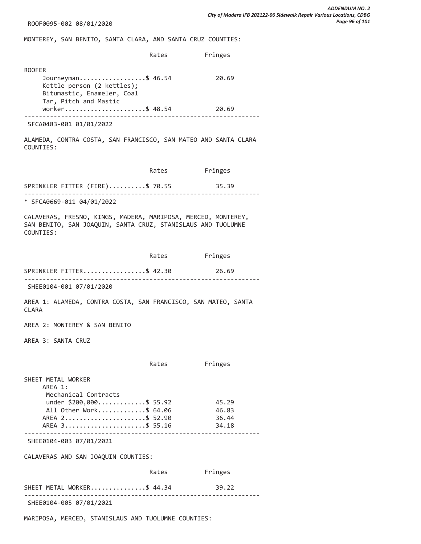ROOF0095-002 08/01/2020

MONTEREY, SAN BENITO, SANTA CLARA, AND SANTA CRUZ COUNTIES:

|                                                                                                                          | Rates | Fringes |
|--------------------------------------------------------------------------------------------------------------------------|-------|---------|
| <b>ROOFER</b><br>Journeyman\$ 46.54<br>Kettle person (2 kettles);<br>Bitumastic, Enameler, Coal<br>Tar, Pitch and Mastic |       | 20.69   |
| worker\$ 48.54                                                                                                           |       | 20.69   |
| SFCA0483-001 01/01/2022                                                                                                  |       |         |
| ALAMEDA, CONTRA COSTA, SAN FRANCISCO, SAN MATEO AND SANTA CLARA<br>COUNTIES:                                             |       |         |

|                                 | Rates | Fringes |  |
|---------------------------------|-------|---------|--|
| SPRINKLER FITTER (FIRE)\$ 70.55 |       | 35.39   |  |
| * SFCA0669-011 04/01/2022       |       |         |  |

CALAVERAS, FRESNO, KINGS, MADERA, MARIPOSA, MERCED, MONTEREY, SAN BENITO, SAN JOAQUIN, SANTA CRUZ, STANISLAUS AND TUOLUMNE COUNTIES:

|                                                                                                                                                | Rates | Fringes                          |
|------------------------------------------------------------------------------------------------------------------------------------------------|-------|----------------------------------|
| SPRINKLER FITTER\$ 42.30                                                                                                                       |       | 26.69                            |
| SHEE0104-001 07/01/2020                                                                                                                        |       |                                  |
| AREA 1: ALAMEDA, CONTRA COSTA, SAN FRANCISCO, SAN MATEO, SANTA<br><b>CLARA</b>                                                                 |       |                                  |
| AREA 2: MONTEREY & SAN BENITO                                                                                                                  |       |                                  |
| AREA 3: SANTA CRUZ                                                                                                                             |       |                                  |
|                                                                                                                                                | Rates | Fringes                          |
| SHEET METAL WORKER<br>AREA 1:<br>Mechanical Contracts<br>under \$200,000\$ 55.92<br>All Other Work\$ 64.06<br>AREA 2\$ 52.90<br>AREA 3\$ 55.16 |       | 45.29<br>46.83<br>36.44<br>34.18 |
| SHEE0104-003 07/01/2021                                                                                                                        |       |                                  |
| CALAVERAS AND SAN JOAQUIN COUNTIES:                                                                                                            |       |                                  |
|                                                                                                                                                | Rates | Fringes                          |
| SHEET METAL WORKER\$ 44.34                                                                                                                     |       | 39.22                            |
| SHEE0104-005 07/01/2021                                                                                                                        |       |                                  |
| MARIPOSA, MERCED, STANISLAUS AND TUOLUMNE COUNTIES:                                                                                            |       |                                  |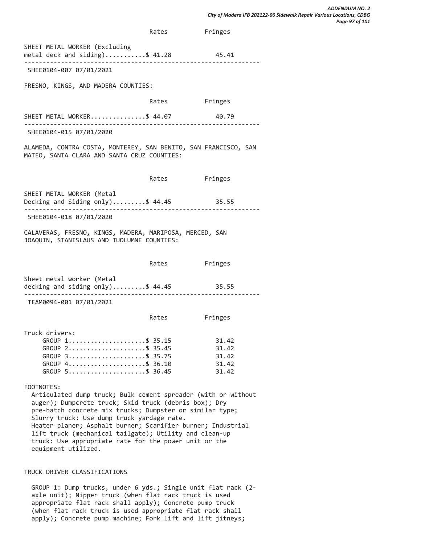Rates Fringes SHEET METAL WORKER (Excluding metal deck and siding)...........\$  $41.28$  45.41 ---------------------------------------------------------------- SHEE0104-007 07/01/2021 FRESNO, KINGS, AND MADERA COUNTIES: Rates Fringes SHEET METAL WORKER................\$ 44.07 40.79 ---------------------------------------------------------------- SHEE0104-015 07/01/2020 ALAMEDA, CONTRA COSTA, MONTEREY, SAN BENITO, SAN FRANCISCO, SAN MATEO, SANTA CLARA AND SANTA CRUZ COUNTIES: Rates Fringes SHEET METAL WORKER (Metal Decking and Siding only).........\$ 44.45 35.55 ---------------------------------------------------------------- SHEE0104-018 07/01/2020 CALAVERAS, FRESNO, KINGS, MADERA, MARIPOSA, MERCED, SAN JOAQUIN, STANISLAUS AND TUOLUMNE COUNTIES: Rates Fringes Sheet metal worker (Metal decking and siding only).........\$ 44.45 35.55 ---------------------------------------------------------------- TEAM0094-001 07/01/2021 Rates Fringes Truck drivers: GROUP 1........................\$ 35.15 31.42<br>GROUP 2.........................\$ 35.45 31.42 GROUP 2......................\$ 35.45 GROUP 3.......................\$ 35.75 31.42 GROUP 4......................\$ 36.10 31.42 GROUP  $5... \dots \dots \dots \dots \dots$ \$ 36.45 31.42 FOOTNOTES: Articulated dump truck; Bulk cement spreader (with or without auger); Dumpcrete truck; Skid truck (debris box); Dry pre-batch concrete mix trucks; Dumpster or similar type; Slurry truck: Use dump truck yardage rate. Heater planer; Asphalt burner; Scarifier burner; Industrial lift truck (mechanical tailgate); Utility and clean-up truck: Use appropriate rate for the power unit or the equipment utilized.

#### TRUCK DRIVER CLASSIFICATIONS

 GROUP 1: Dump trucks, under 6 yds.; Single unit flat rack (2 axle unit); Nipper truck (when flat rack truck is used appropriate flat rack shall apply); Concrete pump truck (when flat rack truck is used appropriate flat rack shall apply); Concrete pump machine; Fork lift and lift jitneys;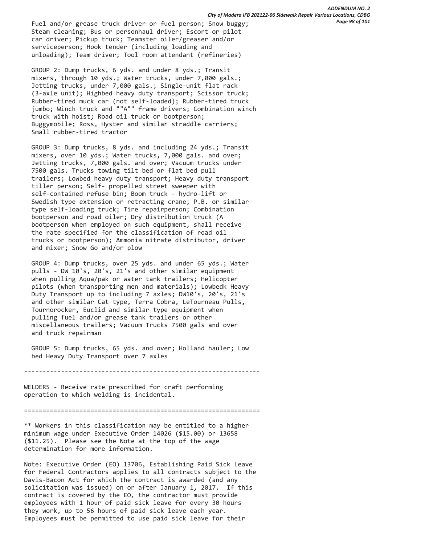Fuel and/or grease truck driver or fuel person; Snow buggy; Steam cleaning; Bus or personhaul driver; Escort or pilot car driver; Pickup truck; Teamster oiler/greaser and/or serviceperson; Hook tender (including loading and unloading); Team driver; Tool room attendant (refineries)

 GROUP 2: Dump trucks, 6 yds. and under 8 yds.; Transit mixers, through 10 yds.; Water trucks, under 7,000 gals.; Jetting trucks, under 7,000 gals.; Single-unit flat rack (3-axle unit); Highbed heavy duty transport; Scissor truck; Rubber-tired muck car (not self-loaded); Rubber-tired truck jumbo; Winch truck and ""A"" frame drivers; Combination winch truck with hoist; Road oil truck or bootperson; Buggymobile; Ross, Hyster and similar straddle carriers; Small rubber-tired tractor

 GROUP 3: Dump trucks, 8 yds. and including 24 yds.; Transit mixers, over 10 yds.; Water trucks, 7,000 gals. and over; Jetting trucks, 7,000 gals. and over; Vacuum trucks under 7500 gals. Trucks towing tilt bed or flat bed pull trailers; Lowbed heavy duty transport; Heavy duty transport tiller person; Self- propelled street sweeper with self-contained refuse bin; Boom truck - hydro-lift or Swedish type extension or retracting crane; P.B. or similar type self-loading truck; Tire repairperson; Combination bootperson and road oiler; Dry distribution truck (A bootperson when employed on such equipment, shall receive the rate specified for the classification of road oil trucks or bootperson); Ammonia nitrate distributor, driver and mixer; Snow Go and/or plow

 GROUP 4: Dump trucks, over 25 yds. and under 65 yds.; Water pulls - DW 10's, 20's, 21's and other similar equipment when pulling Aqua/pak or water tank trailers; Helicopter pilots (when transporting men and materials); Lowbedk Heavy Duty Transport up to including 7 axles; DW10's, 20's, 21's and other similar Cat type, Terra Cobra, LeTourneau Pulls, Tournorocker, Euclid and similar type equipment when pulling fuel and/or grease tank trailers or other miscellaneous trailers; Vacuum Trucks 7500 gals and over and truck repairman

 GROUP 5: Dump trucks, 65 yds. and over; Holland hauler; Low bed Heavy Duty Transport over 7 axles

----------------------------------------------------------------

WELDERS - Receive rate prescribed for craft performing operation to which welding is incidental.

================================================================

\*\* Workers in this classification may be entitled to a higher minimum wage under Executive Order 14026 (\$15.00) or 13658 (\$11.25). Please see the Note at the top of the wage determination for more information.

Note: Executive Order (EO) 13706, Establishing Paid Sick Leave for Federal Contractors applies to all contracts subject to the Davis-Bacon Act for which the contract is awarded (and any solicitation was issued) on or after January 1, 2017. If this contract is covered by the EO, the contractor must provide employees with 1 hour of paid sick leave for every 30 hours they work, up to 56 hours of paid sick leave each year. Employees must be permitted to use paid sick leave for their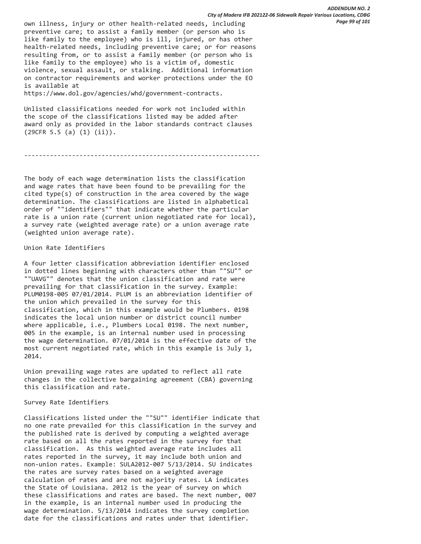own illness, injury or other health-related needs, including preventive care; to assist a family member (or person who is like family to the employee) who is ill, injured, or has other health-related needs, including preventive care; or for reasons resulting from, or to assist a family member (or person who is like family to the employee) who is a victim of, domestic violence, sexual assault, or stalking. Additional information on contractor requirements and worker protections under the EO is available at

https://www.dol.gov/agencies/whd/government-contracts.

Unlisted classifications needed for work not included within the scope of the classifications listed may be added after award only as provided in the labor standards contract clauses (29CFR 5.5 (a) (1) (ii)).

----------------------------------------------------------------

The body of each wage determination lists the classification and wage rates that have been found to be prevailing for the cited type(s) of construction in the area covered by the wage determination. The classifications are listed in alphabetical order of ""identifiers"" that indicate whether the particular rate is a union rate (current union negotiated rate for local), a survey rate (weighted average rate) or a union average rate (weighted union average rate).

#### Union Rate Identifiers

A four letter classification abbreviation identifier enclosed in dotted lines beginning with characters other than ""SU"" or ""UAVG"" denotes that the union classification and rate were prevailing for that classification in the survey. Example: PLUM0198-005 07/01/2014. PLUM is an abbreviation identifier of the union which prevailed in the survey for this classification, which in this example would be Plumbers. 0198 indicates the local union number or district council number where applicable, i.e., Plumbers Local 0198. The next number, 005 in the example, is an internal number used in processing the wage determination. 07/01/2014 is the effective date of the most current negotiated rate, which in this example is July 1, 2014.

Union prevailing wage rates are updated to reflect all rate changes in the collective bargaining agreement (CBA) governing this classification and rate.

#### Survey Rate Identifiers

Classifications listed under the ""SU"" identifier indicate that no one rate prevailed for this classification in the survey and the published rate is derived by computing a weighted average rate based on all the rates reported in the survey for that classification. As this weighted average rate includes all rates reported in the survey, it may include both union and non-union rates. Example: SULA2012-007 5/13/2014. SU indicates the rates are survey rates based on a weighted average calculation of rates and are not majority rates. LA indicates the State of Louisiana. 2012 is the year of survey on which these classifications and rates are based. The next number, 007 in the example, is an internal number used in producing the wage determination. 5/13/2014 indicates the survey completion date for the classifications and rates under that identifier.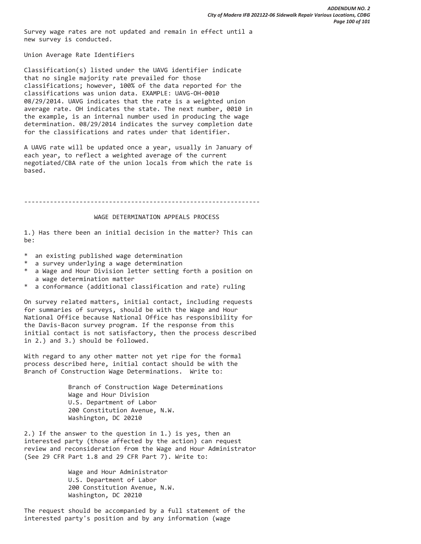Survey wage rates are not updated and remain in effect until a new survey is conducted.

Union Average Rate Identifiers

Classification(s) listed under the UAVG identifier indicate that no single majority rate prevailed for those classifications; however, 100% of the data reported for the classifications was union data. EXAMPLE: UAVG-OH-0010 08/29/2014. UAVG indicates that the rate is a weighted union average rate. OH indicates the state. The next number, 0010 in the example, is an internal number used in producing the wage determination. 08/29/2014 indicates the survey completion date for the classifications and rates under that identifier.

A UAVG rate will be updated once a year, usually in January of each year, to reflect a weighted average of the current negotiated/CBA rate of the union locals from which the rate is based.

----------------------------------------------------------------

#### WAGE DETERMINATION APPEALS PROCESS

1.) Has there been an initial decision in the matter? This can be:

- \* an existing published wage determination
- \* a survey underlying a wage determination
- a Wage and Hour Division letter setting forth a position on a wage determination matter
- \* a conformance (additional classification and rate) ruling

On survey related matters, initial contact, including requests for summaries of surveys, should be with the Wage and Hour National Office because National Office has responsibility for the Davis-Bacon survey program. If the response from this initial contact is not satisfactory, then the process described in 2.) and 3.) should be followed.

With regard to any other matter not yet ripe for the formal process described here, initial contact should be with the Branch of Construction Wage Determinations. Write to:

> Branch of Construction Wage Determinations Wage and Hour Division U.S. Department of Labor 200 Constitution Avenue, N.W. Washington, DC 20210

2.) If the answer to the question in 1.) is yes, then an interested party (those affected by the action) can request review and reconsideration from the Wage and Hour Administrator (See 29 CFR Part 1.8 and 29 CFR Part 7). Write to:

> Wage and Hour Administrator U.S. Department of Labor 200 Constitution Avenue, N.W. Washington, DC 20210

The request should be accompanied by a full statement of the interested party's position and by any information (wage